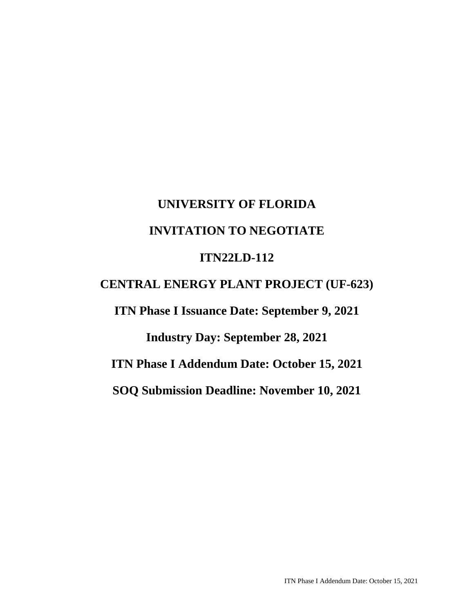# **UNIVERSITY OF FLORIDA INVITATION TO NEGOTIATE ITN22LD-112**

## **CENTRAL ENERGY PLANT PROJECT (UF-623)**

**ITN Phase I Issuance Date: September 9, 2021** 

**Industry Day: September 28, 2021** 

**ITN Phase I Addendum Date: October 15, 2021** 

**SOQ Submission Deadline: November 10, 2021**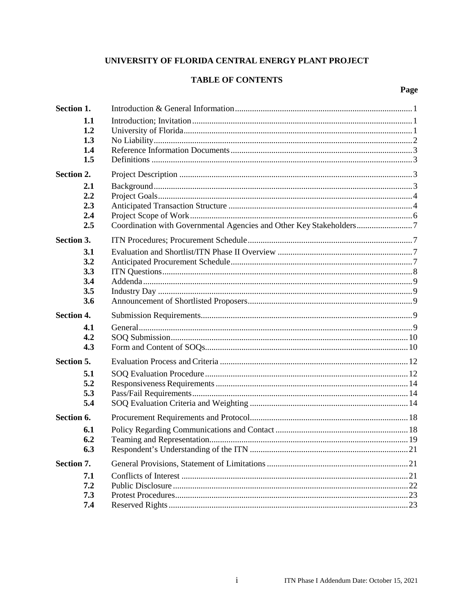## UNIVERSITY OF FLORIDA CENTRAL ENERGY PLANT PROJECT

## **TABLE OF CONTENTS**

## Page

| Section 1.        |  |
|-------------------|--|
| 1.1               |  |
| 1.2               |  |
| 1.3               |  |
| 1.4               |  |
| 1.5               |  |
| Section 2.        |  |
| 2.1               |  |
| 2.2               |  |
| 2.3               |  |
| 2.4               |  |
| 2.5               |  |
| Section 3.        |  |
| 3.1               |  |
| 3.2               |  |
| 3.3               |  |
| 3.4               |  |
| 3.5               |  |
| 3.6               |  |
| <b>Section 4.</b> |  |
| 4.1               |  |
| 4.2               |  |
| 4.3               |  |
| Section 5.        |  |
| 5.1               |  |
| 5.2               |  |
| 5.3               |  |
| 5.4               |  |
| Section 6.        |  |
| 6.1               |  |
| 6.2               |  |
| 6.3               |  |
| Section 7.        |  |
| 7.1               |  |
| 7.2               |  |
| 7.3               |  |
| 7.4               |  |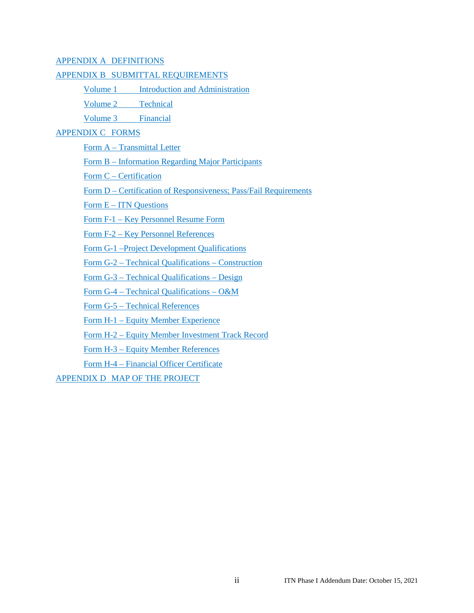#### APPENDIX A DEFINITIONS

#### APPENDIX B SUBMITTAL REQUIREMENTS

Volume 1 Introduction and Administration

Volume 2 Technical

Volume 3 Financial

#### APPENDIX C FORMS

Form A – Transmittal Letter

Form B – Information Regarding Major Participants

Form C – Certification

Form D – Certification of Responsiveness; Pass/Fail Requirements

Form E – ITN Questions

Form F-1 – Key Personnel Resume Form

Form F-2 – Key Personnel References

Form G-1 –Project Development Qualifications

Form G-2 – Technical Qualifications – Construction

Form G-3 – Technical Qualifications – Design

Form G-4 – Technical Qualifications – O&M

Form G-5 – Technical References

Form H-1 – Equity Member Experience

Form H-2 – Equity Member Investment Track Record

Form H-3 – Equity Member References

Form H-4 – Financial Officer Certificate

APPENDIX D MAP OF THE PROJECT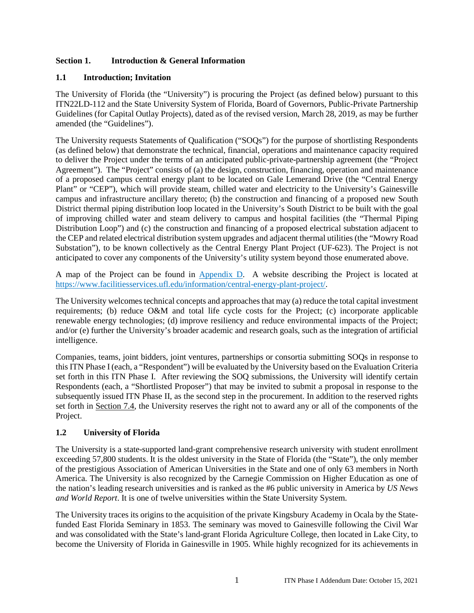## **Section 1. Introduction & General Information**

#### **1.1 Introduction; Invitation**

The University of Florida (the "University") is procuring the Project (as defined below) pursuant to this ITN22LD-112 and the State University System of Florida, Board of Governors, Public-Private Partnership Guidelines (for Capital Outlay Projects), dated as of the revised version, March 28, 2019, as may be further amended (the "Guidelines").

The University requests Statements of Qualification ("SOQs") for the purpose of shortlisting Respondents (as defined below) that demonstrate the technical, financial, operations and maintenance capacity required to deliver the Project under the terms of an anticipated public-private-partnership agreement (the "Project Agreement"). The "Project" consists of (a) the design, construction, financing, operation and maintenance of a proposed campus central energy plant to be located on Gale Lemerand Drive (the "Central Energy Plant" or "CEP"), which will provide steam, chilled water and electricity to the University's Gainesville campus and infrastructure ancillary thereto; (b) the construction and financing of a proposed new South District thermal piping distribution loop located in the University's South District to be built with the goal of improving chilled water and steam delivery to campus and hospital facilities (the "Thermal Piping Distribution Loop") and (c) the construction and financing of a proposed electrical substation adjacent to the CEP and related electrical distribution system upgrades and adjacent thermal utilities (the "Mowry Road Substation"), to be known collectively as the Central Energy Plant Project (UF-623). The Project is not anticipated to cover any components of the University's utility system beyond those enumerated above.

A map of the Project can be found in Appendix D. A website describing the Project is located at https://www.facilitiesservices.ufl.edu/information/central-energy-plant-project/.

The University welcomes technical concepts and approaches that may (a) reduce the total capital investment requirements; (b) reduce O&M and total life cycle costs for the Project; (c) incorporate applicable renewable energy technologies; (d) improve resiliency and reduce environmental impacts of the Project; and/or (e) further the University's broader academic and research goals, such as the integration of artificial intelligence.

Companies, teams, joint bidders, joint ventures, partnerships or consortia submitting SOQs in response to this ITN Phase I (each, a "Respondent") will be evaluated by the University based on the Evaluation Criteria set forth in this ITN Phase I. After reviewing the SOQ submissions, the University will identify certain Respondents (each, a "Shortlisted Proposer") that may be invited to submit a proposal in response to the subsequently issued ITN Phase II, as the second step in the procurement. In addition to the reserved rights set forth in Section 7.4, the University reserves the right not to award any or all of the components of the Project.

## **1.2 University of Florida**

The University is a state-supported land-grant comprehensive research university with student enrollment exceeding 57,800 students. It is the oldest university in the State of Florida (the "State"), the only member of the prestigious Association of American Universities in the State and one of only 63 members in North America. The University is also recognized by the Carnegie Commission on Higher Education as one of the nation's leading research universities and is ranked as the #6 public university in America by *US News and World Report*. It is one of twelve universities within the State University System.

The University traces its origins to the acquisition of the private Kingsbury Academy in Ocala by the Statefunded East Florida Seminary in 1853. The seminary was moved to Gainesville following the Civil War and was consolidated with the State's land-grant Florida Agriculture College, then located in Lake City, to become the University of Florida in Gainesville in 1905. While highly recognized for its achievements in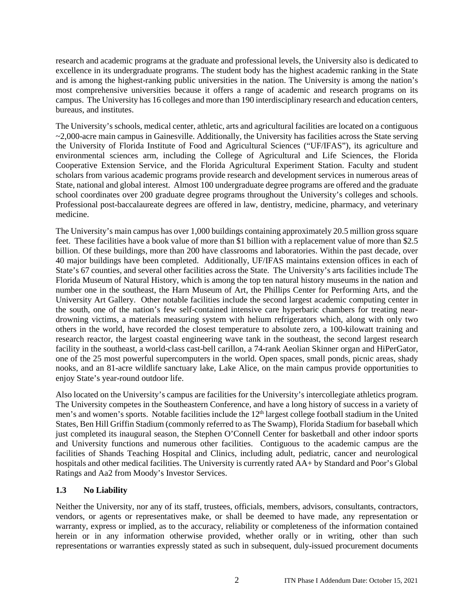research and academic programs at the graduate and professional levels, the University also is dedicated to excellence in its undergraduate programs. The student body has the highest academic ranking in the State and is among the highest-ranking public universities in the nation. The University is among the nation's most comprehensive universities because it offers a range of academic and research programs on its campus. The University has 16 colleges and more than 190 interdisciplinary research and education centers, bureaus, and institutes.

The University's schools, medical center, athletic, arts and agricultural facilities are located on a contiguous ~2,000-acre main campus in Gainesville. Additionally, the University has facilities across the State serving the University of Florida Institute of Food and Agricultural Sciences ("UF/IFAS"), its agriculture and environmental sciences arm, including the College of Agricultural and Life Sciences, the Florida Cooperative Extension Service, and the Florida Agricultural Experiment Station. Faculty and student scholars from various academic programs provide research and development services in numerous areas of State, national and global interest. Almost 100 undergraduate degree programs are offered and the graduate school coordinates over 200 graduate degree programs throughout the University's colleges and schools. Professional post-baccalaureate degrees are offered in law, dentistry, medicine, pharmacy, and veterinary medicine.

The University's main campus has over 1,000 buildings containing approximately 20.5 million gross square feet. These facilities have a book value of more than \$1 billion with a replacement value of more than \$2.5 billion. Of these buildings, more than 200 have classrooms and laboratories. Within the past decade, over 40 major buildings have been completed. Additionally, UF/IFAS maintains extension offices in each of State's 67 counties, and several other facilities across the State. The University's arts facilities include The Florida Museum of Natural History, which is among the top ten natural history museums in the nation and number one in the southeast, the Harn Museum of Art, the Phillips Center for Performing Arts, and the University Art Gallery. Other notable facilities include the second largest academic computing center in the south, one of the nation's few self-contained intensive care hyperbaric chambers for treating neardrowning victims, a materials measuring system with helium refrigerators which, along with only two others in the world, have recorded the closest temperature to absolute zero, a 100-kilowatt training and research reactor, the largest coastal engineering wave tank in the southeast, the second largest research facility in the southeast, a world-class cast-bell carillon, a 74-rank Aeolian Skinner organ and HiPerGator, one of the 25 most powerful supercomputers in the world. Open spaces, small ponds, picnic areas, shady nooks, and an 81-acre wildlife sanctuary lake, Lake Alice, on the main campus provide opportunities to enjoy State's year-round outdoor life.

Also located on the University's campus are facilities for the University's intercollegiate athletics program. The University competes in the Southeastern Conference, and have a long history of success in a variety of men's and women's sports. Notable facilities include the 12<sup>th</sup> largest college football stadium in the United States, Ben Hill Griffin Stadium (commonly referred to as The Swamp), Florida Stadium for baseball which just completed its inaugural season, the Stephen O'Connell Center for basketball and other indoor sports and University functions and numerous other facilities. Contiguous to the academic campus are the facilities of Shands Teaching Hospital and Clinics, including adult, pediatric, cancer and neurological hospitals and other medical facilities. The University is currently rated AA+ by Standard and Poor's Global Ratings and Aa2 from Moody's Investor Services.

## **1.3 No Liability**

Neither the University, nor any of its staff, trustees, officials, members, advisors, consultants, contractors, vendors, or agents or representatives make, or shall be deemed to have made, any representation or warranty, express or implied, as to the accuracy, reliability or completeness of the information contained herein or in any information otherwise provided, whether orally or in writing, other than such representations or warranties expressly stated as such in subsequent, duly-issued procurement documents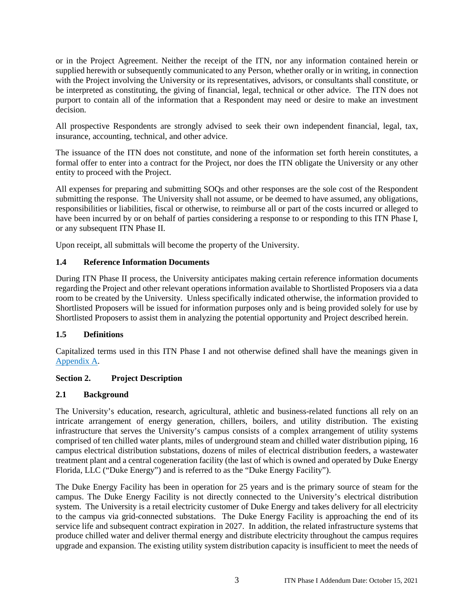or in the Project Agreement. Neither the receipt of the ITN, nor any information contained herein or supplied herewith or subsequently communicated to any Person, whether orally or in writing, in connection with the Project involving the University or its representatives, advisors, or consultants shall constitute, or be interpreted as constituting, the giving of financial, legal, technical or other advice. The ITN does not purport to contain all of the information that a Respondent may need or desire to make an investment decision.

All prospective Respondents are strongly advised to seek their own independent financial, legal, tax, insurance, accounting, technical, and other advice.

The issuance of the ITN does not constitute, and none of the information set forth herein constitutes, a formal offer to enter into a contract for the Project, nor does the ITN obligate the University or any other entity to proceed with the Project.

All expenses for preparing and submitting SOQs and other responses are the sole cost of the Respondent submitting the response. The University shall not assume, or be deemed to have assumed, any obligations, responsibilities or liabilities, fiscal or otherwise, to reimburse all or part of the costs incurred or alleged to have been incurred by or on behalf of parties considering a response to or responding to this ITN Phase I, or any subsequent ITN Phase II.

Upon receipt, all submittals will become the property of the University.

## **1.4 Reference Information Documents**

During ITN Phase II process, the University anticipates making certain reference information documents regarding the Project and other relevant operations information available to Shortlisted Proposers via a data room to be created by the University. Unless specifically indicated otherwise, the information provided to Shortlisted Proposers will be issued for information purposes only and is being provided solely for use by Shortlisted Proposers to assist them in analyzing the potential opportunity and Project described herein.

## **1.5 Definitions**

Capitalized terms used in this ITN Phase I and not otherwise defined shall have the meanings given in Appendix A.

## **Section 2. Project Description**

#### **2.1 Background**

The University's education, research, agricultural, athletic and business-related functions all rely on an intricate arrangement of energy generation, chillers, boilers, and utility distribution. The existing infrastructure that serves the University's campus consists of a complex arrangement of utility systems comprised of ten chilled water plants, miles of underground steam and chilled water distribution piping, 16 campus electrical distribution substations, dozens of miles of electrical distribution feeders, a wastewater treatment plant and a central cogeneration facility (the last of which is owned and operated by Duke Energy Florida, LLC ("Duke Energy") and is referred to as the "Duke Energy Facility").

The Duke Energy Facility has been in operation for 25 years and is the primary source of steam for the campus. The Duke Energy Facility is not directly connected to the University's electrical distribution system. The University is a retail electricity customer of Duke Energy and takes delivery for all electricity to the campus via grid-connected substations. The Duke Energy Facility is approaching the end of its service life and subsequent contract expiration in 2027. In addition, the related infrastructure systems that produce chilled water and deliver thermal energy and distribute electricity throughout the campus requires upgrade and expansion. The existing utility system distribution capacity is insufficient to meet the needs of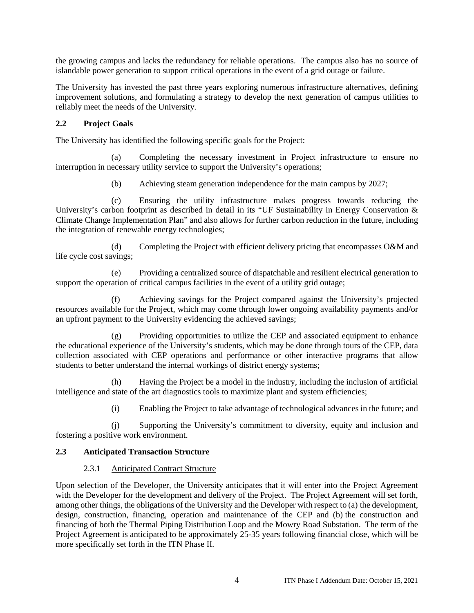the growing campus and lacks the redundancy for reliable operations. The campus also has no source of islandable power generation to support critical operations in the event of a grid outage or failure.

The University has invested the past three years exploring numerous infrastructure alternatives, defining improvement solutions, and formulating a strategy to develop the next generation of campus utilities to reliably meet the needs of the University.

#### **2.2 Project Goals**

The University has identified the following specific goals for the Project:

(a) Completing the necessary investment in Project infrastructure to ensure no interruption in necessary utility service to support the University's operations;

(b) Achieving steam generation independence for the main campus by 2027;

(c) Ensuring the utility infrastructure makes progress towards reducing the University's carbon footprint as described in detail in its "UF Sustainability in Energy Conservation & Climate Change Implementation Plan" and also allows for further carbon reduction in the future, including the integration of renewable energy technologies;

(d) Completing the Project with efficient delivery pricing that encompasses O&M and life cycle cost savings;

(e) Providing a centralized source of dispatchable and resilient electrical generation to support the operation of critical campus facilities in the event of a utility grid outage;

(f) Achieving savings for the Project compared against the University's projected resources available for the Project, which may come through lower ongoing availability payments and/or an upfront payment to the University evidencing the achieved savings;

(g) Providing opportunities to utilize the CEP and associated equipment to enhance the educational experience of the University's students, which may be done through tours of the CEP, data collection associated with CEP operations and performance or other interactive programs that allow students to better understand the internal workings of district energy systems;

(h) Having the Project be a model in the industry, including the inclusion of artificial intelligence and state of the art diagnostics tools to maximize plant and system efficiencies;

(i) Enabling the Project to take advantage of technological advances in the future; and

(j) Supporting the University's commitment to diversity, equity and inclusion and fostering a positive work environment.

#### **2.3 Anticipated Transaction Structure**

#### 2.3.1 Anticipated Contract Structure

Upon selection of the Developer, the University anticipates that it will enter into the Project Agreement with the Developer for the development and delivery of the Project. The Project Agreement will set forth, among other things, the obligations of the University and the Developer with respect to (a) the development, design, construction, financing, operation and maintenance of the CEP and (b) the construction and financing of both the Thermal Piping Distribution Loop and the Mowry Road Substation. The term of the Project Agreement is anticipated to be approximately 25-35 years following financial close, which will be more specifically set forth in the ITN Phase II.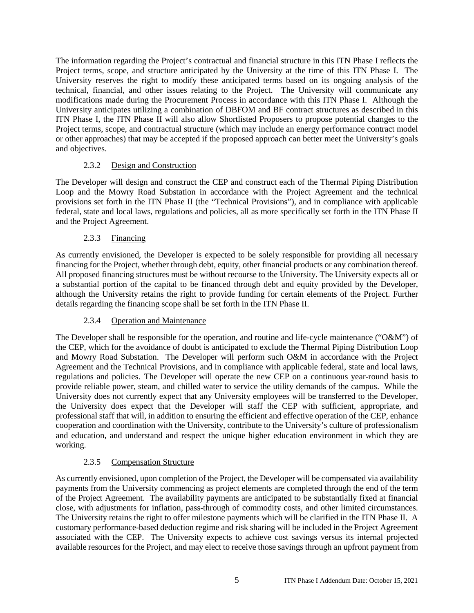The information regarding the Project's contractual and financial structure in this ITN Phase I reflects the Project terms, scope, and structure anticipated by the University at the time of this ITN Phase I. The University reserves the right to modify these anticipated terms based on its ongoing analysis of the technical, financial, and other issues relating to the Project. The University will communicate any modifications made during the Procurement Process in accordance with this ITN Phase I. Although the University anticipates utilizing a combination of DBFOM and BF contract structures as described in this ITN Phase I, the ITN Phase II will also allow Shortlisted Proposers to propose potential changes to the Project terms, scope, and contractual structure (which may include an energy performance contract model or other approaches) that may be accepted if the proposed approach can better meet the University's goals and objectives.

## 2.3.2 Design and Construction

The Developer will design and construct the CEP and construct each of the Thermal Piping Distribution Loop and the Mowry Road Substation in accordance with the Project Agreement and the technical provisions set forth in the ITN Phase II (the "Technical Provisions"), and in compliance with applicable federal, state and local laws, regulations and policies, all as more specifically set forth in the ITN Phase II and the Project Agreement.

## 2.3.3 Financing

As currently envisioned, the Developer is expected to be solely responsible for providing all necessary financing for the Project, whether through debt, equity, other financial products or any combination thereof. All proposed financing structures must be without recourse to the University. The University expects all or a substantial portion of the capital to be financed through debt and equity provided by the Developer, although the University retains the right to provide funding for certain elements of the Project. Further details regarding the financing scope shall be set forth in the ITN Phase II.

## 2.3.4 Operation and Maintenance

The Developer shall be responsible for the operation, and routine and life-cycle maintenance ("O&M") of the CEP, which for the avoidance of doubt is anticipated to exclude the Thermal Piping Distribution Loop and Mowry Road Substation. The Developer will perform such O&M in accordance with the Project Agreement and the Technical Provisions, and in compliance with applicable federal, state and local laws, regulations and policies. The Developer will operate the new CEP on a continuous year-round basis to provide reliable power, steam, and chilled water to service the utility demands of the campus. While the University does not currently expect that any University employees will be transferred to the Developer, the University does expect that the Developer will staff the CEP with sufficient, appropriate, and professional staff that will, in addition to ensuring the efficient and effective operation of the CEP, enhance cooperation and coordination with the University, contribute to the University's culture of professionalism and education, and understand and respect the unique higher education environment in which they are working.

## 2.3.5 Compensation Structure

As currently envisioned, upon completion of the Project, the Developer will be compensated via availability payments from the University commencing as project elements are completed through the end of the term of the Project Agreement. The availability payments are anticipated to be substantially fixed at financial close, with adjustments for inflation, pass-through of commodity costs, and other limited circumstances. The University retains the right to offer milestone payments which will be clarified in the ITN Phase II. A customary performance-based deduction regime and risk sharing will be included in the Project Agreement associated with the CEP. The University expects to achieve cost savings versus its internal projected available resources for the Project, and may elect to receive those savings through an upfront payment from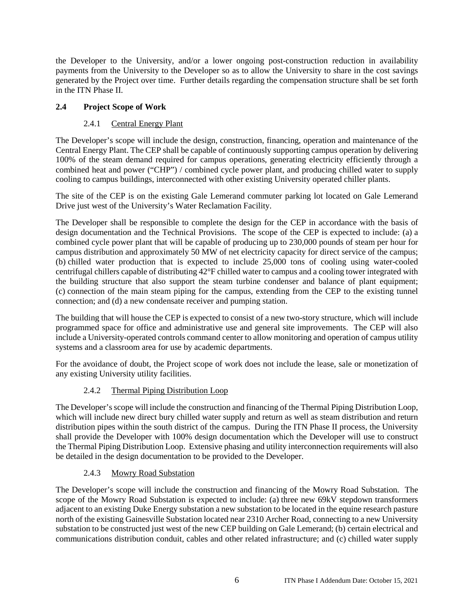the Developer to the University, and/or a lower ongoing post-construction reduction in availability payments from the University to the Developer so as to allow the University to share in the cost savings generated by the Project over time. Further details regarding the compensation structure shall be set forth in the ITN Phase II.

## **2.4 Project Scope of Work**

## 2.4.1 Central Energy Plant

The Developer's scope will include the design, construction, financing, operation and maintenance of the Central Energy Plant. The CEP shall be capable of continuously supporting campus operation by delivering 100% of the steam demand required for campus operations, generating electricity efficiently through a combined heat and power ("CHP") / combined cycle power plant, and producing chilled water to supply cooling to campus buildings, interconnected with other existing University operated chiller plants.

The site of the CEP is on the existing Gale Lemerand commuter parking lot located on Gale Lemerand Drive just west of the University's Water Reclamation Facility.

The Developer shall be responsible to complete the design for the CEP in accordance with the basis of design documentation and the Technical Provisions. The scope of the CEP is expected to include: (a) a combined cycle power plant that will be capable of producing up to 230,000 pounds of steam per hour for campus distribution and approximately 50 MW of net electricity capacity for direct service of the campus; (b) chilled water production that is expected to include 25,000 tons of cooling using water-cooled centrifugal chillers capable of distributing 42°F chilled water to campus and a cooling tower integrated with the building structure that also support the steam turbine condenser and balance of plant equipment; (c) connection of the main steam piping for the campus, extending from the CEP to the existing tunnel connection; and (d) a new condensate receiver and pumping station.

The building that will house the CEP is expected to consist of a new two-story structure, which will include programmed space for office and administrative use and general site improvements. The CEP will also include a University-operated controls command center to allow monitoring and operation of campus utility systems and a classroom area for use by academic departments.

For the avoidance of doubt, the Project scope of work does not include the lease, sale or monetization of any existing University utility facilities.

## 2.4.2 Thermal Piping Distribution Loop

The Developer's scope will include the construction and financing of the Thermal Piping Distribution Loop, which will include new direct bury chilled water supply and return as well as steam distribution and return distribution pipes within the south district of the campus. During the ITN Phase II process, the University shall provide the Developer with 100% design documentation which the Developer will use to construct the Thermal Piping Distribution Loop. Extensive phasing and utility interconnection requirements will also be detailed in the design documentation to be provided to the Developer.

## 2.4.3 Mowry Road Substation

The Developer's scope will include the construction and financing of the Mowry Road Substation. The scope of the Mowry Road Substation is expected to include: (a) three new 69kV stepdown transformers adjacent to an existing Duke Energy substation a new substation to be located in the equine research pasture north of the existing Gainesville Substation located near 2310 Archer Road, connecting to a new University substation to be constructed just west of the new CEP building on Gale Lemerand; (b) certain electrical and communications distribution conduit, cables and other related infrastructure; and (c) chilled water supply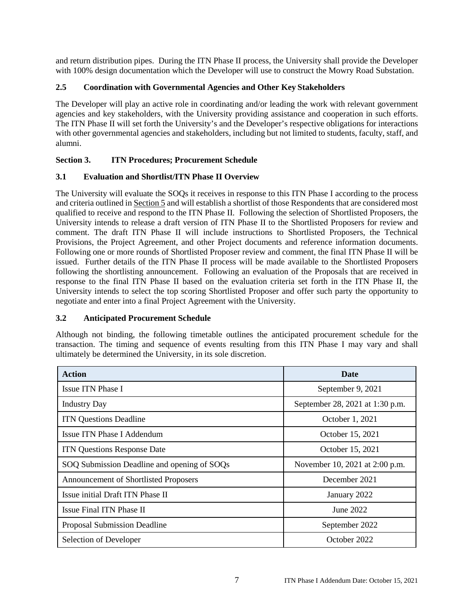and return distribution pipes. During the ITN Phase II process, the University shall provide the Developer with 100% design documentation which the Developer will use to construct the Mowry Road Substation.

## **2.5 Coordination with Governmental Agencies and Other Key Stakeholders**

The Developer will play an active role in coordinating and/or leading the work with relevant government agencies and key stakeholders, with the University providing assistance and cooperation in such efforts. The ITN Phase II will set forth the University's and the Developer's respective obligations for interactions with other governmental agencies and stakeholders, including but not limited to students, faculty, staff, and alumni.

## **Section 3. ITN Procedures; Procurement Schedule**

## **3.1 Evaluation and Shortlist/ITN Phase II Overview**

The University will evaluate the SOQs it receives in response to this ITN Phase I according to the process and criteria outlined in Section 5 and will establish a shortlist of those Respondents that are considered most qualified to receive and respond to the ITN Phase II. Following the selection of Shortlisted Proposers, the University intends to release a draft version of ITN Phase II to the Shortlisted Proposers for review and comment. The draft ITN Phase II will include instructions to Shortlisted Proposers, the Technical Provisions, the Project Agreement, and other Project documents and reference information documents. Following one or more rounds of Shortlisted Proposer review and comment, the final ITN Phase II will be issued. Further details of the ITN Phase II process will be made available to the Shortlisted Proposers following the shortlisting announcement. Following an evaluation of the Proposals that are received in response to the final ITN Phase II based on the evaluation criteria set forth in the ITN Phase II, the University intends to select the top scoring Shortlisted Proposer and offer such party the opportunity to negotiate and enter into a final Project Agreement with the University.

## **3.2 Anticipated Procurement Schedule**

Although not binding, the following timetable outlines the anticipated procurement schedule for the transaction. The timing and sequence of events resulting from this ITN Phase I may vary and shall ultimately be determined the University, in its sole discretion.

| <b>Action</b>                               | <b>Date</b>                     |  |
|---------------------------------------------|---------------------------------|--|
| Issue ITN Phase I                           | September 9, 2021               |  |
| <b>Industry Day</b>                         | September 28, 2021 at 1:30 p.m. |  |
| <b>ITN Questions Deadline</b>               | October 1, 2021                 |  |
| Issue ITN Phase I Addendum                  | October 15, 2021                |  |
| <b>ITN Questions Response Date</b>          | October 15, 2021                |  |
| SOQ Submission Deadline and opening of SOQs | November 10, 2021 at 2:00 p.m.  |  |
| Announcement of Shortlisted Proposers       | December 2021                   |  |
| Issue initial Draft ITN Phase II            | January 2022                    |  |
| Issue Final ITN Phase II                    | June 2022                       |  |
| Proposal Submission Deadline                | September 2022                  |  |
| Selection of Developer                      | October 2022                    |  |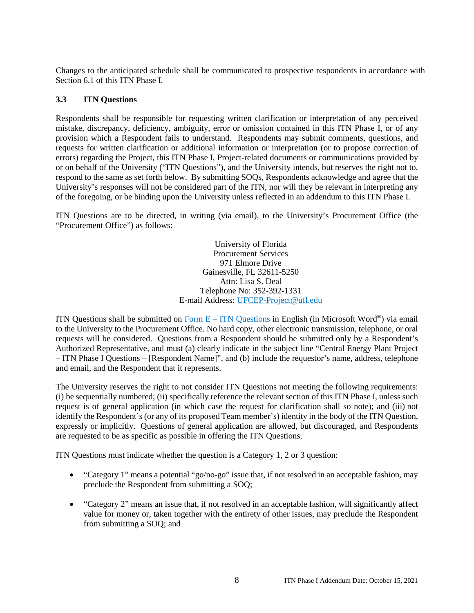Changes to the anticipated schedule shall be communicated to prospective respondents in accordance with Section 6.1 of this ITN Phase I.

#### **3.3 ITN Questions**

Respondents shall be responsible for requesting written clarification or interpretation of any perceived mistake, discrepancy, deficiency, ambiguity, error or omission contained in this ITN Phase I, or of any provision which a Respondent fails to understand. Respondents may submit comments, questions, and requests for written clarification or additional information or interpretation (or to propose correction of errors) regarding the Project, this ITN Phase I, Project-related documents or communications provided by or on behalf of the University ("ITN Questions"), and the University intends, but reserves the right not to, respond to the same as set forth below. By submitting SOQs, Respondents acknowledge and agree that the University's responses will not be considered part of the ITN, nor will they be relevant in interpreting any of the foregoing, or be binding upon the University unless reflected in an addendum to this ITN Phase I.

ITN Questions are to be directed, in writing (via email), to the University's Procurement Office (the "Procurement Office") as follows:

> University of Florida Procurement Services 971 Elmore Drive Gainesville, FL 32611-5250 Attn: Lisa S. Deal Telephone No: 352-392-1331 E-mail Address: UFCEP-Project@ufl.edu

ITN Questions shall be submitted on  $\overline{Form E - ITN$  Questions in English (in Microsoft Word®) via email to the University to the Procurement Office. No hard copy, other electronic transmission, telephone, or oral requests will be considered. Questions from a Respondent should be submitted only by a Respondent's Authorized Representative, and must (a) clearly indicate in the subject line "Central Energy Plant Project – ITN Phase I Questions – [Respondent Name]", and (b) include the requestor's name, address, telephone and email, and the Respondent that it represents.

The University reserves the right to not consider ITN Questions not meeting the following requirements: (i) be sequentially numbered; (ii) specifically reference the relevant section of this ITN Phase I, unless such request is of general application (in which case the request for clarification shall so note); and (iii) not identify the Respondent's (or any of its proposed Team member's) identity in the body of the ITN Question, expressly or implicitly. Questions of general application are allowed, but discouraged, and Respondents are requested to be as specific as possible in offering the ITN Questions.

ITN Questions must indicate whether the question is a Category 1, 2 or 3 question:

- "Category 1" means a potential "go/no-go" issue that, if not resolved in an acceptable fashion, may preclude the Respondent from submitting a SOQ;
- "Category 2" means an issue that, if not resolved in an acceptable fashion, will significantly affect value for money or, taken together with the entirety of other issues, may preclude the Respondent from submitting a SOQ; and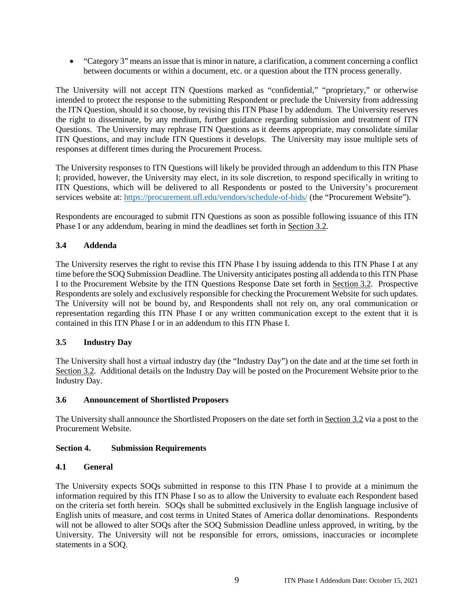"Category 3" means an issue that is minor in nature, a clarification, a comment concerning a conflict between documents or within a document, etc. or a question about the ITN process generally.

The University will not accept ITN Questions marked as "confidential," "proprietary," or otherwise intended to protect the response to the submitting Respondent or preclude the University from addressing the ITN Question, should it so choose, by revising this ITN Phase I by addendum. The University reserves the right to disseminate, by any medium, further guidance regarding submission and treatment of ITN Questions. The University may rephrase ITN Questions as it deems appropriate, may consolidate similar ITN Questions, and may include ITN Questions it develops. The University may issue multiple sets of responses at different times during the Procurement Process.

The University responses to ITN Questions will likely be provided through an addendum to this ITN Phase I; provided, however, the University may elect, in its sole discretion, to respond specifically in writing to ITN Questions, which will be delivered to all Respondents or posted to the University's procurement services website at: https://procurement.ufl.edu/vendors/schedule-of-bids/ (the "Procurement Website").

Respondents are encouraged to submit ITN Questions as soon as possible following issuance of this ITN Phase I or any addendum, bearing in mind the deadlines set forth in Section 3.2.

## **3.4 Addenda**

The University reserves the right to revise this ITN Phase I by issuing addenda to this ITN Phase I at any time before the SOQ Submission Deadline. The University anticipates posting all addenda to this ITN Phase I to the Procurement Website by the ITN Questions Response Date set forth in Section 3.2. Prospective Respondents are solely and exclusively responsible for checking the Procurement Website for such updates. The University will not be bound by, and Respondents shall not rely on, any oral communication or representation regarding this ITN Phase I or any written communication except to the extent that it is contained in this ITN Phase I or in an addendum to this ITN Phase I.

## **3.5 Industry Day**

The University shall host a virtual industry day (the "Industry Day") on the date and at the time set forth in Section 3.2. Additional details on the Industry Day will be posted on the Procurement Website prior to the Industry Day.

## **3.6 Announcement of Shortlisted Proposers**

The University shall announce the Shortlisted Proposers on the date set forth in Section 3.2 via a post to the Procurement Website.

## **Section 4. Submission Requirements**

## **4.1 General**

The University expects SOQs submitted in response to this ITN Phase I to provide at a minimum the information required by this ITN Phase I so as to allow the University to evaluate each Respondent based on the criteria set forth herein. SOQs shall be submitted exclusively in the English language inclusive of English units of measure, and cost terms in United States of America dollar denominations. Respondents will not be allowed to alter SOOs after the SOO Submission Deadline unless approved, in writing, by the University. The University will not be responsible for errors, omissions, inaccuracies or incomplete statements in a SOQ.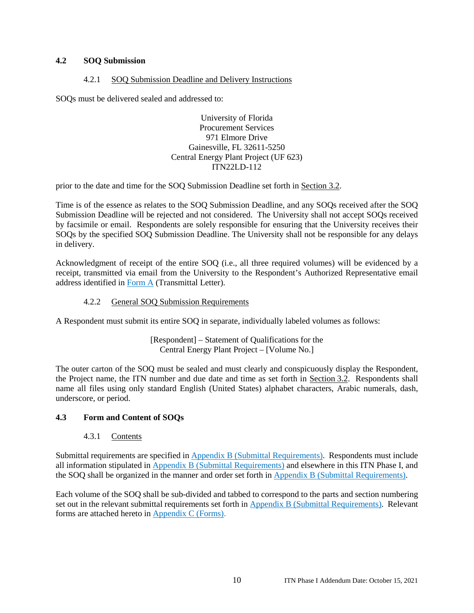## **4.2 SOQ Submission**

#### 4.2.1 SOQ Submission Deadline and Delivery Instructions

SOQs must be delivered sealed and addressed to:

University of Florida Procurement Services 971 Elmore Drive Gainesville, FL 32611-5250 Central Energy Plant Project (UF 623) ITN22LD-112

prior to the date and time for the SOQ Submission Deadline set forth in Section 3.2.

Time is of the essence as relates to the SOQ Submission Deadline, and any SOQs received after the SOQ Submission Deadline will be rejected and not considered. The University shall not accept SOQs received by facsimile or email. Respondents are solely responsible for ensuring that the University receives their SOQs by the specified SOQ Submission Deadline. The University shall not be responsible for any delays in delivery.

Acknowledgment of receipt of the entire SOQ (i.e., all three required volumes) will be evidenced by a receipt, transmitted via email from the University to the Respondent's Authorized Representative email address identified in Form A (Transmittal Letter).

## 4.2.2 General SOQ Submission Requirements

A Respondent must submit its entire SOQ in separate, individually labeled volumes as follows:

[Respondent] – Statement of Qualifications for the Central Energy Plant Project – [Volume No.]

The outer carton of the SOQ must be sealed and must clearly and conspicuously display the Respondent, the Project name, the ITN number and due date and time as set forth in Section 3.2. Respondents shall name all files using only standard English (United States) alphabet characters, Arabic numerals, dash, underscore, or period.

## **4.3 Form and Content of SOQs**

#### 4.3.1 Contents

Submittal requirements are specified in Appendix B (Submittal Requirements). Respondents must include all information stipulated in Appendix B (Submittal Requirements) and elsewhere in this ITN Phase I, and the SOQ shall be organized in the manner and order set forth in Appendix B (Submittal Requirements).

Each volume of the SOQ shall be sub-divided and tabbed to correspond to the parts and section numbering set out in the relevant submittal requirements set forth in Appendix B (Submittal Requirements). Relevant forms are attached hereto in Appendix C (Forms).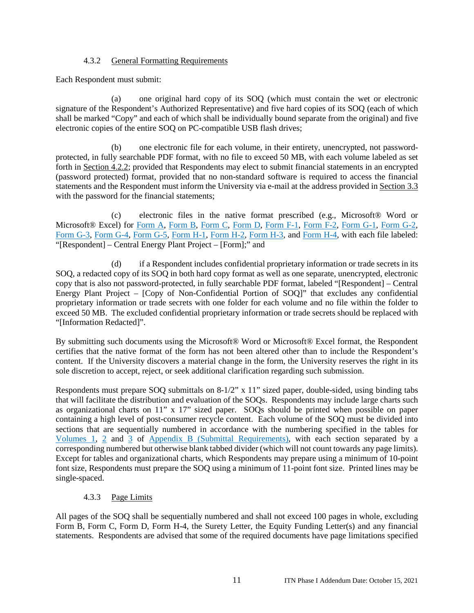#### 4.3.2 General Formatting Requirements

Each Respondent must submit:

(a) one original hard copy of its SOQ (which must contain the wet or electronic signature of the Respondent's Authorized Representative) and five hard copies of its SOQ (each of which shall be marked "Copy" and each of which shall be individually bound separate from the original) and five electronic copies of the entire SOQ on PC-compatible USB flash drives;

(b) one electronic file for each volume, in their entirety, unencrypted, not passwordprotected, in fully searchable PDF format, with no file to exceed 50 MB, with each volume labeled as set forth in Section 4.2.2; provided that Respondents may elect to submit financial statements in an encrypted (password protected) format, provided that no non-standard software is required to access the financial statements and the Respondent must inform the University via e-mail at the address provided in Section 3.3 with the password for the financial statements;

(c) electronic files in the native format prescribed (e.g., Microsoft® Word or Microsoft® Excel) for Form A, Form B, Form C, Form D, Form F-1, Form F-2, Form G-1, Form G-2, Form G-3, Form G-4, Form G-5, Form H-1, Form H-2, Form H-3, and Form H-4, with each file labeled: "[Respondent] – Central Energy Plant Project – [Form];" and

(d) if a Respondent includes confidential proprietary information or trade secrets in its SOQ, a redacted copy of its SOQ in both hard copy format as well as one separate, unencrypted, electronic copy that is also not password-protected, in fully searchable PDF format, labeled "[Respondent] – Central Energy Plant Project – [Copy of Non-Confidential Portion of SOQ]" that excludes any confidential proprietary information or trade secrets with one folder for each volume and no file within the folder to exceed 50 MB. The excluded confidential proprietary information or trade secrets should be replaced with "[Information Redacted]".

By submitting such documents using the Microsoft® Word or Microsoft® Excel format, the Respondent certifies that the native format of the form has not been altered other than to include the Respondent's content. If the University discovers a material change in the form, the University reserves the right in its sole discretion to accept, reject, or seek additional clarification regarding such submission.

Respondents must prepare SOQ submittals on 8-1/2" x 11" sized paper, double-sided, using binding tabs that will facilitate the distribution and evaluation of the SOQs. Respondents may include large charts such as organizational charts on 11" x 17" sized paper. SOQs should be printed when possible on paper containing a high level of post-consumer recycle content. Each volume of the SOQ must be divided into sections that are sequentially numbered in accordance with the numbering specified in the tables for Volumes 1, 2 and 3 of Appendix B (Submittal Requirements), with each section separated by a corresponding numbered but otherwise blank tabbed divider (which will not count towards any page limits). Except for tables and organizational charts, which Respondents may prepare using a minimum of 10-point font size, Respondents must prepare the SOQ using a minimum of 11-point font size. Printed lines may be single-spaced.

#### 4.3.3 Page Limits

All pages of the SOQ shall be sequentially numbered and shall not exceed 100 pages in whole, excluding Form B, Form C, Form D, Form H-4, the Surety Letter, the Equity Funding Letter(s) and any financial statements. Respondents are advised that some of the required documents have page limitations specified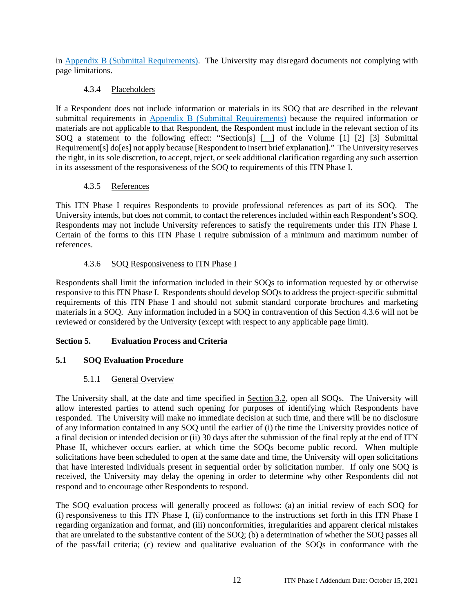in Appendix B (Submittal Requirements). The University may disregard documents not complying with page limitations.

## 4.3.4 Placeholders

If a Respondent does not include information or materials in its SOQ that are described in the relevant submittal requirements in Appendix B (Submittal Requirements) because the required information or materials are not applicable to that Respondent, the Respondent must include in the relevant section of its SOQ a statement to the following effect: "Section[s] [\_\_] of the Volume [1] [2] [3] Submittal Requirement[s] do[es] not apply because [Respondent to insert brief explanation]." The University reserves the right, in its sole discretion, to accept, reject, or seek additional clarification regarding any such assertion in its assessment of the responsiveness of the SOQ to requirements of this ITN Phase I.

## 4.3.5 References

This ITN Phase I requires Respondents to provide professional references as part of its SOQ. The University intends, but does not commit, to contact the references included within each Respondent's SOQ. Respondents may not include University references to satisfy the requirements under this ITN Phase I. Certain of the forms to this ITN Phase I require submission of a minimum and maximum number of references.

## 4.3.6 SOQ Responsiveness to ITN Phase I

Respondents shall limit the information included in their SOQs to information requested by or otherwise responsive to this ITN Phase I. Respondents should develop SOQs to address the project-specific submittal requirements of this ITN Phase I and should not submit standard corporate brochures and marketing materials in a SOQ. Any information included in a SOQ in contravention of this Section 4.3.6 will not be reviewed or considered by the University (except with respect to any applicable page limit).

## **Section 5. Evaluation Process and Criteria**

## **5.1 SOQ Evaluation Procedure**

## 5.1.1 General Overview

The University shall, at the date and time specified in Section 3.2, open all SOQs. The University will allow interested parties to attend such opening for purposes of identifying which Respondents have responded. The University will make no immediate decision at such time, and there will be no disclosure of any information contained in any SOQ until the earlier of (i) the time the University provides notice of a final decision or intended decision or (ii) 30 days after the submission of the final reply at the end of ITN Phase II, whichever occurs earlier, at which time the SOQs become public record. When multiple solicitations have been scheduled to open at the same date and time, the University will open solicitations that have interested individuals present in sequential order by solicitation number. If only one SOQ is received, the University may delay the opening in order to determine why other Respondents did not respond and to encourage other Respondents to respond.

The SOQ evaluation process will generally proceed as follows: (a) an initial review of each SOQ for (i) responsiveness to this ITN Phase I, (ii) conformance to the instructions set forth in this ITN Phase I regarding organization and format, and (iii) nonconformities, irregularities and apparent clerical mistakes that are unrelated to the substantive content of the SOQ; (b) a determination of whether the SOQ passes all of the pass/fail criteria; (c) review and qualitative evaluation of the SOQs in conformance with the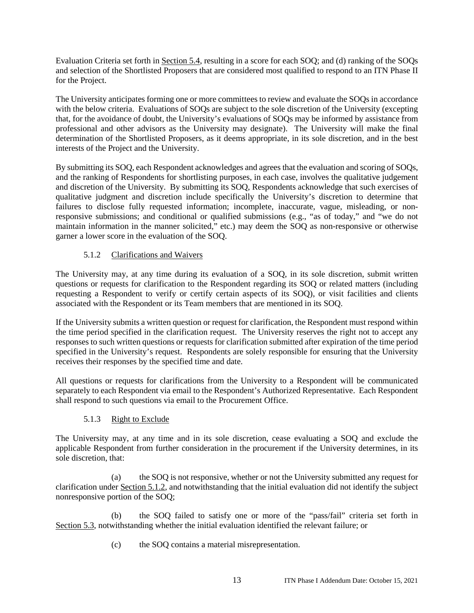Evaluation Criteria set forth in Section 5.4, resulting in a score for each SOQ; and (d) ranking of the SOQs and selection of the Shortlisted Proposers that are considered most qualified to respond to an ITN Phase II for the Project.

The University anticipates forming one or more committees to review and evaluate the SOQs in accordance with the below criteria. Evaluations of SOQs are subject to the sole discretion of the University (excepting that, for the avoidance of doubt, the University's evaluations of SOQs may be informed by assistance from professional and other advisors as the University may designate). The University will make the final determination of the Shortlisted Proposers, as it deems appropriate, in its sole discretion, and in the best interests of the Project and the University.

By submitting its SOQ, each Respondent acknowledges and agrees that the evaluation and scoring of SOQs, and the ranking of Respondents for shortlisting purposes, in each case, involves the qualitative judgement and discretion of the University. By submitting its SOQ, Respondents acknowledge that such exercises of qualitative judgment and discretion include specifically the University's discretion to determine that failures to disclose fully requested information; incomplete, inaccurate, vague, misleading, or nonresponsive submissions; and conditional or qualified submissions (e.g., "as of today," and "we do not maintain information in the manner solicited," etc.) may deem the SOQ as non-responsive or otherwise garner a lower score in the evaluation of the SOQ.

## 5.1.2 Clarifications and Waivers

The University may, at any time during its evaluation of a SOQ, in its sole discretion, submit written questions or requests for clarification to the Respondent regarding its SOQ or related matters (including requesting a Respondent to verify or certify certain aspects of its SOQ), or visit facilities and clients associated with the Respondent or its Team members that are mentioned in its SOQ.

If the University submits a written question or request for clarification, the Respondent must respond within the time period specified in the clarification request. The University reserves the right not to accept any responses to such written questions or requests for clarification submitted after expiration of the time period specified in the University's request. Respondents are solely responsible for ensuring that the University receives their responses by the specified time and date.

All questions or requests for clarifications from the University to a Respondent will be communicated separately to each Respondent via email to the Respondent's Authorized Representative. Each Respondent shall respond to such questions via email to the Procurement Office.

## 5.1.3 Right to Exclude

The University may, at any time and in its sole discretion, cease evaluating a SOQ and exclude the applicable Respondent from further consideration in the procurement if the University determines, in its sole discretion, that:

(a) the SOQ is not responsive, whether or not the University submitted any request for clarification under Section 5.1.2, and notwithstanding that the initial evaluation did not identify the subject nonresponsive portion of the SOQ;

(b) the SOQ failed to satisfy one or more of the "pass/fail" criteria set forth in Section 5.3, notwithstanding whether the initial evaluation identified the relevant failure; or

(c) the SOQ contains a material misrepresentation.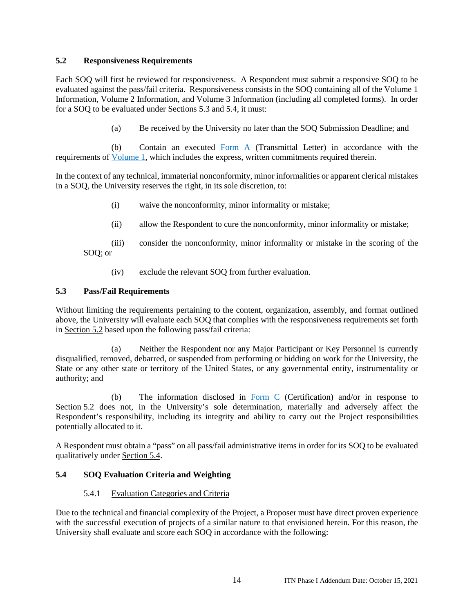#### **5.2 Responsiveness Requirements**

Each SOQ will first be reviewed for responsiveness. A Respondent must submit a responsive SOQ to be evaluated against the pass/fail criteria. Responsiveness consists in the SOQ containing all of the Volume 1 Information, Volume 2 Information, and Volume 3 Information (including all completed forms). In order for a SOQ to be evaluated under Sections 5.3 and 5.4, it must:

(a) Be received by the University no later than the SOQ Submission Deadline; and

(b) Contain an executed Form A (Transmittal Letter) in accordance with the requirements of Volume 1, which includes the express, written commitments required therein.

In the context of any technical, immaterial nonconformity, minor informalities or apparent clerical mistakes in a SOQ, the University reserves the right, in its sole discretion, to:

- (i) waive the nonconformity, minor informality or mistake;
- (ii) allow the Respondent to cure the nonconformity, minor informality or mistake;

(iii) consider the nonconformity, minor informality or mistake in the scoring of the SOQ; or

(iv) exclude the relevant SOQ from further evaluation.

#### **5.3 Pass/Fail Requirements**

Without limiting the requirements pertaining to the content, organization, assembly, and format outlined above, the University will evaluate each SOQ that complies with the responsiveness requirements set forth in Section 5.2 based upon the following pass/fail criteria:

(a) Neither the Respondent nor any Major Participant or Key Personnel is currently disqualified, removed, debarred, or suspended from performing or bidding on work for the University, the State or any other state or territory of the United States, or any governmental entity, instrumentality or authority; and

(b) The information disclosed in Form  $\Gamma$  (Certification) and/or in response to Section 5.2 does not, in the University's sole determination, materially and adversely affect the Respondent's responsibility, including its integrity and ability to carry out the Project responsibilities potentially allocated to it.

A Respondent must obtain a "pass" on all pass/fail administrative items in order for its SOQ to be evaluated qualitatively under Section 5.4.

## **5.4 SOQ Evaluation Criteria and Weighting**

## 5.4.1 Evaluation Categories and Criteria

Due to the technical and financial complexity of the Project, a Proposer must have direct proven experience with the successful execution of projects of a similar nature to that envisioned herein. For this reason, the University shall evaluate and score each SOQ in accordance with the following: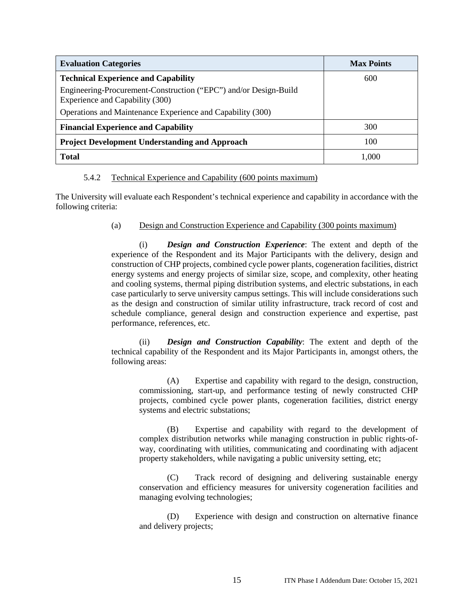| <b>Evaluation Categories</b>                                                                        | <b>Max Points</b> |
|-----------------------------------------------------------------------------------------------------|-------------------|
| <b>Technical Experience and Capability</b>                                                          | 600               |
| Engineering-Procurement-Construction ("EPC") and/or Design-Build<br>Experience and Capability (300) |                   |
| Operations and Maintenance Experience and Capability (300)                                          |                   |
| <b>Financial Experience and Capability</b>                                                          | 300               |
| <b>Project Development Understanding and Approach</b>                                               | 100               |
| <b>Total</b>                                                                                        | 1.000             |

#### 5.4.2 Technical Experience and Capability (600 points maximum)

The University will evaluate each Respondent's technical experience and capability in accordance with the following criteria:

## (a) Design and Construction Experience and Capability (300 points maximum)

(i) *Design and Construction Experience*: The extent and depth of the experience of the Respondent and its Major Participants with the delivery, design and construction of CHP projects, combined cycle power plants, cogeneration facilities, district energy systems and energy projects of similar size, scope, and complexity, other heating and cooling systems, thermal piping distribution systems, and electric substations, in each case particularly to serve university campus settings. This will include considerations such as the design and construction of similar utility infrastructure, track record of cost and schedule compliance, general design and construction experience and expertise, past performance, references, etc.

(ii) *Design and Construction Capability*: The extent and depth of the technical capability of the Respondent and its Major Participants in, amongst others, the following areas:

(A) Expertise and capability with regard to the design, construction, commissioning, start-up, and performance testing of newly constructed CHP projects, combined cycle power plants, cogeneration facilities, district energy systems and electric substations;

(B) Expertise and capability with regard to the development of complex distribution networks while managing construction in public rights-ofway, coordinating with utilities, communicating and coordinating with adjacent property stakeholders, while navigating a public university setting, etc;

(C) Track record of designing and delivering sustainable energy conservation and efficiency measures for university cogeneration facilities and managing evolving technologies;

(D) Experience with design and construction on alternative finance and delivery projects;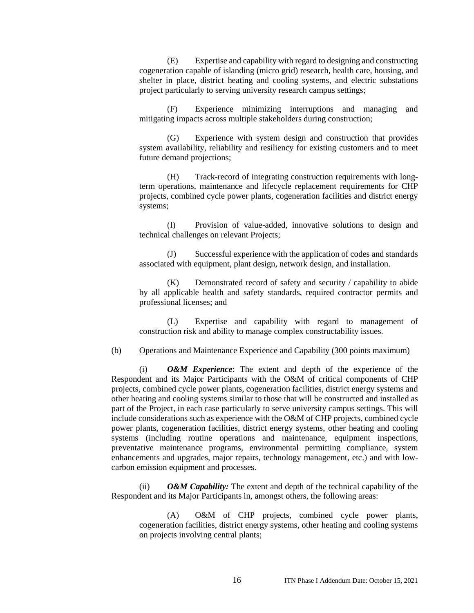(E) Expertise and capability with regard to designing and constructing cogeneration capable of islanding (micro grid) research, health care, housing, and shelter in place, district heating and cooling systems, and electric substations project particularly to serving university research campus settings;

(F) Experience minimizing interruptions and managing and mitigating impacts across multiple stakeholders during construction;

(G) Experience with system design and construction that provides system availability, reliability and resiliency for existing customers and to meet future demand projections;

(H) Track-record of integrating construction requirements with longterm operations, maintenance and lifecycle replacement requirements for CHP projects, combined cycle power plants, cogeneration facilities and district energy systems;

(I) Provision of value-added, innovative solutions to design and technical challenges on relevant Projects;

(J) Successful experience with the application of codes and standards associated with equipment, plant design, network design, and installation.

(K) Demonstrated record of safety and security / capability to abide by all applicable health and safety standards, required contractor permits and professional licenses; and

(L) Expertise and capability with regard to management of construction risk and ability to manage complex constructability issues.

#### (b) Operations and Maintenance Experience and Capability (300 points maximum)

(i) *O&M Experience*: The extent and depth of the experience of the Respondent and its Major Participants with the O&M of critical components of CHP projects, combined cycle power plants, cogeneration facilities, district energy systems and other heating and cooling systems similar to those that will be constructed and installed as part of the Project, in each case particularly to serve university campus settings. This will include considerations such as experience with the O&M of CHP projects, combined cycle power plants, cogeneration facilities, district energy systems, other heating and cooling systems (including routine operations and maintenance, equipment inspections, preventative maintenance programs, environmental permitting compliance, system enhancements and upgrades, major repairs, technology management, etc.) and with lowcarbon emission equipment and processes.

(ii) *O&M Capability:* The extent and depth of the technical capability of the Respondent and its Major Participants in, amongst others, the following areas:

(A) O&M of CHP projects, combined cycle power plants, cogeneration facilities, district energy systems, other heating and cooling systems on projects involving central plants;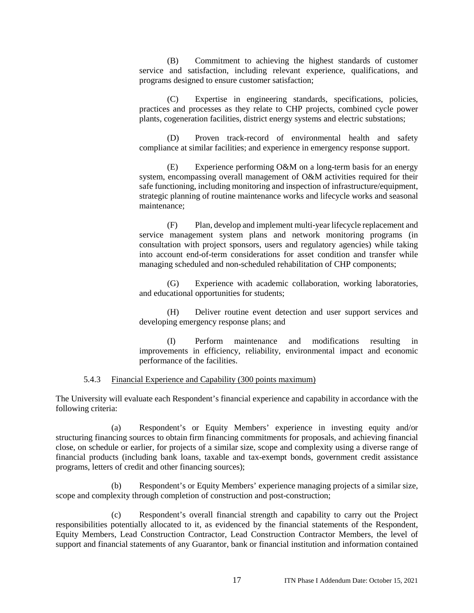(B) Commitment to achieving the highest standards of customer service and satisfaction, including relevant experience, qualifications, and programs designed to ensure customer satisfaction;

(C) Expertise in engineering standards, specifications, policies, practices and processes as they relate to CHP projects, combined cycle power plants, cogeneration facilities, district energy systems and electric substations;

(D) Proven track-record of environmental health and safety compliance at similar facilities; and experience in emergency response support.

(E) Experience performing O&M on a long-term basis for an energy system, encompassing overall management of O&M activities required for their safe functioning, including monitoring and inspection of infrastructure/equipment, strategic planning of routine maintenance works and lifecycle works and seasonal maintenance;

(F) Plan, develop and implement multi-year lifecycle replacement and service management system plans and network monitoring programs (in consultation with project sponsors, users and regulatory agencies) while taking into account end-of-term considerations for asset condition and transfer while managing scheduled and non-scheduled rehabilitation of CHP components;

(G) Experience with academic collaboration, working laboratories, and educational opportunities for students;

(H) Deliver routine event detection and user support services and developing emergency response plans; and

(I) Perform maintenance and modifications resulting in improvements in efficiency, reliability, environmental impact and economic performance of the facilities.

#### 5.4.3 Financial Experience and Capability (300 points maximum)

The University will evaluate each Respondent's financial experience and capability in accordance with the following criteria:

(a) Respondent's or Equity Members' experience in investing equity and/or structuring financing sources to obtain firm financing commitments for proposals, and achieving financial close, on schedule or earlier, for projects of a similar size, scope and complexity using a diverse range of financial products (including bank loans, taxable and tax-exempt bonds, government credit assistance programs, letters of credit and other financing sources);

Respondent's or Equity Members' experience managing projects of a similar size, scope and complexity through completion of construction and post-construction;

(c) Respondent's overall financial strength and capability to carry out the Project responsibilities potentially allocated to it, as evidenced by the financial statements of the Respondent, Equity Members, Lead Construction Contractor, Lead Construction Contractor Members, the level of support and financial statements of any Guarantor, bank or financial institution and information contained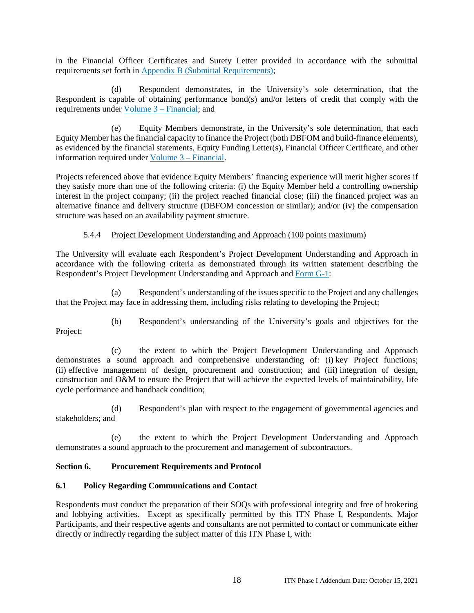in the Financial Officer Certificates and Surety Letter provided in accordance with the submittal requirements set forth in Appendix B (Submittal Requirements);

(d) Respondent demonstrates, in the University's sole determination, that the Respondent is capable of obtaining performance bond(s) and/or letters of credit that comply with the requirements under Volume 3 – Financial; and

Equity Members demonstrate, in the University's sole determination, that each Equity Member has the financial capacity to finance the Project (both DBFOM and build-finance elements), as evidenced by the financial statements, Equity Funding Letter(s), Financial Officer Certificate, and other information required under Volume 3 – Financial.

Projects referenced above that evidence Equity Members' financing experience will merit higher scores if they satisfy more than one of the following criteria: (i) the Equity Member held a controlling ownership interest in the project company; (ii) the project reached financial close; (iii) the financed project was an alternative finance and delivery structure (DBFOM concession or similar); and/or (iv) the compensation structure was based on an availability payment structure.

#### 5.4.4 Project Development Understanding and Approach (100 points maximum)

The University will evaluate each Respondent's Project Development Understanding and Approach in accordance with the following criteria as demonstrated through its written statement describing the Respondent's Project Development Understanding and Approach and Form G-1:

(a) Respondent's understanding of the issues specific to the Project and any challenges that the Project may face in addressing them, including risks relating to developing the Project;

(b) Respondent's understanding of the University's goals and objectives for the

Project;

(c) the extent to which the Project Development Understanding and Approach demonstrates a sound approach and comprehensive understanding of: (i) key Project functions; (ii) effective management of design, procurement and construction; and (iii) integration of design, construction and O&M to ensure the Project that will achieve the expected levels of maintainability, life cycle performance and handback condition;

(d) Respondent's plan with respect to the engagement of governmental agencies and stakeholders; and

the extent to which the Project Development Understanding and Approach demonstrates a sound approach to the procurement and management of subcontractors.

## **Section 6. Procurement Requirements and Protocol**

## **6.1 Policy Regarding Communications and Contact**

Respondents must conduct the preparation of their SOQs with professional integrity and free of brokering and lobbying activities. Except as specifically permitted by this ITN Phase I, Respondents, Major Participants, and their respective agents and consultants are not permitted to contact or communicate either directly or indirectly regarding the subject matter of this ITN Phase I, with: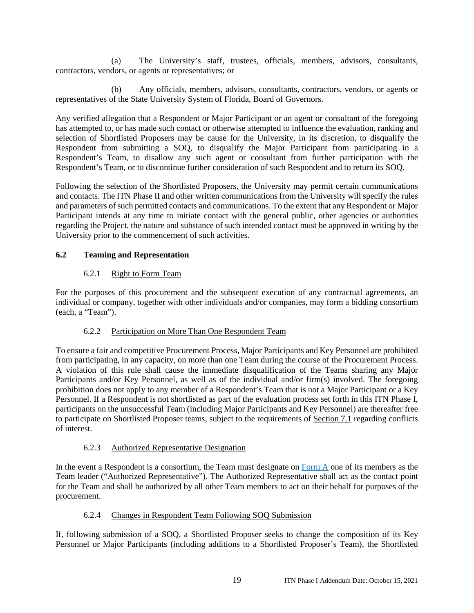(a) The University's staff, trustees, officials, members, advisors, consultants, contractors, vendors, or agents or representatives; or

(b) Any officials, members, advisors, consultants, contractors, vendors, or agents or representatives of the State University System of Florida, Board of Governors.

Any verified allegation that a Respondent or Major Participant or an agent or consultant of the foregoing has attempted to, or has made such contact or otherwise attempted to influence the evaluation, ranking and selection of Shortlisted Proposers may be cause for the University, in its discretion, to disqualify the Respondent from submitting a SOQ, to disqualify the Major Participant from participating in a Respondent's Team, to disallow any such agent or consultant from further participation with the Respondent's Team, or to discontinue further consideration of such Respondent and to return its SOQ.

Following the selection of the Shortlisted Proposers, the University may permit certain communications and contacts. The ITN Phase II and other written communications from the University will specify the rules and parameters of such permitted contacts and communications. To the extent that any Respondent or Major Participant intends at any time to initiate contact with the general public, other agencies or authorities regarding the Project, the nature and substance of such intended contact must be approved in writing by the University prior to the commencement of such activities.

#### **6.2 Teaming and Representation**

#### 6.2.1 Right to Form Team

For the purposes of this procurement and the subsequent execution of any contractual agreements, an individual or company, together with other individuals and/or companies, may form a bidding consortium (each, a "Team").

#### 6.2.2 Participation on More Than One Respondent Team

To ensure a fair and competitive Procurement Process, Major Participants and Key Personnel are prohibited from participating, in any capacity, on more than one Team during the course of the Procurement Process. A violation of this rule shall cause the immediate disqualification of the Teams sharing any Major Participants and/or Key Personnel, as well as of the individual and/or firm(s) involved. The foregoing prohibition does not apply to any member of a Respondent's Team that is not a Major Participant or a Key Personnel. If a Respondent is not shortlisted as part of the evaluation process set forth in this ITN Phase I, participants on the unsuccessful Team (including Major Participants and Key Personnel) are thereafter free to participate on Shortlisted Proposer teams, subject to the requirements of Section 7.1 regarding conflicts of interest.

#### 6.2.3 Authorized Representative Designation

In the event a Respondent is a consortium, the Team must designate on Form A one of its members as the Team leader ("Authorized Representative"). The Authorized Representative shall act as the contact point for the Team and shall be authorized by all other Team members to act on their behalf for purposes of the procurement.

## 6.2.4 Changes in Respondent Team Following SOQ Submission

If, following submission of a SOQ, a Shortlisted Proposer seeks to change the composition of its Key Personnel or Major Participants (including additions to a Shortlisted Proposer's Team), the Shortlisted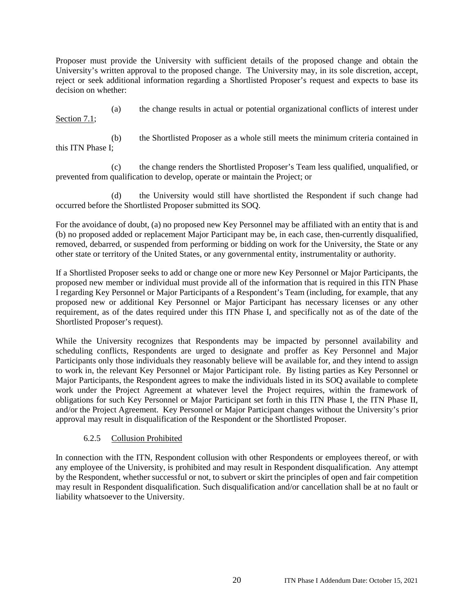Proposer must provide the University with sufficient details of the proposed change and obtain the University's written approval to the proposed change. The University may, in its sole discretion, accept, reject or seek additional information regarding a Shortlisted Proposer's request and expects to base its decision on whether:

Section 7.1;

(a) the change results in actual or potential organizational conflicts of interest under

(b) the Shortlisted Proposer as a whole still meets the minimum criteria contained in this ITN Phase I;

(c) the change renders the Shortlisted Proposer's Team less qualified, unqualified, or prevented from qualification to develop, operate or maintain the Project; or

(d) the University would still have shortlisted the Respondent if such change had occurred before the Shortlisted Proposer submitted its SOQ.

For the avoidance of doubt, (a) no proposed new Key Personnel may be affiliated with an entity that is and (b) no proposed added or replacement Major Participant may be, in each case, then-currently disqualified, removed, debarred, or suspended from performing or bidding on work for the University, the State or any other state or territory of the United States, or any governmental entity, instrumentality or authority.

If a Shortlisted Proposer seeks to add or change one or more new Key Personnel or Major Participants, the proposed new member or individual must provide all of the information that is required in this ITN Phase I regarding Key Personnel or Major Participants of a Respondent's Team (including, for example, that any proposed new or additional Key Personnel or Major Participant has necessary licenses or any other requirement, as of the dates required under this ITN Phase I, and specifically not as of the date of the Shortlisted Proposer's request).

While the University recognizes that Respondents may be impacted by personnel availability and scheduling conflicts, Respondents are urged to designate and proffer as Key Personnel and Major Participants only those individuals they reasonably believe will be available for, and they intend to assign to work in, the relevant Key Personnel or Major Participant role. By listing parties as Key Personnel or Major Participants, the Respondent agrees to make the individuals listed in its SOQ available to complete work under the Project Agreement at whatever level the Project requires, within the framework of obligations for such Key Personnel or Major Participant set forth in this ITN Phase I, the ITN Phase II, and/or the Project Agreement. Key Personnel or Major Participant changes without the University's prior approval may result in disqualification of the Respondent or the Shortlisted Proposer.

## 6.2.5 Collusion Prohibited

In connection with the ITN, Respondent collusion with other Respondents or employees thereof, or with any employee of the University, is prohibited and may result in Respondent disqualification. Any attempt by the Respondent, whether successful or not, to subvert or skirt the principles of open and fair competition may result in Respondent disqualification. Such disqualification and/or cancellation shall be at no fault or liability whatsoever to the University.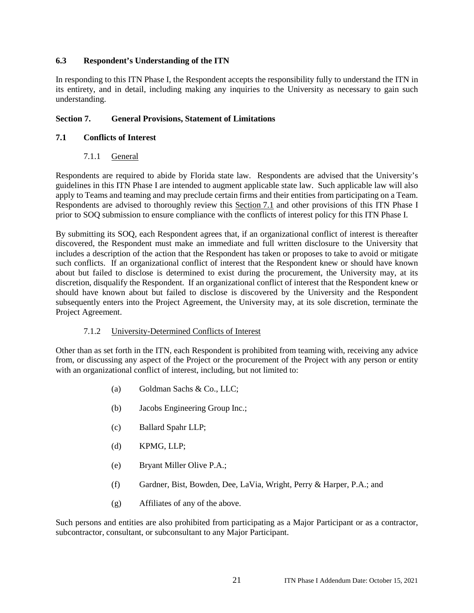#### **6.3 Respondent's Understanding of the ITN**

In responding to this ITN Phase I, the Respondent accepts the responsibility fully to understand the ITN in its entirety, and in detail, including making any inquiries to the University as necessary to gain such understanding.

#### **Section 7. General Provisions, Statement of Limitations**

#### **7.1 Conflicts of Interest**

#### 7.1.1 General

Respondents are required to abide by Florida state law. Respondents are advised that the University's guidelines in this ITN Phase I are intended to augment applicable state law. Such applicable law will also apply to Teams and teaming and may preclude certain firms and their entities from participating on a Team. Respondents are advised to thoroughly review this Section 7.1 and other provisions of this ITN Phase I prior to SOQ submission to ensure compliance with the conflicts of interest policy for this ITN Phase I.

By submitting its SOQ, each Respondent agrees that, if an organizational conflict of interest is thereafter discovered, the Respondent must make an immediate and full written disclosure to the University that includes a description of the action that the Respondent has taken or proposes to take to avoid or mitigate such conflicts. If an organizational conflict of interest that the Respondent knew or should have known about but failed to disclose is determined to exist during the procurement, the University may, at its discretion, disqualify the Respondent. If an organizational conflict of interest that the Respondent knew or should have known about but failed to disclose is discovered by the University and the Respondent subsequently enters into the Project Agreement, the University may, at its sole discretion, terminate the Project Agreement.

#### 7.1.2 University-Determined Conflicts of Interest

Other than as set forth in the ITN, each Respondent is prohibited from teaming with, receiving any advice from, or discussing any aspect of the Project or the procurement of the Project with any person or entity with an organizational conflict of interest, including, but not limited to:

- (a) Goldman Sachs & Co., LLC;
- (b) Jacobs Engineering Group Inc.;
- (c) Ballard Spahr LLP;
- (d) KPMG, LLP;
- (e) Bryant Miller Olive P.A.;
- (f) Gardner, Bist, Bowden, Dee, LaVia, Wright, Perry & Harper, P.A.; and
- (g) Affiliates of any of the above.

Such persons and entities are also prohibited from participating as a Major Participant or as a contractor, subcontractor, consultant, or subconsultant to any Major Participant.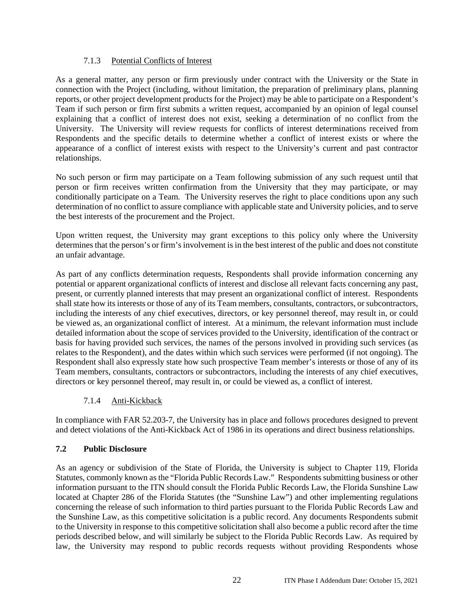#### 7.1.3 Potential Conflicts of Interest

As a general matter, any person or firm previously under contract with the University or the State in connection with the Project (including, without limitation, the preparation of preliminary plans, planning reports, or other project development products for the Project) may be able to participate on a Respondent's Team if such person or firm first submits a written request, accompanied by an opinion of legal counsel explaining that a conflict of interest does not exist, seeking a determination of no conflict from the University. The University will review requests for conflicts of interest determinations received from Respondents and the specific details to determine whether a conflict of interest exists or where the appearance of a conflict of interest exists with respect to the University's current and past contractor relationships.

No such person or firm may participate on a Team following submission of any such request until that person or firm receives written confirmation from the University that they may participate, or may conditionally participate on a Team. The University reserves the right to place conditions upon any such determination of no conflict to assure compliance with applicable state and University policies, and to serve the best interests of the procurement and the Project.

Upon written request, the University may grant exceptions to this policy only where the University determines that the person's or firm's involvement is in the best interest of the public and does not constitute an unfair advantage.

As part of any conflicts determination requests, Respondents shall provide information concerning any potential or apparent organizational conflicts of interest and disclose all relevant facts concerning any past, present, or currently planned interests that may present an organizational conflict of interest. Respondents shall state how its interests or those of any of its Team members, consultants, contractors, or subcontractors, including the interests of any chief executives, directors, or key personnel thereof, may result in, or could be viewed as, an organizational conflict of interest. At a minimum, the relevant information must include detailed information about the scope of services provided to the University, identification of the contract or basis for having provided such services, the names of the persons involved in providing such services (as relates to the Respondent), and the dates within which such services were performed (if not ongoing). The Respondent shall also expressly state how such prospective Team member's interests or those of any of its Team members, consultants, contractors or subcontractors, including the interests of any chief executives, directors or key personnel thereof, may result in, or could be viewed as, a conflict of interest.

## 7.1.4 Anti-Kickback

In compliance with FAR 52.203-7, the University has in place and follows procedures designed to prevent and detect violations of the Anti-Kickback Act of 1986 in its operations and direct business relationships.

## **7.2 Public Disclosure**

As an agency or subdivision of the State of Florida, the University is subject to Chapter 119, Florida Statutes, commonly known as the "Florida Public Records Law." Respondents submitting business or other information pursuant to the ITN should consult the Florida Public Records Law, the Florida Sunshine Law located at Chapter 286 of the Florida Statutes (the "Sunshine Law") and other implementing regulations concerning the release of such information to third parties pursuant to the Florida Public Records Law and the Sunshine Law, as this competitive solicitation is a public record. Any documents Respondents submit to the University in response to this competitive solicitation shall also become a public record after the time periods described below, and will similarly be subject to the Florida Public Records Law. As required by law, the University may respond to public records requests without providing Respondents whose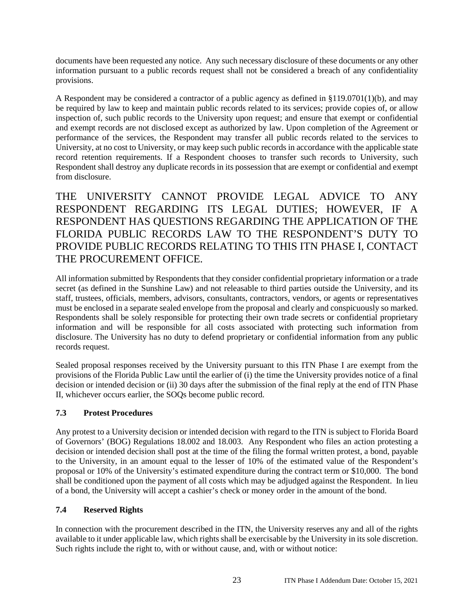documents have been requested any notice. Any such necessary disclosure of these documents or any other information pursuant to a public records request shall not be considered a breach of any confidentiality provisions.

A Respondent may be considered a contractor of a public agency as defined in §119.0701(1)(b), and may be required by law to keep and maintain public records related to its services; provide copies of, or allow inspection of, such public records to the University upon request; and ensure that exempt or confidential and exempt records are not disclosed except as authorized by law. Upon completion of the Agreement or performance of the services, the Respondent may transfer all public records related to the services to University, at no cost to University, or may keep such public records in accordance with the applicable state record retention requirements. If a Respondent chooses to transfer such records to University, such Respondent shall destroy any duplicate records in its possession that are exempt or confidential and exempt from disclosure.

THE UNIVERSITY CANNOT PROVIDE LEGAL ADVICE TO ANY RESPONDENT REGARDING ITS LEGAL DUTIES; HOWEVER, IF A RESPONDENT HAS QUESTIONS REGARDING THE APPLICATION OF THE FLORIDA PUBLIC RECORDS LAW TO THE RESPONDENT'S DUTY TO PROVIDE PUBLIC RECORDS RELATING TO THIS ITN PHASE I, CONTACT THE PROCUREMENT OFFICE.

All information submitted by Respondents that they consider confidential proprietary information or a trade secret (as defined in the Sunshine Law) and not releasable to third parties outside the University, and its staff, trustees, officials, members, advisors, consultants, contractors, vendors, or agents or representatives must be enclosed in a separate sealed envelope from the proposal and clearly and conspicuously so marked. Respondents shall be solely responsible for protecting their own trade secrets or confidential proprietary information and will be responsible for all costs associated with protecting such information from disclosure. The University has no duty to defend proprietary or confidential information from any public records request.

Sealed proposal responses received by the University pursuant to this ITN Phase I are exempt from the provisions of the Florida Public Law until the earlier of (i) the time the University provides notice of a final decision or intended decision or (ii) 30 days after the submission of the final reply at the end of ITN Phase II, whichever occurs earlier, the SOQs become public record.

## **7.3 Protest Procedures**

Any protest to a University decision or intended decision with regard to the ITN is subject to Florida Board of Governors' (BOG) Regulations 18.002 and 18.003. Any Respondent who files an action protesting a decision or intended decision shall post at the time of the filing the formal written protest, a bond, payable to the University, in an amount equal to the lesser of 10% of the estimated value of the Respondent's proposal or 10% of the University's estimated expenditure during the contract term or \$10,000. The bond shall be conditioned upon the payment of all costs which may be adjudged against the Respondent. In lieu of a bond, the University will accept a cashier's check or money order in the amount of the bond.

## **7.4 Reserved Rights**

In connection with the procurement described in the ITN, the University reserves any and all of the rights available to it under applicable law, which rights shall be exercisable by the University in its sole discretion. Such rights include the right to, with or without cause, and, with or without notice: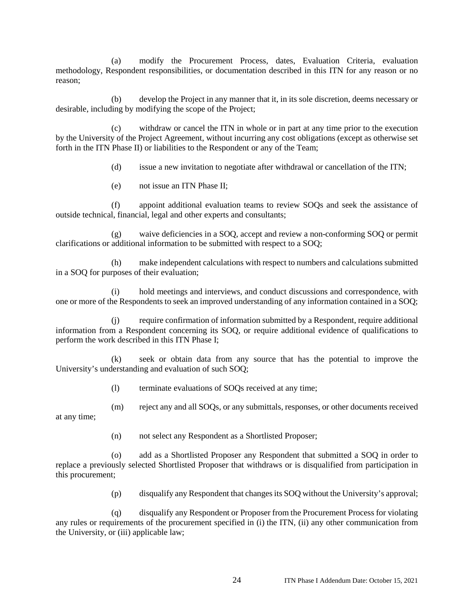(a) modify the Procurement Process, dates, Evaluation Criteria, evaluation methodology, Respondent responsibilities, or documentation described in this ITN for any reason or no reason;

(b) develop the Project in any manner that it, in its sole discretion, deems necessary or desirable, including by modifying the scope of the Project;

withdraw or cancel the ITN in whole or in part at any time prior to the execution by the University of the Project Agreement, without incurring any cost obligations (except as otherwise set forth in the ITN Phase II) or liabilities to the Respondent or any of the Team;

(d) issue a new invitation to negotiate after withdrawal or cancellation of the ITN;

(e) not issue an ITN Phase II;

(f) appoint additional evaluation teams to review SOQs and seek the assistance of outside technical, financial, legal and other experts and consultants;

(g) waive deficiencies in a SOQ, accept and review a non-conforming SOQ or permit clarifications or additional information to be submitted with respect to a SOQ;

(h) make independent calculations with respect to numbers and calculations submitted in a SOQ for purposes of their evaluation;

(i) hold meetings and interviews, and conduct discussions and correspondence, with one or more of the Respondents to seek an improved understanding of any information contained in a SOQ;

(j) require confirmation of information submitted by a Respondent, require additional information from a Respondent concerning its SOQ, or require additional evidence of qualifications to perform the work described in this ITN Phase I;

(k) seek or obtain data from any source that has the potential to improve the University's understanding and evaluation of such SOQ;

(l) terminate evaluations of SOQs received at any time;

(m) reject any and all SOQs, or any submittals, responses, or other documents received at any time;

(n) not select any Respondent as a Shortlisted Proposer;

add as a Shortlisted Proposer any Respondent that submitted a SOQ in order to replace a previously selected Shortlisted Proposer that withdraws or is disqualified from participation in this procurement;

(p) disqualify any Respondent that changes its SOQ without the University's approval;

(q) disqualify any Respondent or Proposer from the Procurement Process for violating any rules or requirements of the procurement specified in (i) the ITN, (ii) any other communication from the University, or (iii) applicable law;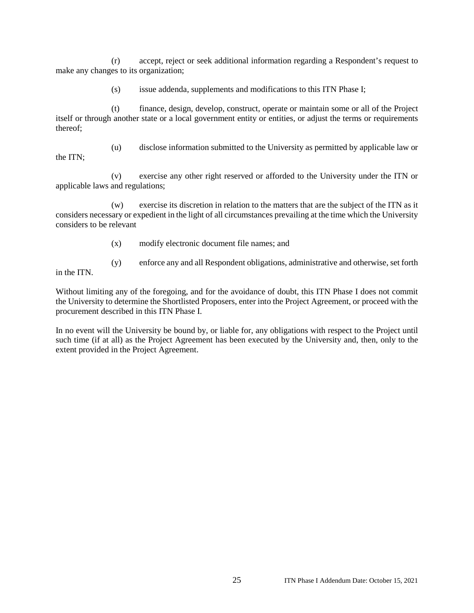(r) accept, reject or seek additional information regarding a Respondent's request to make any changes to its organization;

(s) issue addenda, supplements and modifications to this ITN Phase I;

(t) finance, design, develop, construct, operate or maintain some or all of the Project itself or through another state or a local government entity or entities, or adjust the terms or requirements thereof;

the ITN;

(u) disclose information submitted to the University as permitted by applicable law or

(v) exercise any other right reserved or afforded to the University under the ITN or applicable laws and regulations;

(w) exercise its discretion in relation to the matters that are the subject of the ITN as it considers necessary or expedient in the light of all circumstances prevailing at the time which the University considers to be relevant

- (x) modify electronic document file names; and
- (y) enforce any and all Respondent obligations, administrative and otherwise, set forth in the ITN.
	-

Without limiting any of the foregoing, and for the avoidance of doubt, this ITN Phase I does not commit the University to determine the Shortlisted Proposers, enter into the Project Agreement, or proceed with the procurement described in this ITN Phase I.

In no event will the University be bound by, or liable for, any obligations with respect to the Project until such time (if at all) as the Project Agreement has been executed by the University and, then, only to the extent provided in the Project Agreement.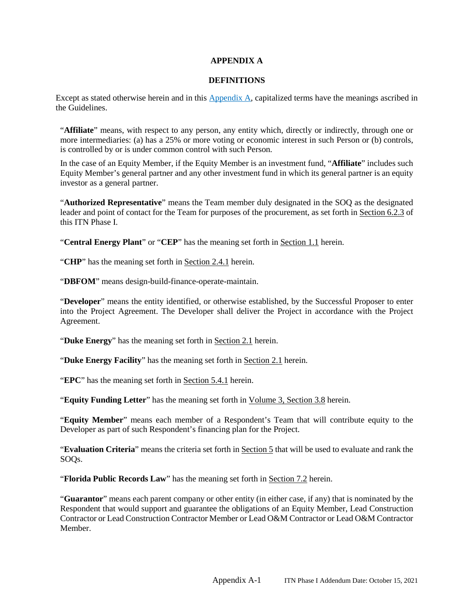#### **APPENDIX A**

#### **DEFINITIONS**

Except as stated otherwise herein and in this Appendix A, capitalized terms have the meanings ascribed in the Guidelines.

"**Affiliate**" means, with respect to any person, any entity which, directly or indirectly, through one or more intermediaries: (a) has a 25% or more voting or economic interest in such Person or (b) controls, is controlled by or is under common control with such Person.

In the case of an Equity Member, if the Equity Member is an investment fund, "**Affiliate**" includes such Equity Member's general partner and any other investment fund in which its general partner is an equity investor as a general partner.

"**Authorized Representative**" means the Team member duly designated in the SOQ as the designated leader and point of contact for the Team for purposes of the procurement, as set forth in Section 6.2.3 of this ITN Phase I.

"**Central Energy Plant**" or "**CEP**" has the meaning set forth in Section 1.1 herein.

"**CHP**" has the meaning set forth in Section 2.4.1 herein.

"**DBFOM**" means design-build-finance-operate-maintain.

"**Developer**" means the entity identified, or otherwise established, by the Successful Proposer to enter into the Project Agreement. The Developer shall deliver the Project in accordance with the Project Agreement.

"**Duke Energy**" has the meaning set forth in Section 2.1 herein.

"**Duke Energy Facility**" has the meaning set forth in Section 2.1 herein.

"**EPC**" has the meaning set forth in Section 5.4.1 herein.

"**Equity Funding Letter**" has the meaning set forth in Volume 3, Section 3.8 herein.

"**Equity Member**" means each member of a Respondent's Team that will contribute equity to the Developer as part of such Respondent's financing plan for the Project.

"**Evaluation Criteria**" means the criteria set forth in Section 5 that will be used to evaluate and rank the SOQs.

"**Florida Public Records Law**" has the meaning set forth in Section 7.2 herein.

"**Guarantor**" means each parent company or other entity (in either case, if any) that is nominated by the Respondent that would support and guarantee the obligations of an Equity Member, Lead Construction Contractor or Lead Construction Contractor Member or Lead O&M Contractor or Lead O&M Contractor Member.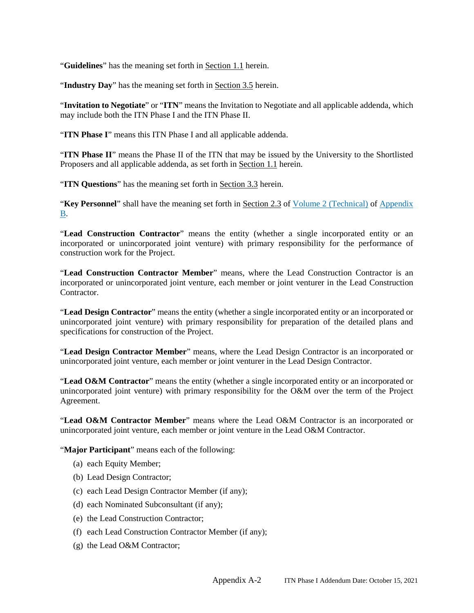"**Guidelines**" has the meaning set forth in Section 1.1 herein.

"**Industry Day**" has the meaning set forth in Section 3.5 herein.

"**Invitation to Negotiate**" or "**ITN**" means the Invitation to Negotiate and all applicable addenda, which may include both the ITN Phase I and the ITN Phase II.

"**ITN Phase I**" means this ITN Phase I and all applicable addenda.

"ITN Phase II" means the Phase II of the ITN that may be issued by the University to the Shortlisted Proposers and all applicable addenda, as set forth in Section 1.1 herein.

"**ITN Questions**" has the meaning set forth in Section 3.3 herein.

"Key Personnel" shall have the meaning set forth in Section 2.3 of Volume 2 (Technical) of Appendix B.

"**Lead Construction Contractor**" means the entity (whether a single incorporated entity or an incorporated or unincorporated joint venture) with primary responsibility for the performance of construction work for the Project.

"**Lead Construction Contractor Member**" means, where the Lead Construction Contractor is an incorporated or unincorporated joint venture, each member or joint venturer in the Lead Construction **Contractor** 

"**Lead Design Contractor**" means the entity (whether a single incorporated entity or an incorporated or unincorporated joint venture) with primary responsibility for preparation of the detailed plans and specifications for construction of the Project.

"**Lead Design Contractor Member**" means, where the Lead Design Contractor is an incorporated or unincorporated joint venture, each member or joint venturer in the Lead Design Contractor.

"**Lead O&M Contractor**" means the entity (whether a single incorporated entity or an incorporated or unincorporated joint venture) with primary responsibility for the O&M over the term of the Project Agreement.

"**Lead O&M Contractor Member**" means where the Lead O&M Contractor is an incorporated or unincorporated joint venture, each member or joint venture in the Lead O&M Contractor.

"**Major Participant**" means each of the following:

- (a) each Equity Member;
- (b) Lead Design Contractor;
- (c) each Lead Design Contractor Member (if any);
- (d) each Nominated Subconsultant (if any);
- (e) the Lead Construction Contractor;
- (f) each Lead Construction Contractor Member (if any);
- (g) the Lead O&M Contractor;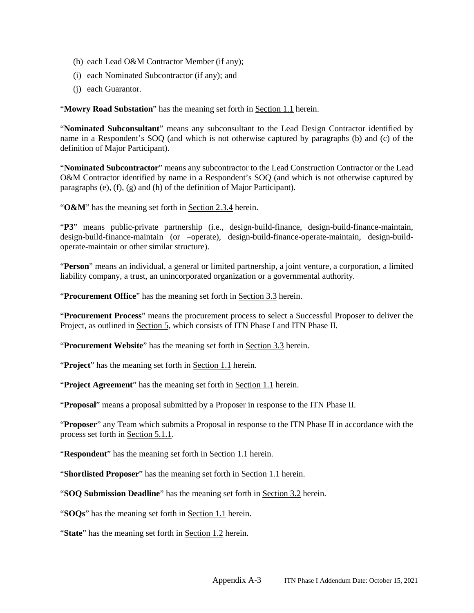- (h) each Lead O&M Contractor Member (if any);
- (i) each Nominated Subcontractor (if any); and
- (j) each Guarantor.

"**Mowry Road Substation**" has the meaning set forth in Section 1.1 herein.

"**Nominated Subconsultant**" means any subconsultant to the Lead Design Contractor identified by name in a Respondent's SOQ (and which is not otherwise captured by paragraphs (b) and (c) of the definition of Major Participant).

"**Nominated Subcontractor**" means any subcontractor to the Lead Construction Contractor or the Lead O&M Contractor identified by name in a Respondent's SOQ (and which is not otherwise captured by paragraphs (e), (f), (g) and (h) of the definition of Major Participant).

"**O&M**" has the meaning set forth in Section 2.3.4 herein.

"**P3**" means public-private partnership (i.e., design-build-finance, design-build-finance-maintain, design-build-finance-maintain (or –operate), design-build-finance-operate-maintain, design-buildoperate-maintain or other similar structure).

"**Person**" means an individual, a general or limited partnership, a joint venture, a corporation, a limited liability company, a trust, an unincorporated organization or a governmental authority.

"**Procurement Office**" has the meaning set forth in Section 3.3 herein.

"**Procurement Process**" means the procurement process to select a Successful Proposer to deliver the Project, as outlined in Section 5, which consists of ITN Phase I and ITN Phase II.

"**Procurement Website**" has the meaning set forth in Section 3.3 herein.

"**Project**" has the meaning set forth in Section 1.1 herein.

"**Project Agreement**" has the meaning set forth in Section 1.1 herein.

"**Proposal**" means a proposal submitted by a Proposer in response to the ITN Phase II.

"**Proposer**" any Team which submits a Proposal in response to the ITN Phase II in accordance with the process set forth in Section 5.1.1.

"**Respondent**" has the meaning set forth in **Section 1.1** herein.

"**Shortlisted Proposer**" has the meaning set forth in Section 1.1 herein.

"**SOQ Submission Deadline**" has the meaning set forth in Section 3.2 herein.

"**SOQs**" has the meaning set forth in Section 1.1 herein.

"**State**" has the meaning set forth in Section 1.2 herein.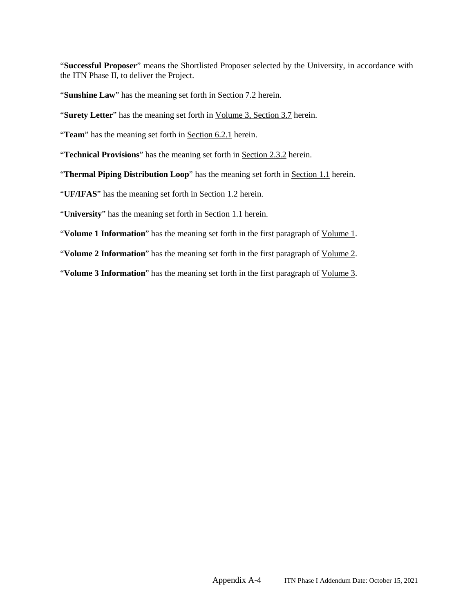"**Successful Proposer**" means the Shortlisted Proposer selected by the University, in accordance with the ITN Phase II, to deliver the Project.

"**Sunshine Law**" has the meaning set forth in **Section 7.2** herein.

"**Surety Letter**" has the meaning set forth in Volume 3, Section 3.7 herein.

"**Team**" has the meaning set forth in Section 6.2.1 herein.

"**Technical Provisions**" has the meaning set forth in Section 2.3.2 herein.

"**Thermal Piping Distribution Loop**" has the meaning set forth in Section 1.1 herein.

"**UF/IFAS**" has the meaning set forth in Section 1.2 herein.

"**University**" has the meaning set forth in Section 1.1 herein.

"**Volume 1 Information**" has the meaning set forth in the first paragraph of Volume 1.

"**Volume 2 Information**" has the meaning set forth in the first paragraph of Volume 2.

"**Volume 3 Information**" has the meaning set forth in the first paragraph of Volume 3.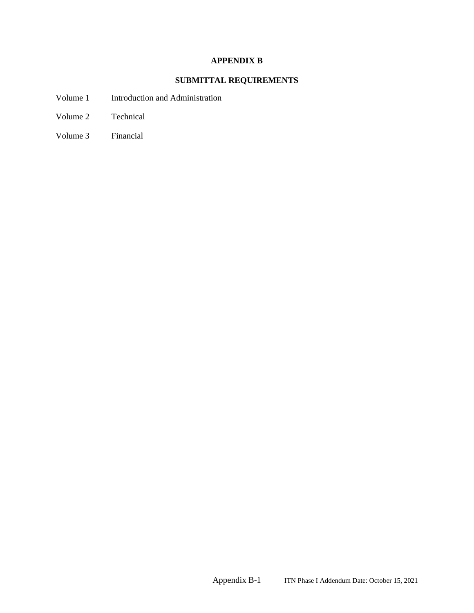## **APPENDIX B**

## **SUBMITTAL REQUIREMENTS**

- Volume 1 Introduction and Administration
- Volume 2 Technical
- Volume 3 Financial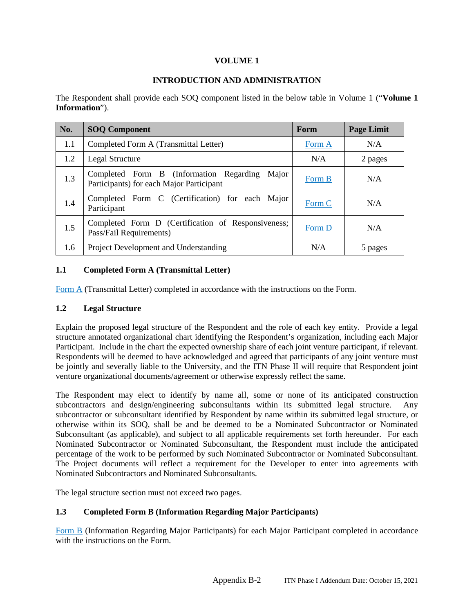#### **VOLUME 1**

#### **INTRODUCTION AND ADMINISTRATION**

The Respondent shall provide each SOQ component listed in the below table in Volume 1 ("**Volume 1 Information**").

| No. | <b>SOQ Component</b>                                                                         | Form   | <b>Page Limit</b> |
|-----|----------------------------------------------------------------------------------------------|--------|-------------------|
| 1.1 | Completed Form A (Transmittal Letter)                                                        | Form A | N/A               |
| 1.2 | Legal Structure                                                                              | N/A    | 2 pages           |
| 1.3 | Completed Form B (Information Regarding<br>Major<br>Participants) for each Major Participant | Form B | N/A               |
| 1.4 | Completed Form C (Certification) for each Major<br>Participant                               | Form C | N/A               |
| 1.5 | Completed Form D (Certification of Responsiveness;<br>Pass/Fail Requirements)                | Form D | N/A               |
| 1.6 | Project Development and Understanding                                                        | N/A    | 5 pages           |

#### **1.1 Completed Form A (Transmittal Letter)**

Form A (Transmittal Letter) completed in accordance with the instructions on the Form.

#### **1.2 Legal Structure**

Explain the proposed legal structure of the Respondent and the role of each key entity. Provide a legal structure annotated organizational chart identifying the Respondent's organization, including each Major Participant. Include in the chart the expected ownership share of each joint venture participant, if relevant. Respondents will be deemed to have acknowledged and agreed that participants of any joint venture must be jointly and severally liable to the University, and the ITN Phase II will require that Respondent joint venture organizational documents/agreement or otherwise expressly reflect the same.

The Respondent may elect to identify by name all, some or none of its anticipated construction subcontractors and design/engineering subconsultants within its submitted legal structure. Any subcontractor or subconsultant identified by Respondent by name within its submitted legal structure, or otherwise within its SOQ, shall be and be deemed to be a Nominated Subcontractor or Nominated Subconsultant (as applicable), and subject to all applicable requirements set forth hereunder. For each Nominated Subcontractor or Nominated Subconsultant, the Respondent must include the anticipated percentage of the work to be performed by such Nominated Subcontractor or Nominated Subconsultant. The Project documents will reflect a requirement for the Developer to enter into agreements with Nominated Subcontractors and Nominated Subconsultants.

The legal structure section must not exceed two pages.

## **1.3 Completed Form B (Information Regarding Major Participants)**

Form B (Information Regarding Major Participants) for each Major Participant completed in accordance with the instructions on the Form.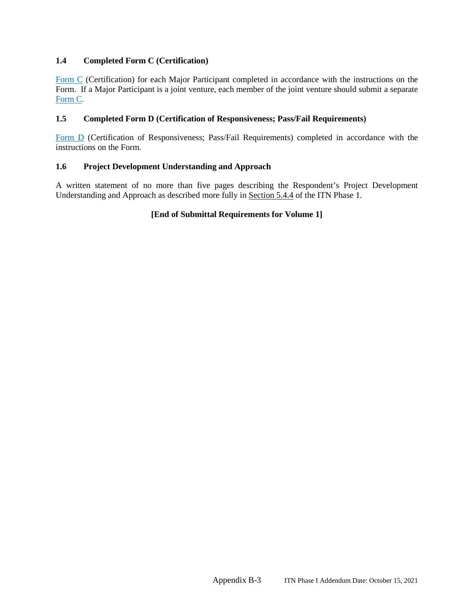#### **1.4 Completed Form C (Certification)**

Form C (Certification) for each Major Participant completed in accordance with the instructions on the Form. If a Major Participant is a joint venture, each member of the joint venture should submit a separate Form C.

#### **1.5 Completed Form D (Certification of Responsiveness; Pass/Fail Requirements)**

Form D (Certification of Responsiveness; Pass/Fail Requirements) completed in accordance with the instructions on the Form.

#### **1.6 Project Development Understanding and Approach**

A written statement of no more than five pages describing the Respondent's Project Development Understanding and Approach as described more fully in Section 5.4.4 of the ITN Phase 1.

#### **[End of Submittal Requirements for Volume 1]**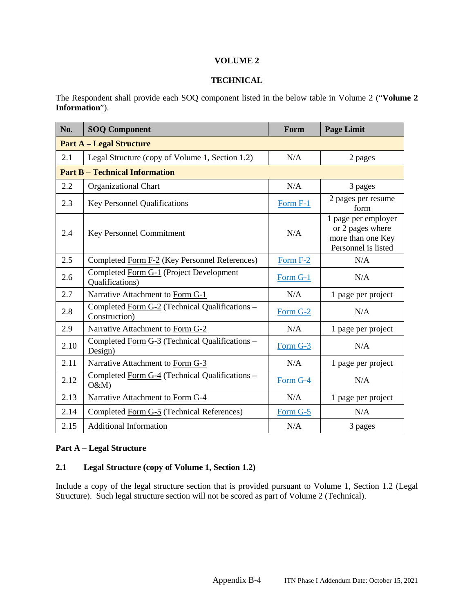#### **VOLUME 2**

#### **TECHNICAL**

The Respondent shall provide each SOQ component listed in the below table in Volume 2 ("**Volume 2 Information**").

| No.                                   | <b>SOQ Component</b>                                            | Form     | <b>Page Limit</b>                                                                   |  |  |  |
|---------------------------------------|-----------------------------------------------------------------|----------|-------------------------------------------------------------------------------------|--|--|--|
| <b>Part A – Legal Structure</b>       |                                                                 |          |                                                                                     |  |  |  |
| 2.1                                   | Legal Structure (copy of Volume 1, Section 1.2)                 | N/A      | 2 pages                                                                             |  |  |  |
| <b>Part B - Technical Information</b> |                                                                 |          |                                                                                     |  |  |  |
| 2.2                                   | <b>Organizational Chart</b>                                     | N/A      | 3 pages                                                                             |  |  |  |
| 2.3                                   | <b>Key Personnel Qualifications</b>                             | Form F-1 | 2 pages per resume<br>form                                                          |  |  |  |
| 2.4                                   | Key Personnel Commitment                                        | N/A      | 1 page per employer<br>or 2 pages where<br>more than one Key<br>Personnel is listed |  |  |  |
| 2.5                                   | Completed Form F-2 (Key Personnel References)                   | Form F-2 | N/A                                                                                 |  |  |  |
| 2.6                                   | Completed Form G-1 (Project Development<br>Qualifications)      | Form G-1 | N/A                                                                                 |  |  |  |
| 2.7                                   | Narrative Attachment to Form G-1                                | N/A      | 1 page per project                                                                  |  |  |  |
| 2.8                                   | Completed Form G-2 (Technical Qualifications -<br>Construction) | Form G-2 | N/A                                                                                 |  |  |  |
| 2.9                                   | Narrative Attachment to Form G-2                                | N/A      | 1 page per project                                                                  |  |  |  |
| 2.10                                  | Completed Form G-3 (Technical Qualifications –<br>Design)       | Form G-3 | N/A                                                                                 |  |  |  |
| 2.11                                  | Narrative Attachment to Form G-3                                | N/A      | 1 page per project                                                                  |  |  |  |
| 2.12                                  | Completed Form G-4 (Technical Qualifications -<br>O&M           | Form G-4 | N/A                                                                                 |  |  |  |
| 2.13                                  | Narrative Attachment to Form G-4                                | N/A      | 1 page per project                                                                  |  |  |  |
| 2.14                                  | Completed Form G-5 (Technical References)                       | Form G-5 | N/A                                                                                 |  |  |  |
| 2.15                                  | <b>Additional Information</b>                                   | N/A      | 3 pages                                                                             |  |  |  |

#### **Part A – Legal Structure**

## **2.1 Legal Structure (copy of Volume 1, Section 1.2)**

Include a copy of the legal structure section that is provided pursuant to Volume 1, Section 1.2 (Legal Structure). Such legal structure section will not be scored as part of Volume 2 (Technical).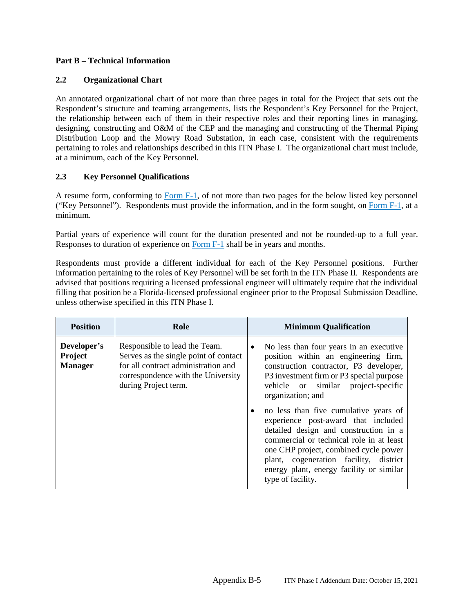## **Part B – Technical Information**

### **2.2 Organizational Chart**

An annotated organizational chart of not more than three pages in total for the Project that sets out the Respondent's structure and teaming arrangements, lists the Respondent's Key Personnel for the Project, the relationship between each of them in their respective roles and their reporting lines in managing, designing, constructing and O&M of the CEP and the managing and constructing of the Thermal Piping Distribution Loop and the Mowry Road Substation, in each case, consistent with the requirements pertaining to roles and relationships described in this ITN Phase I. The organizational chart must include, at a minimum, each of the Key Personnel.

## **2.3 Key Personnel Qualifications**

A resume form, conforming to Form F-1, of not more than two pages for the below listed key personnel ("Key Personnel"). Respondents must provide the information, and in the form sought, on Form F-1, at a minimum.

Partial years of experience will count for the duration presented and not be rounded-up to a full year. Responses to duration of experience on Form F-1 shall be in years and months.

Respondents must provide a different individual for each of the Key Personnel positions. Further information pertaining to the roles of Key Personnel will be set forth in the ITN Phase II. Respondents are advised that positions requiring a licensed professional engineer will ultimately require that the individual filling that position be a Florida-licensed professional engineer prior to the Proposal Submission Deadline, unless otherwise specified in this ITN Phase I.

| <b>Position</b>                          | Role                                                                                                                                                                        | <b>Minimum Qualification</b>                                                                                                                                                                                                                                                                                                                                                                                                                                                                                                                                            |  |  |
|------------------------------------------|-----------------------------------------------------------------------------------------------------------------------------------------------------------------------------|-------------------------------------------------------------------------------------------------------------------------------------------------------------------------------------------------------------------------------------------------------------------------------------------------------------------------------------------------------------------------------------------------------------------------------------------------------------------------------------------------------------------------------------------------------------------------|--|--|
| Developer's<br>Project<br><b>Manager</b> | Responsible to lead the Team.<br>Serves as the single point of contact<br>for all contract administration and<br>correspondence with the University<br>during Project term. | No less than four years in an executive<br>$\bullet$<br>position within an engineering firm,<br>construction contractor, P3 developer,<br>P3 investment firm or P3 special purpose<br>vehicle or similar project-specific<br>organization; and<br>no less than five cumulative years of<br>experience post-award that included<br>detailed design and construction in a<br>commercial or technical role in at least<br>one CHP project, combined cycle power<br>plant, cogeneration facility, district<br>energy plant, energy facility or similar<br>type of facility. |  |  |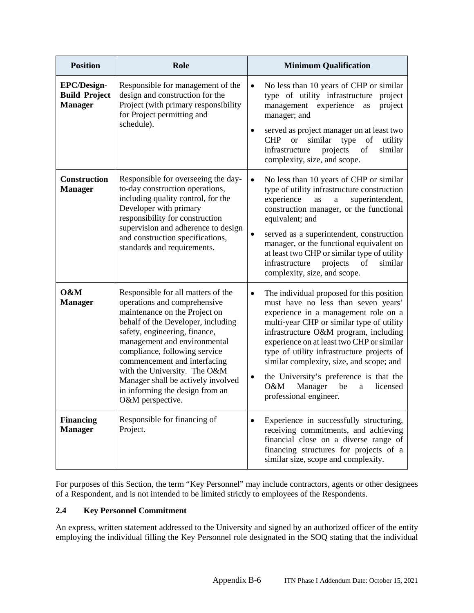| <b>Position</b>                                       | Role                                                                                                                                                                                                                                                                                                                                                                                                     | <b>Minimum Qualification</b>                                                                                                                                                                                                                                                                                                                                                                                                                                                                  |
|-------------------------------------------------------|----------------------------------------------------------------------------------------------------------------------------------------------------------------------------------------------------------------------------------------------------------------------------------------------------------------------------------------------------------------------------------------------------------|-----------------------------------------------------------------------------------------------------------------------------------------------------------------------------------------------------------------------------------------------------------------------------------------------------------------------------------------------------------------------------------------------------------------------------------------------------------------------------------------------|
| EPC/Design-<br><b>Build Project</b><br><b>Manager</b> | Responsible for management of the<br>design and construction for the<br>Project (with primary responsibility<br>for Project permitting and<br>schedule).                                                                                                                                                                                                                                                 | No less than 10 years of CHP or similar<br>$\bullet$<br>type of utility infrastructure project<br>management experience<br>project<br>as<br>manager; and<br>served as project manager on at least two<br>٠<br><b>CHP</b><br><b>or</b><br>similar<br>type<br>of<br>utility<br>of<br>similar<br>infrastructure<br>projects<br>complexity, size, and scope.                                                                                                                                      |
| <b>Construction</b><br><b>Manager</b>                 | Responsible for overseeing the day-<br>to-day construction operations,<br>including quality control, for the<br>Developer with primary<br>responsibility for construction<br>supervision and adherence to design<br>and construction specifications,<br>standards and requirements.                                                                                                                      | No less than 10 years of CHP or similar<br>$\bullet$<br>type of utility infrastructure construction<br>experience<br>superintendent,<br>as<br>$\rm{a}$<br>construction manager, or the functional<br>equivalent; and<br>served as a superintendent, construction<br>$\bullet$<br>manager, or the functional equivalent on<br>at least two CHP or similar type of utility<br>projects<br>similar<br>infrastructure<br>of<br>complexity, size, and scope.                                       |
| O&M<br><b>Manager</b>                                 | Responsible for all matters of the<br>operations and comprehensive<br>maintenance on the Project on<br>behalf of the Developer, including<br>safety, engineering, finance,<br>management and environmental<br>compliance, following service<br>commencement and interfacing<br>with the University. The O&M<br>Manager shall be actively involved<br>in informing the design from an<br>O&M perspective. | The individual proposed for this position<br>$\bullet$<br>must have no less than seven years'<br>experience in a management role on a<br>multi-year CHP or similar type of utility<br>infrastructure O&M program, including<br>experience on at least two CHP or similar<br>type of utility infrastructure projects of<br>similar complexity, size, and scope; and<br>the University's preference is that the<br>$\bullet$<br>O&M<br>Manager<br>licensed<br>be<br>a<br>professional engineer. |
| <b>Financing</b><br><b>Manager</b>                    | Responsible for financing of<br>Project.                                                                                                                                                                                                                                                                                                                                                                 | Experience in successfully structuring,<br>$\bullet$<br>receiving commitments, and achieving<br>financial close on a diverse range of<br>financing structures for projects of a<br>similar size, scope and complexity.                                                                                                                                                                                                                                                                        |

For purposes of this Section, the term "Key Personnel" may include contractors, agents or other designees of a Respondent, and is not intended to be limited strictly to employees of the Respondents.

## **2.4 Key Personnel Commitment**

An express, written statement addressed to the University and signed by an authorized officer of the entity employing the individual filling the Key Personnel role designated in the SOQ stating that the individual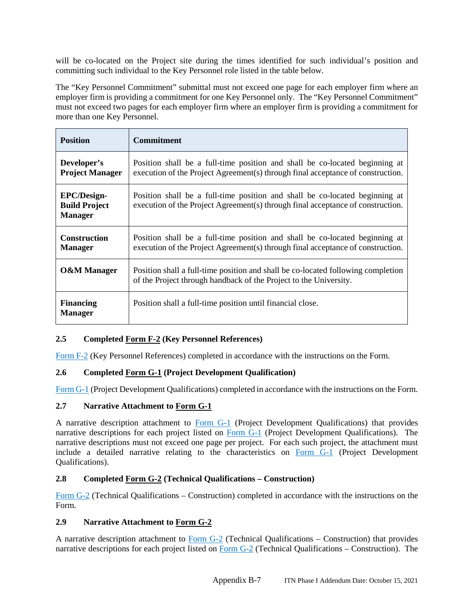will be co-located on the Project site during the times identified for such individual's position and committing such individual to the Key Personnel role listed in the table below.

The "Key Personnel Commitment" submittal must not exceed one page for each employer firm where an employer firm is providing a commitment for one Key Personnel only. The "Key Personnel Commitment" must not exceed two pages for each employer firm where an employer firm is providing a commitment for more than one Key Personnel.

| <b>Position</b>                                              | <b>Commitment</b>                                                                                                                                              |
|--------------------------------------------------------------|----------------------------------------------------------------------------------------------------------------------------------------------------------------|
| Developer's<br><b>Project Manager</b>                        | Position shall be a full-time position and shall be co-located beginning at<br>execution of the Project Agreement(s) through final acceptance of construction. |
| <b>EPC/Design-</b><br><b>Build Project</b><br><b>Manager</b> | Position shall be a full-time position and shall be co-located beginning at<br>execution of the Project Agreement(s) through final acceptance of construction. |
| <b>Construction</b><br><b>Manager</b>                        | Position shall be a full-time position and shall be co-located beginning at<br>execution of the Project Agreement(s) through final acceptance of construction. |
| <b>O&amp;M</b> Manager                                       | Position shall a full-time position and shall be co-located following completion<br>of the Project through handback of the Project to the University.          |
| <b>Financing</b><br><b>Manager</b>                           | Position shall a full-time position until financial close.                                                                                                     |

## **2.5 Completed Form F-2 (Key Personnel References)**

Form F-2 (Key Personnel References) completed in accordance with the instructions on the Form.

## **2.6 Completed Form G-1 (Project Development Qualification)**

Form G-1 (Project Development Qualifications) completed in accordance with the instructions on the Form.

## **2.7 Narrative Attachment to Form G-1**

A narrative description attachment to Form G-1 (Project Development Qualifications) that provides narrative descriptions for each project listed on Form G-1 (Project Development Qualifications). The narrative descriptions must not exceed one page per project. For each such project, the attachment must include a detailed narrative relating to the characteristics on Form G-1 (Project Development Qualifications).

## **2.8 Completed Form G-2 (Technical Qualifications – Construction)**

Form G-2 (Technical Qualifications – Construction) completed in accordance with the instructions on the Form.

## **2.9 Narrative Attachment to Form G-2**

A narrative description attachment to Form G-2 (Technical Qualifications – Construction) that provides narrative descriptions for each project listed on Form G-2 (Technical Qualifications – Construction). The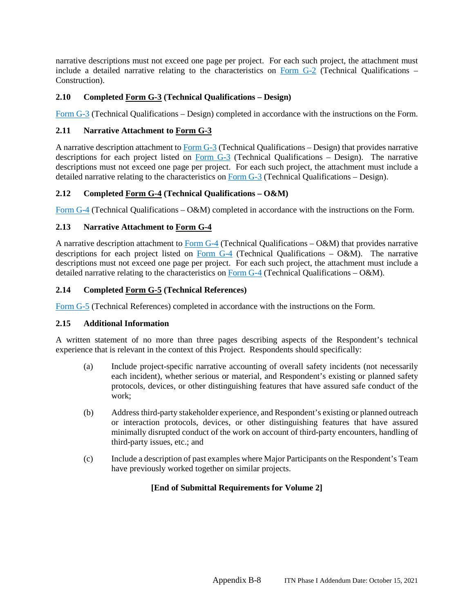narrative descriptions must not exceed one page per project. For each such project, the attachment must include a detailed narrative relating to the characteristics on Form G-2 (Technical Qualifications – Construction).

## **2.10 Completed Form G-3 (Technical Qualifications – Design)**

Form G-3 (Technical Qualifications – Design) completed in accordance with the instructions on the Form.

## **2.11 Narrative Attachment to Form G-3**

A narrative description attachment to Form G-3 (Technical Qualifications – Design) that provides narrative descriptions for each project listed on Form G-3 (Technical Qualifications – Design). The narrative descriptions must not exceed one page per project. For each such project, the attachment must include a detailed narrative relating to the characteristics on Form G-3 (Technical Qualifications – Design).

## **2.12 Completed Form G-4 (Technical Qualifications – O&M)**

Form G-4 (Technical Qualifications – O&M) completed in accordance with the instructions on the Form.

## **2.13 Narrative Attachment to Form G-4**

A narrative description attachment to Form G-4 (Technical Qualifications – O&M) that provides narrative descriptions for each project listed on Form  $G-4$  (Technical Qualifications – O&M). The narrative descriptions must not exceed one page per project. For each such project, the attachment must include a detailed narrative relating to the characteristics on Form G-4 (Technical Qualifications – O&M).

## **2.14 Completed Form G-5 (Technical References)**

Form G-5 (Technical References) completed in accordance with the instructions on the Form.

### **2.15 Additional Information**

A written statement of no more than three pages describing aspects of the Respondent's technical experience that is relevant in the context of this Project. Respondents should specifically:

- (a) Include project-specific narrative accounting of overall safety incidents (not necessarily each incident), whether serious or material, and Respondent's existing or planned safety protocols, devices, or other distinguishing features that have assured safe conduct of the work;
- (b) Address third-party stakeholder experience, and Respondent's existing or planned outreach or interaction protocols, devices, or other distinguishing features that have assured minimally disrupted conduct of the work on account of third-party encounters, handling of third-party issues, etc.; and
- (c) Include a description of past examples where Major Participants on the Respondent's Team have previously worked together on similar projects.

## **[End of Submittal Requirements for Volume 2]**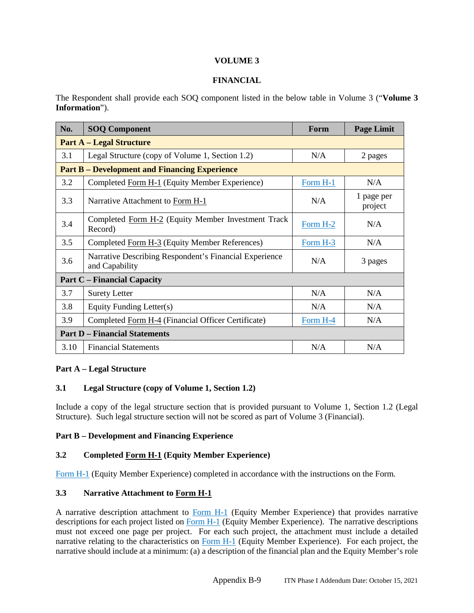### **VOLUME 3**

### **FINANCIAL**

The Respondent shall provide each SOQ component listed in the below table in Volume 3 ("**Volume 3 Information**").

| No.                                  | <b>SOQ Component</b>                                                     | Form       | <b>Page Limit</b>     |  |
|--------------------------------------|--------------------------------------------------------------------------|------------|-----------------------|--|
| <b>Part A – Legal Structure</b>      |                                                                          |            |                       |  |
| 3.1                                  | Legal Structure (copy of Volume 1, Section 1.2)                          | N/A        | 2 pages               |  |
|                                      | <b>Part B – Development and Financing Experience</b>                     |            |                       |  |
| 3.2                                  | Completed Form H-1 (Equity Member Experience)                            | Form H-1   | N/A                   |  |
| 3.3                                  | Narrative Attachment to Form H-1                                         | N/A        | 1 page per<br>project |  |
| 3.4                                  | Completed Form H-2 (Equity Member Investment Track<br>Record)            | Form $H-2$ | N/A                   |  |
| 3.5                                  | Completed Form H-3 (Equity Member References)                            | Form H-3   | N/A                   |  |
| 3.6                                  | Narrative Describing Respondent's Financial Experience<br>and Capability | N/A        | 3 pages               |  |
| <b>Part C</b> – Financial Capacity   |                                                                          |            |                       |  |
| 3.7                                  | <b>Surety Letter</b>                                                     | N/A        | N/A                   |  |
| 3.8                                  | Equity Funding Letter(s)                                                 | N/A        | N/A                   |  |
| 3.9                                  | Completed Form H-4 (Financial Officer Certificate)                       | Form H-4   | N/A                   |  |
| <b>Part D – Financial Statements</b> |                                                                          |            |                       |  |
| 3.10                                 | <b>Financial Statements</b>                                              | N/A        | N/A                   |  |

### **Part A – Legal Structure**

### **3.1 Legal Structure (copy of Volume 1, Section 1.2)**

Include a copy of the legal structure section that is provided pursuant to Volume 1, Section 1.2 (Legal Structure). Such legal structure section will not be scored as part of Volume 3 (Financial).

### **Part B – Development and Financing Experience**

### **3.2 Completed Form H-1 (Equity Member Experience)**

Form H-1 (Equity Member Experience) completed in accordance with the instructions on the Form.

### **3.3 Narrative Attachment to Form H-1**

A narrative description attachment to Form H-1 (Equity Member Experience) that provides narrative descriptions for each project listed on Form H-1 (Equity Member Experience). The narrative descriptions must not exceed one page per project. For each such project, the attachment must include a detailed narrative relating to the characteristics on Form H-1 (Equity Member Experience). For each project, the narrative should include at a minimum: (a) a description of the financial plan and the Equity Member's role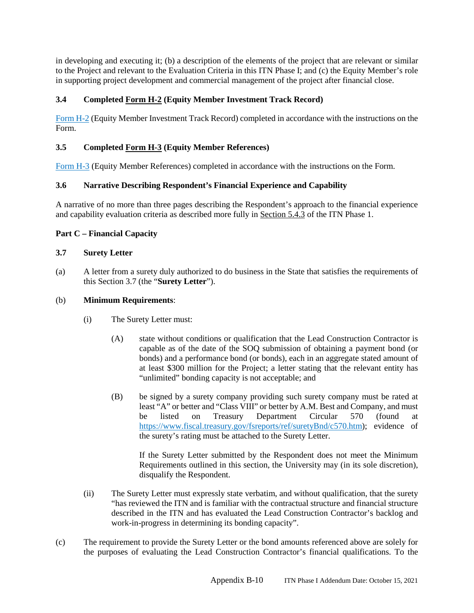in developing and executing it; (b) a description of the elements of the project that are relevant or similar to the Project and relevant to the Evaluation Criteria in this ITN Phase I; and (c) the Equity Member's role in supporting project development and commercial management of the project after financial close.

## **3.4 Completed Form H-2 (Equity Member Investment Track Record)**

Form H-2 (Equity Member Investment Track Record) completed in accordance with the instructions on the Form.

## **3.5 Completed Form H-3 (Equity Member References)**

Form H-3 (Equity Member References) completed in accordance with the instructions on the Form.

## **3.6 Narrative Describing Respondent's Financial Experience and Capability**

A narrative of no more than three pages describing the Respondent's approach to the financial experience and capability evaluation criteria as described more fully in Section 5.4.3 of the ITN Phase 1.

## **Part C – Financial Capacity**

### **3.7 Surety Letter**

(a) A letter from a surety duly authorized to do business in the State that satisfies the requirements of this Section 3.7 (the "**Surety Letter**").

### (b) **Minimum Requirements**:

- (i) The Surety Letter must:
	- (A) state without conditions or qualification that the Lead Construction Contractor is capable as of the date of the SOQ submission of obtaining a payment bond (or bonds) and a performance bond (or bonds), each in an aggregate stated amount of at least \$300 million for the Project; a letter stating that the relevant entity has "unlimited" bonding capacity is not acceptable; and
	- (B) be signed by a surety company providing such surety company must be rated at least "A" or better and "Class VIII" or better by A.M. Best and Company, and must be listed on Treasury Department Circular 570 (found at https://www.fiscal.treasury.gov/fsreports/ref/suretyBnd/c570.htm); evidence of the surety's rating must be attached to the Surety Letter.

If the Surety Letter submitted by the Respondent does not meet the Minimum Requirements outlined in this section, the University may (in its sole discretion), disqualify the Respondent.

- (ii) The Surety Letter must expressly state verbatim, and without qualification, that the surety "has reviewed the ITN and is familiar with the contractual structure and financial structure described in the ITN and has evaluated the Lead Construction Contractor's backlog and work-in-progress in determining its bonding capacity".
- (c) The requirement to provide the Surety Letter or the bond amounts referenced above are solely for the purposes of evaluating the Lead Construction Contractor's financial qualifications. To the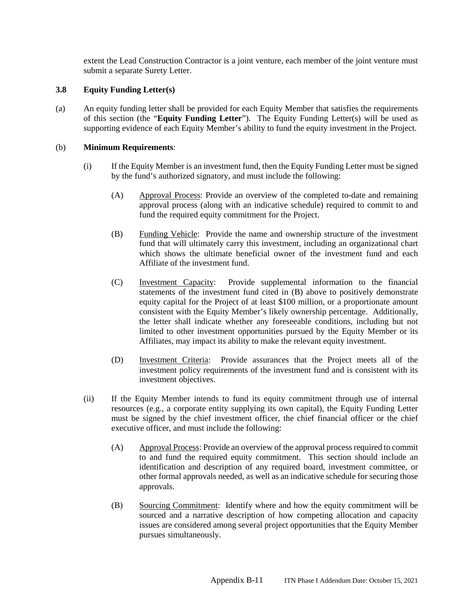extent the Lead Construction Contractor is a joint venture, each member of the joint venture must submit a separate Surety Letter.

### **3.8 Equity Funding Letter(s)**

(a) An equity funding letter shall be provided for each Equity Member that satisfies the requirements of this section (the "**Equity Funding Letter**"). The Equity Funding Letter(s) will be used as supporting evidence of each Equity Member's ability to fund the equity investment in the Project.

### (b) **Minimum Requirements**:

- (i) If the Equity Member is an investment fund, then the Equity Funding Letter must be signed by the fund's authorized signatory, and must include the following:
	- (A) Approval Process: Provide an overview of the completed to-date and remaining approval process (along with an indicative schedule) required to commit to and fund the required equity commitment for the Project.
	- (B) Funding Vehicle: Provide the name and ownership structure of the investment fund that will ultimately carry this investment, including an organizational chart which shows the ultimate beneficial owner of the investment fund and each Affiliate of the investment fund.
	- (C) Investment Capacity: Provide supplemental information to the financial statements of the investment fund cited in (B) above to positively demonstrate equity capital for the Project of at least \$100 million, or a proportionate amount consistent with the Equity Member's likely ownership percentage. Additionally, the letter shall indicate whether any foreseeable conditions, including but not limited to other investment opportunities pursued by the Equity Member or its Affiliates, may impact its ability to make the relevant equity investment.
	- (D) Investment Criteria: Provide assurances that the Project meets all of the investment policy requirements of the investment fund and is consistent with its investment objectives.
- (ii) If the Equity Member intends to fund its equity commitment through use of internal resources (e.g., a corporate entity supplying its own capital), the Equity Funding Letter must be signed by the chief investment officer, the chief financial officer or the chief executive officer, and must include the following:
	- (A) Approval Process: Provide an overview of the approval process required to commit to and fund the required equity commitment. This section should include an identification and description of any required board, investment committee, or other formal approvals needed, as well as an indicative schedule for securing those approvals.
	- (B) Sourcing Commitment: Identify where and how the equity commitment will be sourced and a narrative description of how competing allocation and capacity issues are considered among several project opportunities that the Equity Member pursues simultaneously.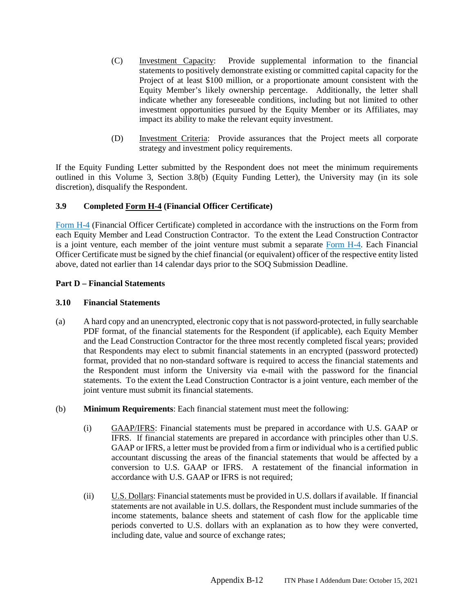- (C) Investment Capacity: Provide supplemental information to the financial statements to positively demonstrate existing or committed capital capacity for the Project of at least \$100 million, or a proportionate amount consistent with the Equity Member's likely ownership percentage. Additionally, the letter shall indicate whether any foreseeable conditions, including but not limited to other investment opportunities pursued by the Equity Member or its Affiliates, may impact its ability to make the relevant equity investment.
- (D) Investment Criteria: Provide assurances that the Project meets all corporate strategy and investment policy requirements.

If the Equity Funding Letter submitted by the Respondent does not meet the minimum requirements outlined in this Volume 3, Section 3.8(b) (Equity Funding Letter), the University may (in its sole discretion), disqualify the Respondent.

## **3.9 Completed Form H-4 (Financial Officer Certificate)**

Form H-4 (Financial Officer Certificate) completed in accordance with the instructions on the Form from each Equity Member and Lead Construction Contractor. To the extent the Lead Construction Contractor is a joint venture, each member of the joint venture must submit a separate Form H-4. Each Financial Officer Certificate must be signed by the chief financial (or equivalent) officer of the respective entity listed above, dated not earlier than 14 calendar days prior to the SOQ Submission Deadline.

# **Part D – Financial Statements**

### **3.10 Financial Statements**

- (a) A hard copy and an unencrypted, electronic copy that is not password-protected, in fully searchable PDF format, of the financial statements for the Respondent (if applicable), each Equity Member and the Lead Construction Contractor for the three most recently completed fiscal years; provided that Respondents may elect to submit financial statements in an encrypted (password protected) format, provided that no non-standard software is required to access the financial statements and the Respondent must inform the University via e-mail with the password for the financial statements. To the extent the Lead Construction Contractor is a joint venture, each member of the joint venture must submit its financial statements.
- (b) **Minimum Requirements**: Each financial statement must meet the following:
	- (i) GAAP/IFRS: Financial statements must be prepared in accordance with U.S. GAAP or IFRS. If financial statements are prepared in accordance with principles other than U.S. GAAP or IFRS, a letter must be provided from a firm or individual who is a certified public accountant discussing the areas of the financial statements that would be affected by a conversion to U.S. GAAP or IFRS. A restatement of the financial information in accordance with U.S. GAAP or IFRS is not required;
	- (ii) U.S. Dollars: Financial statements must be provided in U.S. dollars if available. If financial statements are not available in U.S. dollars, the Respondent must include summaries of the income statements, balance sheets and statement of cash flow for the applicable time periods converted to U.S. dollars with an explanation as to how they were converted, including date, value and source of exchange rates;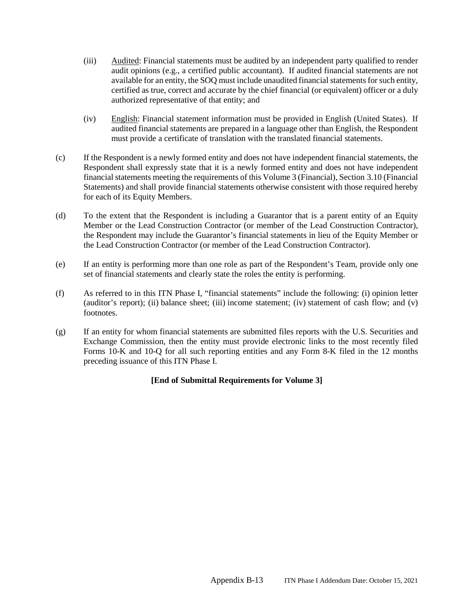- (iii) Audited: Financial statements must be audited by an independent party qualified to render audit opinions (e.g., a certified public accountant). If audited financial statements are not available for an entity, the SOQ must include unaudited financial statements for such entity, certified as true, correct and accurate by the chief financial (or equivalent) officer or a duly authorized representative of that entity; and
- (iv) English: Financial statement information must be provided in English (United States). If audited financial statements are prepared in a language other than English, the Respondent must provide a certificate of translation with the translated financial statements.
- (c) If the Respondent is a newly formed entity and does not have independent financial statements, the Respondent shall expressly state that it is a newly formed entity and does not have independent financial statements meeting the requirements of this Volume 3 (Financial), Section 3.10 (Financial Statements) and shall provide financial statements otherwise consistent with those required hereby for each of its Equity Members.
- (d) To the extent that the Respondent is including a Guarantor that is a parent entity of an Equity Member or the Lead Construction Contractor (or member of the Lead Construction Contractor), the Respondent may include the Guarantor's financial statements in lieu of the Equity Member or the Lead Construction Contractor (or member of the Lead Construction Contractor).
- (e) If an entity is performing more than one role as part of the Respondent's Team, provide only one set of financial statements and clearly state the roles the entity is performing.
- (f) As referred to in this ITN Phase I, "financial statements" include the following: (i) opinion letter (auditor's report); (ii) balance sheet; (iii) income statement; (iv) statement of cash flow; and (v) footnotes.
- (g) If an entity for whom financial statements are submitted files reports with the U.S. Securities and Exchange Commission, then the entity must provide electronic links to the most recently filed Forms 10-K and 10-Q for all such reporting entities and any Form 8-K filed in the 12 months preceding issuance of this ITN Phase I.

## **[End of Submittal Requirements for Volume 3]**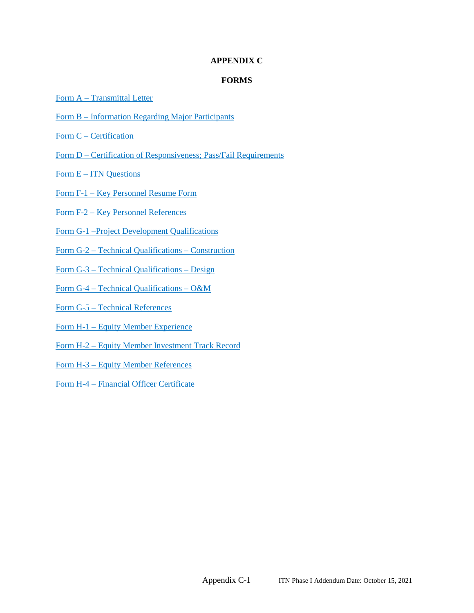## **APPENDIX C**

### **FORMS**

- Form A Transmittal Letter
- Form B Information Regarding Major Participants
- Form C Certification
- Form D Certification of Responsiveness; Pass/Fail Requirements
- Form E ITN Questions
- Form F-1 Key Personnel Resume Form
- Form F-2 Key Personnel References
- Form G-1 –Project Development Qualifications
- Form G-2 Technical Qualifications Construction
- Form G-3 Technical Qualifications Design
- Form G-4 Technical Qualifications O&M
- Form G-5 Technical References
- Form H-1 Equity Member Experience
- Form H-2 Equity Member Investment Track Record
- Form H-3 Equity Member References

Form H-4 – Financial Officer Certificate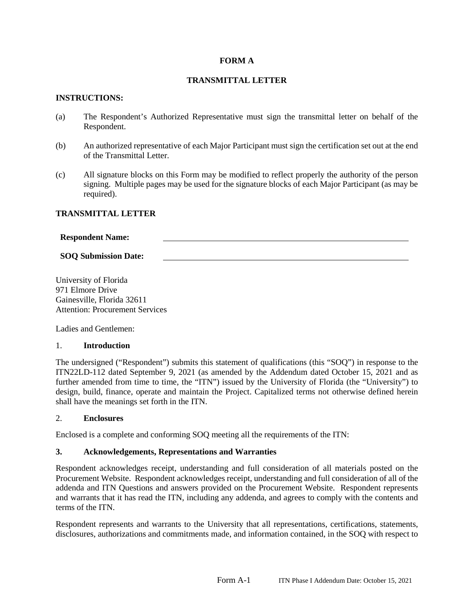### **FORM A**

### **TRANSMITTAL LETTER**

#### **INSTRUCTIONS:**

- (a) The Respondent's Authorized Representative must sign the transmittal letter on behalf of the Respondent.
- (b) An authorized representative of each Major Participant must sign the certification set out at the end of the Transmittal Letter.
- (c) All signature blocks on this Form may be modified to reflect properly the authority of the person signing. Multiple pages may be used for the signature blocks of each Major Participant (as may be required).

### **TRANSMITTAL LETTER**

#### **Respondent Name:**

### **SOQ Submission Date:**

University of Florida 971 Elmore Drive Gainesville, Florida 32611 Attention: Procurement Services

Ladies and Gentlemen:

#### 1. **Introduction**

The undersigned ("Respondent") submits this statement of qualifications (this "SOQ") in response to the ITN22LD-112 dated September 9, 2021 (as amended by the Addendum dated October 15, 2021 and as further amended from time to time, the "ITN") issued by the University of Florida (the "University") to design, build, finance, operate and maintain the Project. Capitalized terms not otherwise defined herein shall have the meanings set forth in the ITN.

#### 2. **Enclosures**

Enclosed is a complete and conforming SOQ meeting all the requirements of the ITN:

### **3. Acknowledgements, Representations and Warranties**

Respondent acknowledges receipt, understanding and full consideration of all materials posted on the Procurement Website. Respondent acknowledges receipt, understanding and full consideration of all of the addenda and ITN Questions and answers provided on the Procurement Website. Respondent represents and warrants that it has read the ITN, including any addenda, and agrees to comply with the contents and terms of the ITN.

Respondent represents and warrants to the University that all representations, certifications, statements, disclosures, authorizations and commitments made, and information contained, in the SOQ with respect to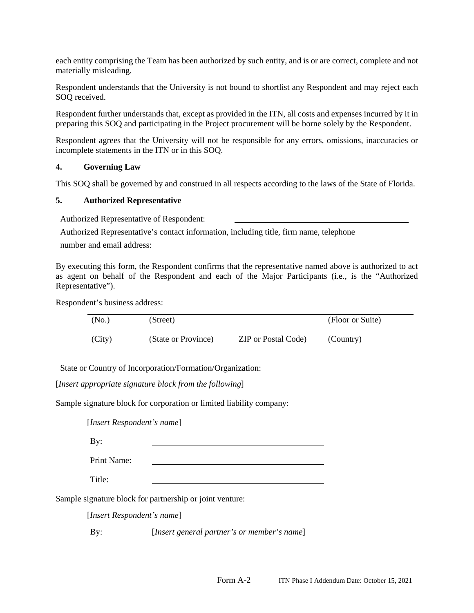each entity comprising the Team has been authorized by such entity, and is or are correct, complete and not materially misleading.

Respondent understands that the University is not bound to shortlist any Respondent and may reject each SOQ received.

Respondent further understands that, except as provided in the ITN, all costs and expenses incurred by it in preparing this SOQ and participating in the Project procurement will be borne solely by the Respondent.

Respondent agrees that the University will not be responsible for any errors, omissions, inaccuracies or incomplete statements in the ITN or in this SOQ.

### **4. Governing Law**

This SOQ shall be governed by and construed in all respects according to the laws of the State of Florida.

### **5. Authorized Representative**

Authorized Representative of Respondent:

Authorized Representative's contact information, including title, firm name, telephone

number and email address:

By executing this form, the Respondent confirms that the representative named above is authorized to act as agent on behalf of the Respondent and each of the Major Participants (i.e., is the "Authorized Representative").

Respondent's business address:

| (No.)  | (Street)            |                            | (Floor or Suite) |
|--------|---------------------|----------------------------|------------------|
| (City) | (State or Province) | <b>ZIP</b> or Postal Code) | (Country)        |

State or Country of Incorporation/Formation/Organization:

[*Insert appropriate signature block from the following*]

Sample signature block for corporation or limited liability company:

[*Insert Respondent's name*]

By:

Print Name:

Title:

Sample signature block for partnership or joint venture:

[*Insert Respondent's name*]

By: [*Insert general partner's or member's name*]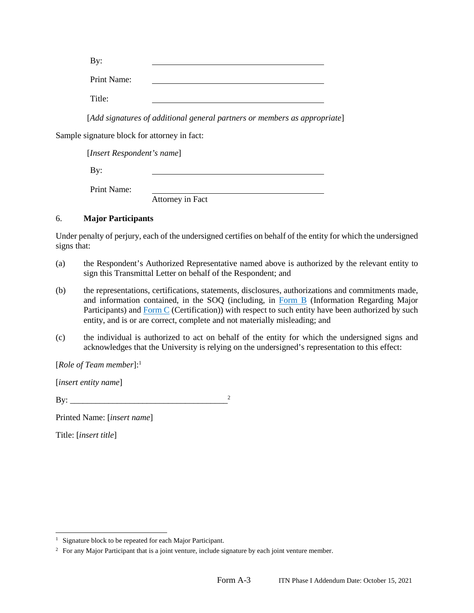| By:         |  |
|-------------|--|
| Print Name: |  |
| Title:      |  |

[*Add signatures of additional general partners or members as appropriate*]

Sample signature block for attorney in fact:

[*Insert Respondent's name*]

By:

Print Name:

Attorney in Fact

### 6. **Major Participants**

Under penalty of perjury, each of the undersigned certifies on behalf of the entity for which the undersigned signs that:

- (a) the Respondent's Authorized Representative named above is authorized by the relevant entity to sign this Transmittal Letter on behalf of the Respondent; and
- (b) the representations, certifications, statements, disclosures, authorizations and commitments made, and information contained, in the SOQ (including, in Form B (Information Regarding Major Participants) and  $\underline{Form C}$  (Certification)) with respect to such entity have been authorized by such entity, and is or are correct, complete and not materially misleading; and
- (c) the individual is authorized to act on behalf of the entity for which the undersigned signs and acknowledges that the University is relying on the undersigned's representation to this effect:

### [*Role of Team member*]:<sup>1</sup>

[*insert entity name*]

By: \_\_\_\_\_\_\_\_\_\_\_\_\_\_\_\_\_\_\_\_\_\_\_\_\_\_\_\_\_\_\_\_\_\_\_\_\_<sup>2</sup>

Printed Name: [*insert name*]

Title: [*insert title*]

<sup>&</sup>lt;sup>1</sup> Signature block to be repeated for each Major Participant.

<sup>&</sup>lt;sup>2</sup> For any Major Participant that is a joint venture, include signature by each joint venture member.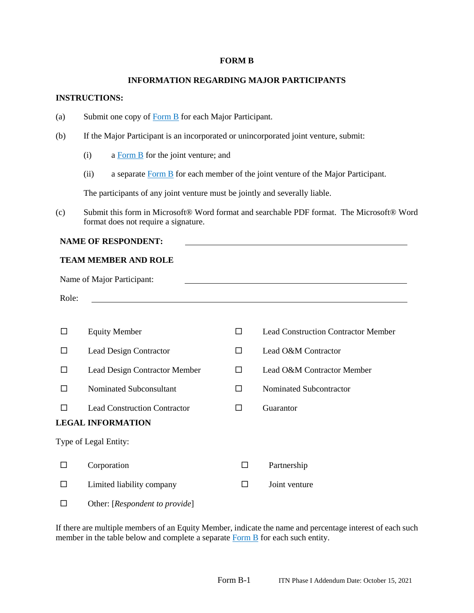#### **FORM B**

### **INFORMATION REGARDING MAJOR PARTICIPANTS**

### **INSTRUCTIONS:**

- (a) Submit one copy of Form B for each Major Participant.
- (b) If the Major Participant is an incorporated or unincorporated joint venture, submit:
	- (i) a Form B for the joint venture; and
	- (ii) a separate  $\frac{Form B}{Form B}$  for each member of the joint venture of the Major Participant.

The participants of any joint venture must be jointly and severally liable.

(c) Submit this form in Microsoft® Word format and searchable PDF format. The Microsoft® Word format does not require a signature.

#### **NAME OF RESPONDENT:**

#### **TEAM MEMBER AND ROLE**

| Name of Major Participant: |                                     |   |                                            |  |
|----------------------------|-------------------------------------|---|--------------------------------------------|--|
| Role:                      |                                     |   |                                            |  |
|                            |                                     |   |                                            |  |
| □                          | <b>Equity Member</b>                | п | <b>Lead Construction Contractor Member</b> |  |
| П                          | <b>Lead Design Contractor</b>       | П | Lead O&M Contractor                        |  |
| П                          | Lead Design Contractor Member       | П | Lead O&M Contractor Member                 |  |
| П                          | Nominated Subconsultant             | П | Nominated Subcontractor                    |  |
| П                          | <b>Lead Construction Contractor</b> | П | Guarantor                                  |  |
|                            | <b>LEGAL INFORMATION</b>            |   |                                            |  |
|                            | Type of Legal Entity:               |   |                                            |  |
| П                          | Corporation                         | □ | Partnership                                |  |
| П                          | Limited liability company           | □ | Joint venture                              |  |
|                            | Other: [Respondent to provide]      |   |                                            |  |

If there are multiple members of an Equity Member, indicate the name and percentage interest of each such member in the table below and complete a separate Form B for each such entity.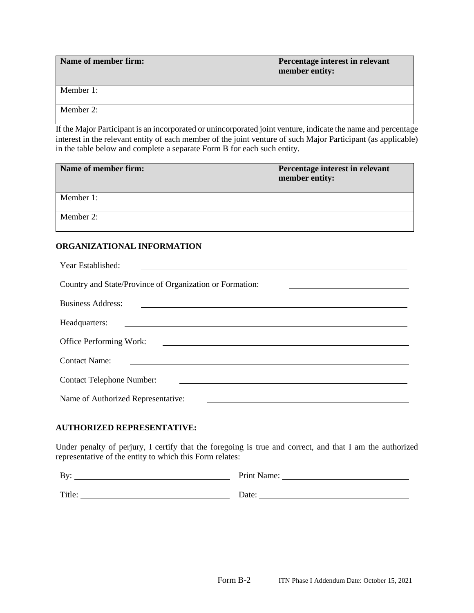| Name of member firm: | Percentage interest in relevant<br>member entity: |
|----------------------|---------------------------------------------------|
| Member 1:            |                                                   |
| Member 2:            |                                                   |

If the Major Participant is an incorporated or unincorporated joint venture, indicate the name and percentage interest in the relevant entity of each member of the joint venture of such Major Participant (as applicable) in the table below and complete a separate Form B for each such entity.

| Name of member firm: | Percentage interest in relevant<br>member entity: |
|----------------------|---------------------------------------------------|
| Member 1:            |                                                   |
| Member 2:            |                                                   |

## **ORGANIZATIONAL INFORMATION**

| Year Established:                                        |
|----------------------------------------------------------|
| Country and State/Province of Organization or Formation: |
| <b>Business Address:</b>                                 |
| Headquarters:                                            |
| <b>Office Performing Work:</b>                           |
| <b>Contact Name:</b>                                     |
| <b>Contact Telephone Number:</b>                         |
| Name of Authorized Representative:                       |

## **AUTHORIZED REPRESENTATIVE:**

Under penalty of perjury, I certify that the foregoing is true and correct, and that I am the authorized representative of the entity to which this Form relates:

| By:    | Print Name: |
|--------|-------------|
| Title: | Date:       |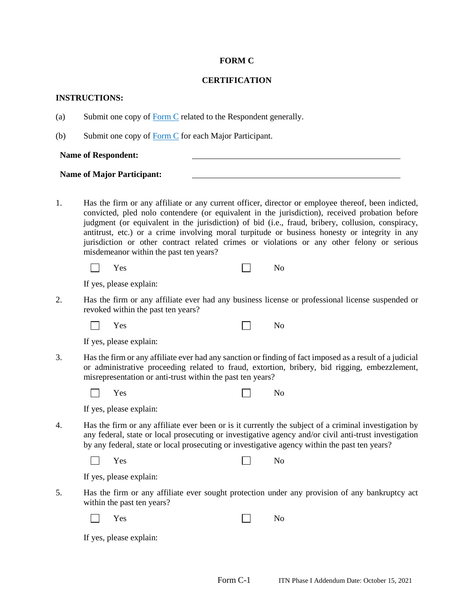#### **FORM C**

#### **CERTIFICATION**

#### **INSTRUCTIONS:**

- (a) Submit one copy of Form C related to the Respondent generally.
- (b) Submit one copy of  $\overline{Form C}$  for each Major Participant.

**Name of Respondent:** 

#### **Name of Major Participant:**

1. Has the firm or any affiliate or any current officer, director or employee thereof, been indicted, convicted, pled nolo contendere (or equivalent in the jurisdiction), received probation before judgment (or equivalent in the jurisdiction) of bid (i.e., fraud, bribery, collusion, conspiracy, antitrust, etc.) or a crime involving moral turpitude or business honesty or integrity in any jurisdiction or other contract related crimes or violations or any other felony or serious misdemeanor within the past ten years?

| $\Box$ Yes |  |  |  |  | No |
|------------|--|--|--|--|----|
|------------|--|--|--|--|----|

If yes, please explain:

2. Has the firm or any affiliate ever had any business license or professional license suspended or revoked within the past ten years?

| a katika | Yes |  |  |  | No |
|----------|-----|--|--|--|----|
|----------|-----|--|--|--|----|

|  | If yes, please explain: |  |
|--|-------------------------|--|
|  |                         |  |

3. Has the firm or any affiliate ever had any sanction or finding of fact imposed as a result of a judicial or administrative proceeding related to fraud, extortion, bribery, bid rigging, embezzlement, misrepresentation or anti-trust within the past ten years?

| I | $\mathbf{v}$<br>es<br>⊥ ບບ |  |  |  | - |
|---|----------------------------|--|--|--|---|
|---|----------------------------|--|--|--|---|

| If yes, please explain: |  |  |  |  |
|-------------------------|--|--|--|--|
|-------------------------|--|--|--|--|

4. Has the firm or any affiliate ever been or is it currently the subject of a criminal investigation by any federal, state or local prosecuting or investigative agency and/or civil anti-trust investigation by any federal, state or local prosecuting or investigative agency within the past ten years?

| $\Box$ | Yes |  |  | No |
|--------|-----|--|--|----|
|--------|-----|--|--|----|

|  |  |  | If yes, please explain: |
|--|--|--|-------------------------|
|--|--|--|-------------------------|

5. Has the firm or any affiliate ever sought protection under any provision of any bankruptcy act within the past ten years?

| $\perp$ | Yes |  | N <sub>0</sub> |
|---------|-----|--|----------------|
|---------|-----|--|----------------|

If yes, please explain: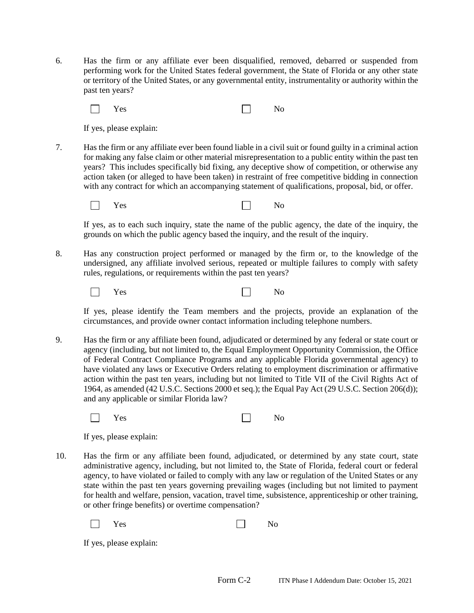6. Has the firm or any affiliate ever been disqualified, removed, debarred or suspended from performing work for the United States federal government, the State of Florida or any other state or territory of the United States, or any governmental entity, instrumentality or authority within the past ten years?

| $\Box$<br>$\mathbf{V}$<br>'es | N <sub>0</sub> |
|-------------------------------|----------------|
|-------------------------------|----------------|

If yes, please explain:

7. Has the firm or any affiliate ever been found liable in a civil suit or found guilty in a criminal action for making any false claim or other material misrepresentation to a public entity within the past ten years? This includes specifically bid fixing, any deceptive show of competition, or otherwise any action taken (or alleged to have been taken) in restraint of free competitive bidding in connection with any contract for which an accompanying statement of qualifications, proposal, bid, or offer.

 $\Box$ Yes No

If yes, as to each such inquiry, state the name of the public agency, the date of the inquiry, the grounds on which the public agency based the inquiry, and the result of the inquiry.

8. Has any construction project performed or managed by the firm or, to the knowledge of the undersigned, any affiliate involved serious, repeated or multiple failures to comply with safety rules, regulations, or requirements within the past ten years?

| $\Box$<br>Yes | No |
|---------------|----|
|---------------|----|

If yes, please identify the Team members and the projects, provide an explanation of the circumstances, and provide owner contact information including telephone numbers.

9. Has the firm or any affiliate been found, adjudicated or determined by any federal or state court or agency (including, but not limited to, the Equal Employment Opportunity Commission, the Office of Federal Contract Compliance Programs and any applicable Florida governmental agency) to have violated any laws or Executive Orders relating to employment discrimination or affirmative action within the past ten years, including but not limited to Title VII of the Civil Rights Act of 1964, as amended (42 U.S.C. Sections 2000 et seq.); the Equal Pay Act (29 U.S.C. Section 206(d)); and any applicable or similar Florida law?

| $\Box$ | Yes |  | No<br><b>+</b> |  |
|--------|-----|--|----------------|--|
|--------|-----|--|----------------|--|

|  | If yes, please explain: |
|--|-------------------------|

10. Has the firm or any affiliate been found, adjudicated, or determined by any state court, state administrative agency, including, but not limited to, the State of Florida, federal court or federal agency, to have violated or failed to comply with any law or regulation of the United States or any state within the past ten years governing prevailing wages (including but not limited to payment for health and welfare, pension, vacation, travel time, subsistence, apprenticeship or other training, or other fringe benefits) or overtime compensation?

| $\Box$ | Yes |  | No |
|--------|-----|--|----|
|        |     |  |    |

If yes, please explain: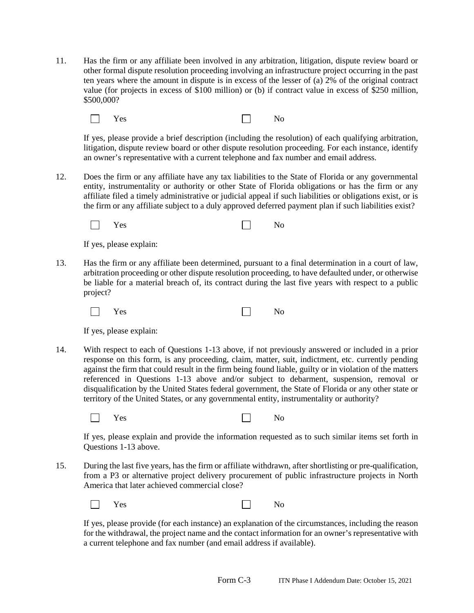11. Has the firm or any affiliate been involved in any arbitration, litigation, dispute review board or other formal dispute resolution proceeding involving an infrastructure project occurring in the past ten years where the amount in dispute is in excess of the lesser of (a) 2% of the original contract value (for projects in excess of \$100 million) or (b) if contract value in excess of \$250 million, \$500,000?

| $\Box$ Yes |  | No |
|------------|--|----|
|            |  |    |

If yes, please provide a brief description (including the resolution) of each qualifying arbitration, litigation, dispute review board or other dispute resolution proceeding. For each instance, identify an owner's representative with a current telephone and fax number and email address.

12. Does the firm or any affiliate have any tax liabilities to the State of Florida or any governmental entity, instrumentality or authority or other State of Florida obligations or has the firm or any affiliate filed a timely administrative or judicial appeal if such liabilities or obligations exist, or is the firm or any affiliate subject to a duly approved deferred payment plan if such liabilities exist?

| $\Box$ | Yes |  | No |
|--------|-----|--|----|
|--------|-----|--|----|

If yes, please explain:

13. Has the firm or any affiliate been determined, pursuant to a final determination in a court of law, arbitration proceeding or other dispute resolution proceeding, to have defaulted under, or otherwise be liable for a material breach of, its contract during the last five years with respect to a public project?

| Yes | No |
|-----|----|
|     |    |

If yes, please explain:

14. With respect to each of Questions 1-13 above, if not previously answered or included in a prior response on this form, is any proceeding, claim, matter, suit, indictment, etc. currently pending against the firm that could result in the firm being found liable, guilty or in violation of the matters referenced in Questions 1-13 above and/or subject to debarment, suspension, removal or disqualification by the United States federal government, the State of Florida or any other state or territory of the United States, or any governmental entity, instrumentality or authority?

| $\Box$ | No |
|--------|----|
| Yes    |    |

If yes, please explain and provide the information requested as to such similar items set forth in Questions 1-13 above.

15. During the last five years, has the firm or affiliate withdrawn, after shortlisting or pre-qualification, from a P3 or alternative project delivery procurement of public infrastructure projects in North America that later achieved commercial close?

| Yes<br>$\Box$ | No |
|---------------|----|
|---------------|----|

If yes, please provide (for each instance) an explanation of the circumstances, including the reason for the withdrawal, the project name and the contact information for an owner's representative with a current telephone and fax number (and email address if available).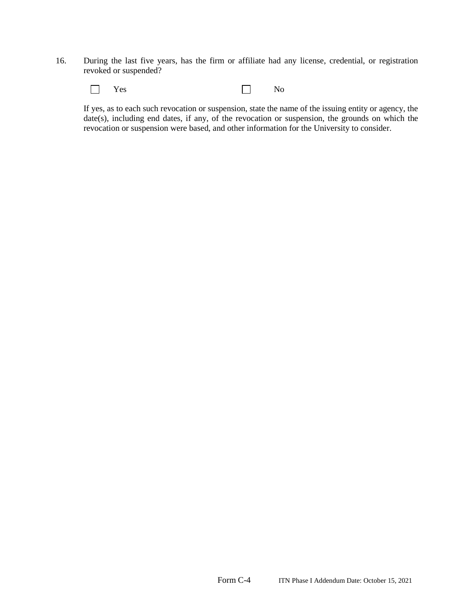16. During the last five years, has the firm or affiliate had any license, credential, or registration revoked or suspended?



If yes, as to each such revocation or suspension, state the name of the issuing entity or agency, the date(s), including end dates, if any, of the revocation or suspension, the grounds on which the revocation or suspension were based, and other information for the University to consider.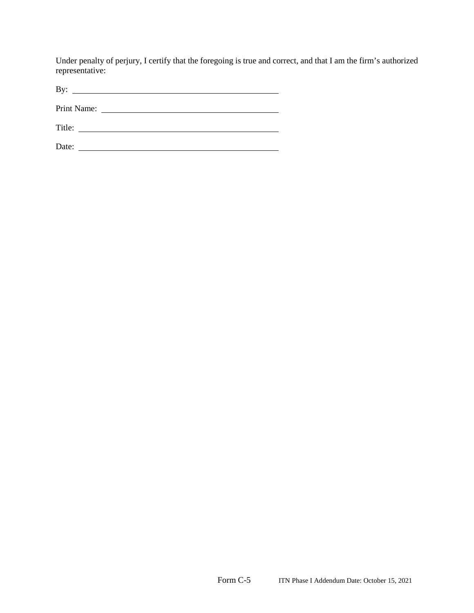Under penalty of perjury, I certify that the foregoing is true and correct, and that I am the firm's authorized representative:

| D<br> |  |  |  |
|-------|--|--|--|
|       |  |  |  |

Print Name:

Title:

Date: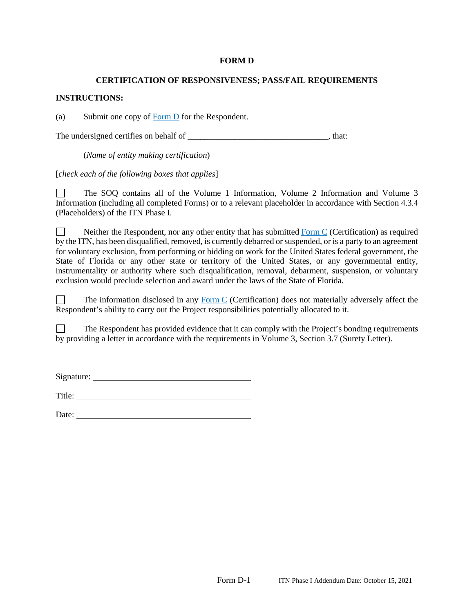#### **FORM D**

#### **CERTIFICATION OF RESPONSIVENESS; PASS/FAIL REQUIREMENTS**

#### **INSTRUCTIONS:**

(a) Submit one copy of  $\overline{Form D}$  for the Respondent.

The undersigned certifies on behalf of \_\_\_\_\_\_\_\_\_\_\_\_\_\_\_\_\_\_\_\_\_\_\_\_\_\_\_\_\_\_\_\_, that:

(*Name of entity making certification*)

[*check each of the following boxes that applies*]

The SOQ contains all of the Volume 1 Information, Volume 2 Information and Volume 3 Information (including all completed Forms) or to a relevant placeholder in accordance with Section 4.3.4 (Placeholders) of the ITN Phase I.

Neither the Respondent, nor any other entity that has submitted  $\overline{Form C}$  (Certification) as required  $\perp$ by the ITN, has been disqualified, removed, is currently debarred or suspended, or is a party to an agreement for voluntary exclusion, from performing or bidding on work for the United States federal government, the State of Florida or any other state or territory of the United States, or any governmental entity, instrumentality or authority where such disqualification, removal, debarment, suspension, or voluntary exclusion would preclude selection and award under the laws of the State of Florida.

П The information disclosed in any Form C (Certification) does not materially adversely affect the Respondent's ability to carry out the Project responsibilities potentially allocated to it.

The Respondent has provided evidence that it can comply with the Project's bonding requirements  $\Box$ by providing a letter in accordance with the requirements in Volume 3, Section 3.7 (Surety Letter).

Signature:

Title:

Date: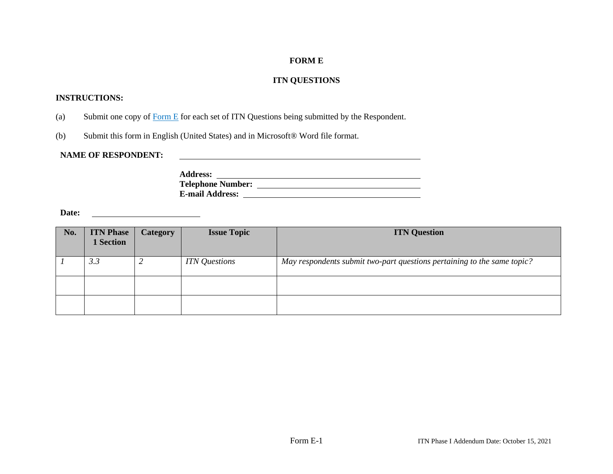## **FORM E**

## **ITN QUESTIONS**

## **INSTRUCTIONS:**

- (a) Submit one copy of Form E for each set of ITN Questions being submitted by the Respondent.
- (b) Submit this form in English (United States) and in Microsoft® Word file format.

### **NAME OF RESPONDENT:**

**Address: Telephone Number: E-mail Address:** 

**Date:** 

| No. | <b>ITN Phase</b><br><b>1 Section</b> | <b>Category</b> | <b>Issue Topic</b>   | <b>ITN Question</b>                                                     |
|-----|--------------------------------------|-----------------|----------------------|-------------------------------------------------------------------------|
|     | 3.3                                  |                 | <b>ITN</b> Questions | May respondents submit two-part questions pertaining to the same topic? |
|     |                                      |                 |                      |                                                                         |
|     |                                      |                 |                      |                                                                         |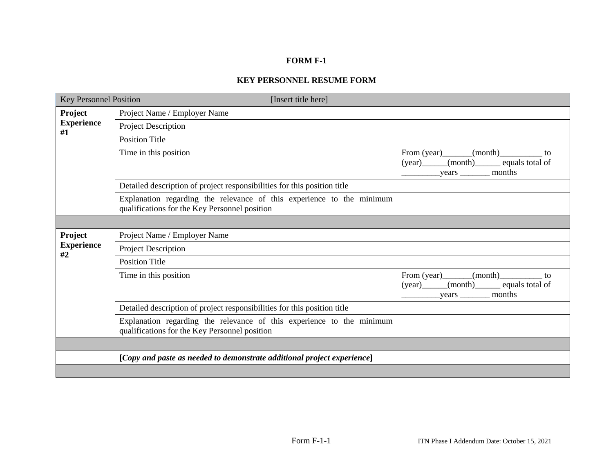## **FORM F-1**

## **KEY PERSONNEL RESUME FORM**

| <b>Key Personnel Position</b> | [Insert title here]                                                                                                    |                                                                              |
|-------------------------------|------------------------------------------------------------------------------------------------------------------------|------------------------------------------------------------------------------|
| <b>Project</b>                | Project Name / Employer Name                                                                                           |                                                                              |
| <b>Experience</b><br>#1       | Project Description                                                                                                    |                                                                              |
|                               | <b>Position Title</b>                                                                                                  |                                                                              |
|                               | Time in this position                                                                                                  | From $(year)$ (month) to<br>(year) (month) equals total of<br>$years$ months |
|                               | Detailed description of project responsibilities for this position title                                               |                                                                              |
|                               | Explanation regarding the relevance of this experience to the minimum<br>qualifications for the Key Personnel position |                                                                              |
|                               |                                                                                                                        |                                                                              |
| Project                       | Project Name / Employer Name                                                                                           |                                                                              |
| <b>Experience</b><br>#2       | Project Description                                                                                                    |                                                                              |
|                               | <b>Position Title</b>                                                                                                  |                                                                              |
|                               | Time in this position                                                                                                  | From $(year)$ (month) to<br>(year) (month) equals total of<br>$years$ months |
|                               | Detailed description of project responsibilities for this position title                                               |                                                                              |
|                               | Explanation regarding the relevance of this experience to the minimum<br>qualifications for the Key Personnel position |                                                                              |
|                               |                                                                                                                        |                                                                              |
|                               | [Copy and paste as needed to demonstrate additional project experience]                                                |                                                                              |
|                               |                                                                                                                        |                                                                              |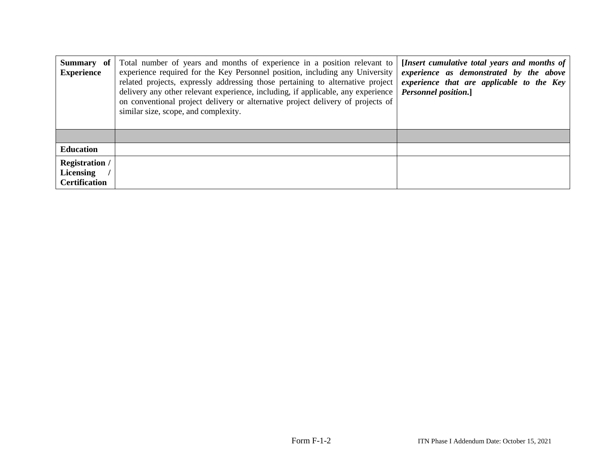| Summary of<br><b>Experience</b>                            | Total number of years and months of experience in a position relevant to<br>experience required for the Key Personnel position, including any University<br>related projects, expressly addressing those pertaining to alternative project<br>delivery any other relevant experience, including, if applicable, any experience<br>on conventional project delivery or alternative project delivery of projects of<br>similar size, scope, and complexity. | [Insert cumulative total years and months of<br>experience as demonstrated by the above<br>experience that are applicable to the Key<br><b>Personnel position.</b> ] |  |  |  |
|------------------------------------------------------------|-----------------------------------------------------------------------------------------------------------------------------------------------------------------------------------------------------------------------------------------------------------------------------------------------------------------------------------------------------------------------------------------------------------------------------------------------------------|----------------------------------------------------------------------------------------------------------------------------------------------------------------------|--|--|--|
|                                                            |                                                                                                                                                                                                                                                                                                                                                                                                                                                           |                                                                                                                                                                      |  |  |  |
| <b>Education</b>                                           |                                                                                                                                                                                                                                                                                                                                                                                                                                                           |                                                                                                                                                                      |  |  |  |
| <b>Registration /</b><br>Licensing<br><b>Certification</b> |                                                                                                                                                                                                                                                                                                                                                                                                                                                           |                                                                                                                                                                      |  |  |  |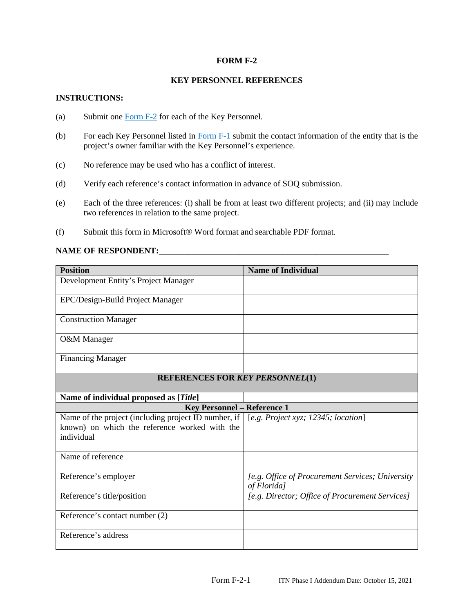### **FORM F-2**

### **KEY PERSONNEL REFERENCES**

#### **INSTRUCTIONS:**

- (a) Submit one Form F-2 for each of the Key Personnel.
- (b) For each Key Personnel listed in Form  $F-1$  submit the contact information of the entity that is the project's owner familiar with the Key Personnel's experience.
- (c) No reference may be used who has a conflict of interest.
- (d) Verify each reference's contact information in advance of SOQ submission.
- (e) Each of the three references: (i) shall be from at least two different projects; and (ii) may include two references in relation to the same project.
- (f) Submit this form in Microsoft® Word format and searchable PDF format.

### **NAME OF RESPONDENT:**\_\_\_\_\_\_\_\_\_\_\_\_\_\_\_\_\_\_\_\_\_\_\_\_\_\_\_\_\_\_\_\_\_\_\_\_\_\_\_\_\_\_\_\_\_\_\_\_\_\_\_\_\_\_

| <b>Position</b>                                                                                                       | <b>Name of Individual</b>                                       |
|-----------------------------------------------------------------------------------------------------------------------|-----------------------------------------------------------------|
| Development Entity's Project Manager                                                                                  |                                                                 |
| EPC/Design-Build Project Manager                                                                                      |                                                                 |
| <b>Construction Manager</b>                                                                                           |                                                                 |
| O&M Manager                                                                                                           |                                                                 |
| <b>Financing Manager</b>                                                                                              |                                                                 |
| <b>REFERENCES FOR KEY PERSONNEL(1)</b>                                                                                |                                                                 |
| Name of individual proposed as [Title]                                                                                |                                                                 |
| <b>Key Personnel - Reference 1</b>                                                                                    |                                                                 |
| Name of the project (including project ID number, if  <br>known) on which the reference worked with the<br>individual | $[$ e.g. Project xyz; 12345; location $]$                       |
| Name of reference                                                                                                     |                                                                 |
| Reference's employer                                                                                                  | [e.g. Office of Procurement Services; University<br>of Florida] |
| Reference's title/position                                                                                            | [e.g. Director; Office of Procurement Services]                 |
| Reference's contact number (2)                                                                                        |                                                                 |
| Reference's address                                                                                                   |                                                                 |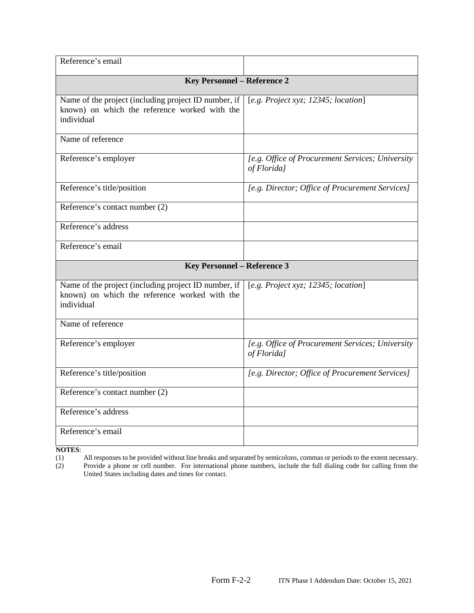| <b>Key Personnel - Reference 2</b>                              |
|-----------------------------------------------------------------|
| [e.g. Project xyz; 12345; location]                             |
|                                                                 |
| [e.g. Office of Procurement Services; University<br>of Florida] |
| [e.g. Director; Office of Procurement Services]                 |
|                                                                 |
|                                                                 |
|                                                                 |
| <b>Key Personnel - Reference 3</b>                              |
| [e.g. Project xyz; 12345; location]                             |
|                                                                 |
| [e.g. Office of Procurement Services; University<br>of Florida] |
| [e.g. Director; Office of Procurement Services]                 |
|                                                                 |
|                                                                 |
|                                                                 |
|                                                                 |

**NOTES**:

(1) All responses to be provided without line breaks and separated by semicolons, commas or periods to the extent necessary. (2) Provide a phone or cell number. For international phone numbers, include the full dialing code for calling from the

United States including dates and times for contact.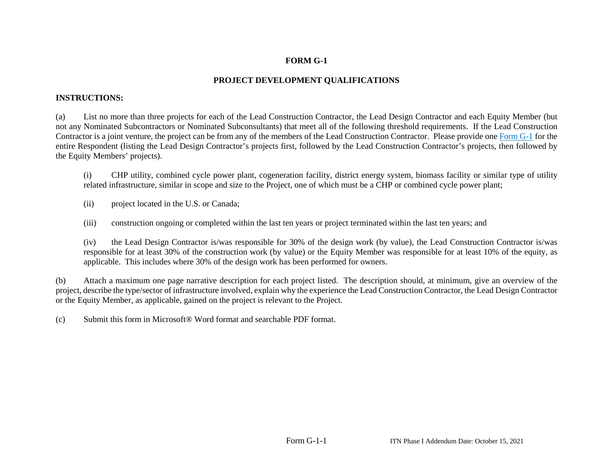## **FORM G-1**

## **PROJECT DEVELOPMENT QUALIFICATIONS**

## **INSTRUCTIONS:**

(a) List no more than three projects for each of the Lead Construction Contractor, the Lead Design Contractor and each Equity Member (but not any Nominated Subcontractors or Nominated Subconsultants) that meet all of the following threshold requirements. If the Lead Construction Contractor is a joint venture, the project can be from any of the members of the Lead Construction Contractor. Please provide one Form G-1 for the entire Respondent (listing the Lead Design Contractor's projects first, followed by the Lead Construction Contractor's projects, then followed by the Equity Members' projects).

(i) CHP utility, combined cycle power plant, cogeneration facility, district energy system, biomass facility or similar type of utility related infrastructure, similar in scope and size to the Project, one of which must be a CHP or combined cycle power plant;

(ii) project located in the U.S. or Canada;

(iii) construction ongoing or completed within the last ten years or project terminated within the last ten years; and

(iv) the Lead Design Contractor is/was responsible for 30% of the design work (by value), the Lead Construction Contractor is/was responsible for at least 30% of the construction work (by value) or the Equity Member was responsible for at least 10% of the equity, as applicable. This includes where 30% of the design work has been performed for owners.

(b) Attach a maximum one page narrative description for each project listed. The description should, at minimum, give an overview of the project, describe the type/sector of infrastructure involved, explain why the experience the Lead Construction Contractor, the Lead Design Contractor or the Equity Member, as applicable, gained on the project is relevant to the Project.

(c) Submit this form in Microsoft® Word format and searchable PDF format.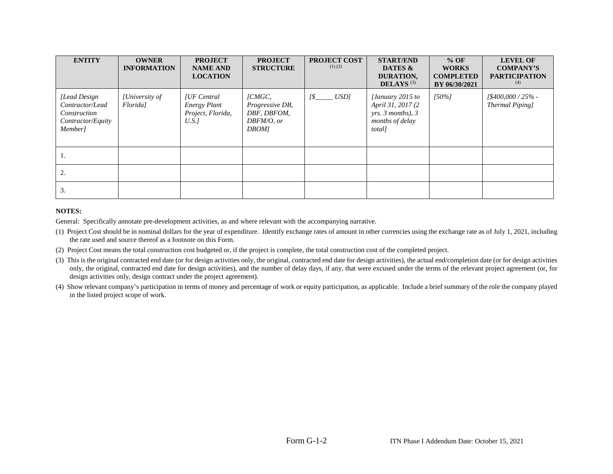| <b>ENTITY</b>                                                                    | <b>OWNER</b><br><b>INFORMATION</b> | <b>PROJECT</b><br><b>NAME AND</b><br><b>LOCATION</b>                   | <b>PROJECT</b><br><b>STRUCTURE</b>                                       | <b>PROJECT COST</b><br>$(1)$ $(2)$ | <b>START/END</b><br>DATES &<br>DURATION,<br>DELAYS $(3)$                                 | $%$ OF<br><b>WORKS</b><br><b>COMPLETED</b><br>BY 06/30/2021 | <b>LEVEL OF</b><br><b>COMPANY'S</b><br><b>PARTICIPATION</b><br>(4) |
|----------------------------------------------------------------------------------|------------------------------------|------------------------------------------------------------------------|--------------------------------------------------------------------------|------------------------------------|------------------------------------------------------------------------------------------|-------------------------------------------------------------|--------------------------------------------------------------------|
| [Lead Design]<br>Contractor/Lead<br>Construction<br>Contractor/Equity<br>Member] | [University of<br>Florida]         | <b>IUF</b> Central<br><b>Energy Plant</b><br>Project, Florida,<br>U.S. | [CMGC,<br>Progressive DB,<br>DBF, DBFOM,<br>$DBFM/O$ , or<br><b>DBOM</b> | USD<br>1\$                         | [January 2015 to<br>April 31, 2017 (2)<br>yrs. 3 months), 3<br>months of delay<br>total] | $150\%$                                                     | $[$400,000 / 25\%$ -<br>Thermal Piping]                            |
| 1.                                                                               |                                    |                                                                        |                                                                          |                                    |                                                                                          |                                                             |                                                                    |
| 2.                                                                               |                                    |                                                                        |                                                                          |                                    |                                                                                          |                                                             |                                                                    |
| 3.                                                                               |                                    |                                                                        |                                                                          |                                    |                                                                                          |                                                             |                                                                    |

#### **NOTES:**

General: Specifically annotate pre-development activities, as and where relevant with the accompanying narrative.

- (1) Project Cost should be in nominal dollars for the year of expenditure. Identify exchange rates of amount in other currencies using the exchange rate as of July 1, 2021, including the rate used and source thereof as a footnote on this Form.
- (2) Project Cost means the total construction cost budgeted or, if the project is complete, the total construction cost of the completed project.
- (3) This is the original contracted end date (or for design activities only, the original, contracted end date for design activities), the actual end/completion date (or for design activities only, the original, contracted end date for design activities), and the number of delay days, if any, that were excused under the terms of the relevant project agreement (or, for design activities only, design contract under the project agreement).
- (4) Show relevant company's participation in terms of money and percentage of work or equity participation, as applicable. Include a brief summary of the role the company played in the listed project scope of work.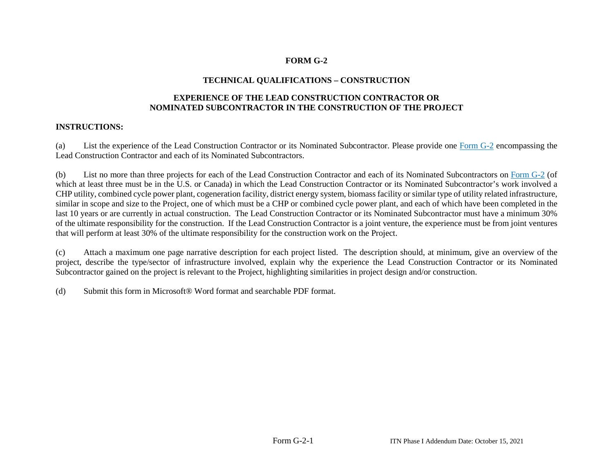## **FORM G-2**

## **TECHNICAL QUALIFICATIONS – CONSTRUCTION**

## **EXPERIENCE OF THE LEAD CONSTRUCTION CONTRACTOR OR NOMINATED SUBCONTRACTOR IN THE CONSTRUCTION OF THE PROJECT**

## **INSTRUCTIONS:**

(a) List the experience of the Lead Construction Contractor or its Nominated Subcontractor. Please provide one Form G-2 encompassing the Lead Construction Contractor and each of its Nominated Subcontractors.

(b) List no more than three projects for each of the Lead Construction Contractor and each of its Nominated Subcontractors on Form G-2 (of which at least three must be in the U.S. or Canada) in which the Lead Construction Contractor or its Nominated Subcontractor's work involved a CHP utility, combined cycle power plant, cogeneration facility, district energy system, biomass facility or similar type of utility related infrastructure, similar in scope and size to the Project, one of which must be a CHP or combined cycle power plant, and each of which have been completed in the last 10 years or are currently in actual construction. The Lead Construction Contractor or its Nominated Subcontractor must have a minimum 30% of the ultimate responsibility for the construction. If the Lead Construction Contractor is a joint venture, the experience must be from joint ventures that will perform at least 30% of the ultimate responsibility for the construction work on the Project.

(c) Attach a maximum one page narrative description for each project listed. The description should, at minimum, give an overview of the project, describe the type/sector of infrastructure involved, explain why the experience the Lead Construction Contractor or its Nominated Subcontractor gained on the project is relevant to the Project, highlighting similarities in project design and/or construction.

(d) Submit this form in Microsoft® Word format and searchable PDF format.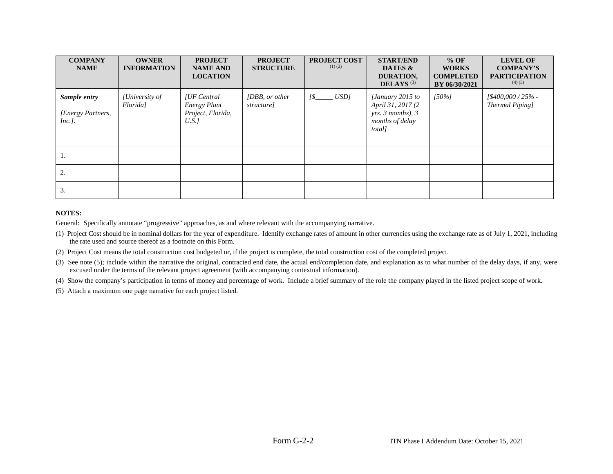| <b>COMPANY</b><br><b>NAME</b>                 | <b>OWNER</b><br><b>INFORMATION</b> | <b>PROJECT</b><br><b>NAME AND</b><br><b>LOCATION</b>              | <b>PROJECT</b><br><b>STRUCTURE</b> | PROJECT COST<br>$(1)$ $(2)$ | <b>START/END</b><br>DATES &<br>DURATION,<br>DELAYS $(3)$                                 | $%$ OF<br><b>WORKS</b><br><b>COMPLETED</b><br>BY 06/30/2021 | <b>LEVEL OF</b><br><b>COMPANY'S</b><br><b>PARTICIPATION</b><br>(4)(5) |
|-----------------------------------------------|------------------------------------|-------------------------------------------------------------------|------------------------------------|-----------------------------|------------------------------------------------------------------------------------------|-------------------------------------------------------------|-----------------------------------------------------------------------|
| Sample entry<br>[Energy Partners,<br>$Inc.$ . | [University of<br><i>Floridal</i>  | [UF Central]<br><b>Energy Plant</b><br>Project, Florida,<br>U.S.1 | [DBB, or other<br>structure]       | USD                         | [January 2015 to<br>April 31, 2017 (2)<br>yrs. 3 months), 3<br>months of delay<br>total] | $[50\%]$                                                    | $1\frac{$400,000}{25\%}$ -<br>Thermal Piping]                         |
| 1.                                            |                                    |                                                                   |                                    |                             |                                                                                          |                                                             |                                                                       |
| 2.                                            |                                    |                                                                   |                                    |                             |                                                                                          |                                                             |                                                                       |
| 3.                                            |                                    |                                                                   |                                    |                             |                                                                                          |                                                             |                                                                       |

#### **NOTES:**

General: Specifically annotate "progressive" approaches, as and where relevant with the accompanying narrative.

- (1) Project Cost should be in nominal dollars for the year of expenditure. Identify exchange rates of amount in other currencies using the exchange rate as of July 1, 2021, including the rate used and source thereof as a footnote on this Form.
- (2) Project Cost means the total construction cost budgeted or, if the project is complete, the total construction cost of the completed project.
- (3) See note (5); include within the narrative the original, contracted end date, the actual end/completion date, and explanation as to what number of the delay days, if any, were excused under the terms of the relevant project agreement (with accompanying contextual information).
- (4) Show the company's participation in terms of money and percentage of work. Include a brief summary of the role the company played in the listed project scope of work.

(5) Attach a maximum one page narrative for each project listed.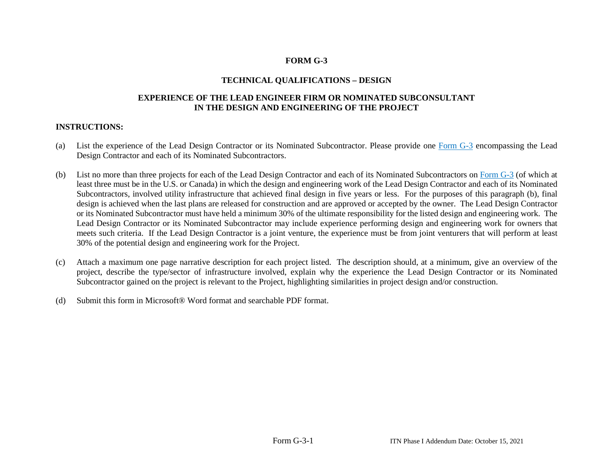## **FORM G-3**

## **TECHNICAL QUALIFICATIONS – DESIGN**

## **EXPERIENCE OF THE LEAD ENGINEER FIRM OR NOMINATED SUBCONSULTANT IN THE DESIGN AND ENGINEERING OF THE PROJECT**

## **INSTRUCTIONS:**

- (a) List the experience of the Lead Design Contractor or its Nominated Subcontractor. Please provide one Form G-3 encompassing the Lead Design Contractor and each of its Nominated Subcontractors.
- (b) List no more than three projects for each of the Lead Design Contractor and each of its Nominated Subcontractors on Form G-3 (of which at least three must be in the U.S. or Canada) in which the design and engineering work of the Lead Design Contractor and each of its Nominated Subcontractors, involved utility infrastructure that achieved final design in five years or less. For the purposes of this paragraph (b), final design is achieved when the last plans are released for construction and are approved or accepted by the owner. The Lead Design Contractor or its Nominated Subcontractor must have held a minimum 30% of the ultimate responsibility for the listed design and engineering work. The Lead Design Contractor or its Nominated Subcontractor may include experience performing design and engineering work for owners that meets such criteria. If the Lead Design Contractor is a joint venture, the experience must be from joint venturers that will perform at least 30% of the potential design and engineering work for the Project.
- (c) Attach a maximum one page narrative description for each project listed. The description should, at a minimum, give an overview of the project, describe the type/sector of infrastructure involved, explain why the experience the Lead Design Contractor or its Nominated Subcontractor gained on the project is relevant to the Project, highlighting similarities in project design and/or construction.
- (d) Submit this form in Microsoft® Word format and searchable PDF format.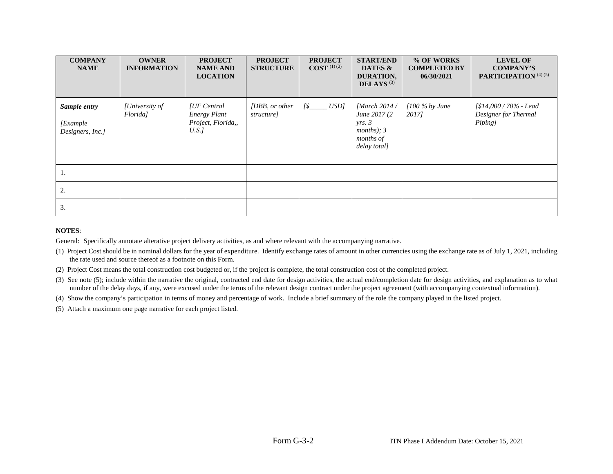| <b>COMPANY</b><br><b>NAME</b>                 | <b>OWNER</b><br><b>INFORMATION</b> | <b>PROJECT</b><br><b>NAME AND</b><br><b>LOCATION</b>             | <b>PROJECT</b><br><b>STRUCTURE</b> | <b>PROJECT</b><br>$\text{COST}^{(1)(2)}$ | <b>START/END</b><br>DATES &<br>DURATION,<br><b>DELAYS</b> <sup>(3)</sup>               | % OF WORKS<br><b>COMPLETED BY</b><br>06/30/2021 | <b>LEVEL OF</b><br><b>COMPANY'S</b><br>PARTICIPATION <sup>(4)(5)</sup> |
|-----------------------------------------------|------------------------------------|------------------------------------------------------------------|------------------------------------|------------------------------------------|----------------------------------------------------------------------------------------|-------------------------------------------------|------------------------------------------------------------------------|
| Sample entry<br>[Example]<br>Designers, Inc.] | [University of<br>Florida]         | [UF Central<br><b>Energy Plant</b><br>Project, Florida,,<br>U.S. | [DBB, or other<br>structure]       | $[$$ <sub>_____</sub> $USD]$             | [March $2014/$<br>June 2017 (2)<br>yrs. 3<br>months); $3$<br>months of<br>delay total] | $1100\%$ by June<br>2017]                       | [\$14,000 / 70% - Lead<br>Designer for Thermal<br>Piping]              |
|                                               |                                    |                                                                  |                                    |                                          |                                                                                        |                                                 |                                                                        |
| 2.                                            |                                    |                                                                  |                                    |                                          |                                                                                        |                                                 |                                                                        |
| 3.                                            |                                    |                                                                  |                                    |                                          |                                                                                        |                                                 |                                                                        |

#### **NOTES**:

General: Specifically annotate alterative project delivery activities, as and where relevant with the accompanying narrative.

- (1) Project Cost should be in nominal dollars for the year of expenditure. Identify exchange rates of amount in other currencies using the exchange rate as of July 1, 2021, including the rate used and source thereof as a footnote on this Form.
- (2) Project Cost means the total construction cost budgeted or, if the project is complete, the total construction cost of the completed project.
- (3) See note (5); include within the narrative the original, contracted end date for design activities, the actual end/completion date for design activities, and explanation as to what number of the delay days, if any, were excused under the terms of the relevant design contract under the project agreement (with accompanying contextual information).
- (4) Show the company's participation in terms of money and percentage of work. Include a brief summary of the role the company played in the listed project.

(5) Attach a maximum one page narrative for each project listed.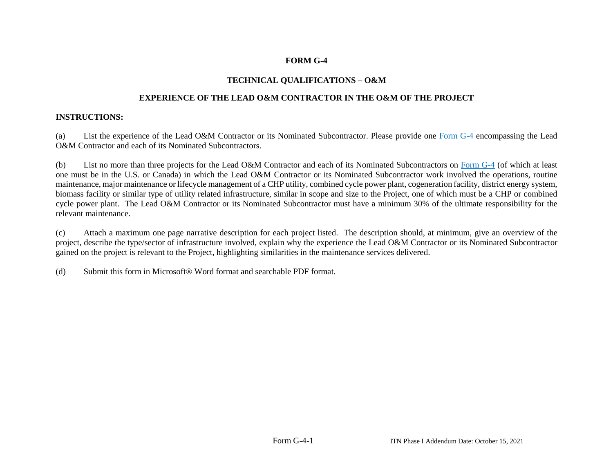## **FORM G-4**

## **TECHNICAL QUALIFICATIONS – O&M**

## **EXPERIENCE OF THE LEAD O&M CONTRACTOR IN THE O&M OF THE PROJECT**

## **INSTRUCTIONS:**

(a) List the experience of the Lead O&M Contractor or its Nominated Subcontractor. Please provide one Form G-4 encompassing the Lead O&M Contractor and each of its Nominated Subcontractors.

(b) List no more than three projects for the Lead O&M Contractor and each of its Nominated Subcontractors on Form G-4 (of which at least one must be in the U.S. or Canada) in which the Lead O&M Contractor or its Nominated Subcontractor work involved the operations, routine maintenance, major maintenance or lifecycle management of a CHP utility, combined cycle power plant, cogeneration facility, district energy system, biomass facility or similar type of utility related infrastructure, similar in scope and size to the Project, one of which must be a CHP or combined cycle power plant. The Lead O&M Contractor or its Nominated Subcontractor must have a minimum 30% of the ultimate responsibility for the relevant maintenance.

(c) Attach a maximum one page narrative description for each project listed. The description should, at minimum, give an overview of the project, describe the type/sector of infrastructure involved, explain why the experience the Lead O&M Contractor or its Nominated Subcontractor gained on the project is relevant to the Project, highlighting similarities in the maintenance services delivered.

(d) Submit this form in Microsoft® Word format and searchable PDF format.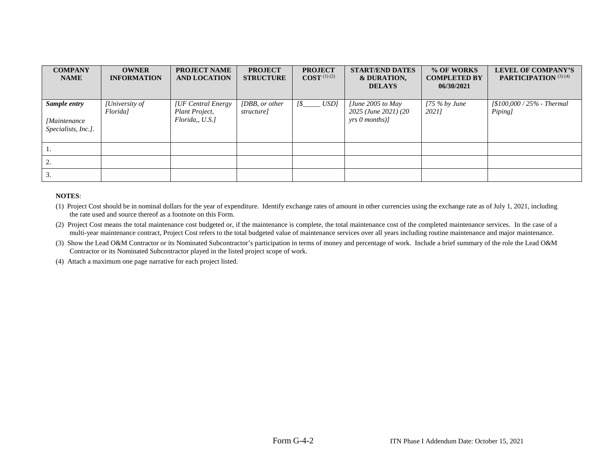| <b>COMPANY</b><br><b>NAME</b>                              | <b>OWNER</b><br><b>INFORMATION</b> | <b>PROJECT NAME</b><br><b>AND LOCATION</b>              | <b>PROJECT</b><br><b>STRUCTURE</b> | <b>PROJECT</b><br><b>COST</b> $(1)(2)$ | <b>START/END DATES</b><br>& DURATION,<br><b>DELAYS</b>                   | % OF WORKS<br><b>COMPLETED BY</b><br>06/30/2021 | <b>LEVEL OF COMPANY'S</b><br><b>PARTICIPATION</b> (3) (4) |
|------------------------------------------------------------|------------------------------------|---------------------------------------------------------|------------------------------------|----------------------------------------|--------------------------------------------------------------------------|-------------------------------------------------|-----------------------------------------------------------|
| Sample entry<br><i>[Maintenance</i><br>Specialists, Inc.]. | [University of<br>Florida]         | [UF Central Energy]<br>Plant Project,<br>Florida, U.S.1 | [DBB, or other<br>structure]       | $[$$ <sub>_____</sub> $USD]$           | $[June\ 2005\ to\ May$<br>2025 (June 2021) (20<br>$\gamma$ rs 0 months)] | $[75\%$ by June<br>20211                        | $1\$ 100,000/25% - Thermal<br>Piping]                     |
|                                                            |                                    |                                                         |                                    |                                        |                                                                          |                                                 |                                                           |
| ۷.                                                         |                                    |                                                         |                                    |                                        |                                                                          |                                                 |                                                           |
|                                                            |                                    |                                                         |                                    |                                        |                                                                          |                                                 |                                                           |

#### **NOTES**:

- (1) Project Cost should be in nominal dollars for the year of expenditure. Identify exchange rates of amount in other currencies using the exchange rate as of July 1, 2021, including the rate used and source thereof as a footnote on this Form.
- (2) Project Cost means the total maintenance cost budgeted or, if the maintenance is complete, the total maintenance cost of the completed maintenance services. In the case of a multi-year maintenance contract, Project Cost refers to the total budgeted value of maintenance services over all years including routine maintenance and major maintenance.
- (3) Show the Lead O&M Contractor or its Nominated Subcontractor's participation in terms of money and percentage of work. Include a brief summary of the role the Lead O&M Contractor or its Nominated Subcontractor played in the listed project scope of work.

(4) Attach a maximum one page narrative for each project listed.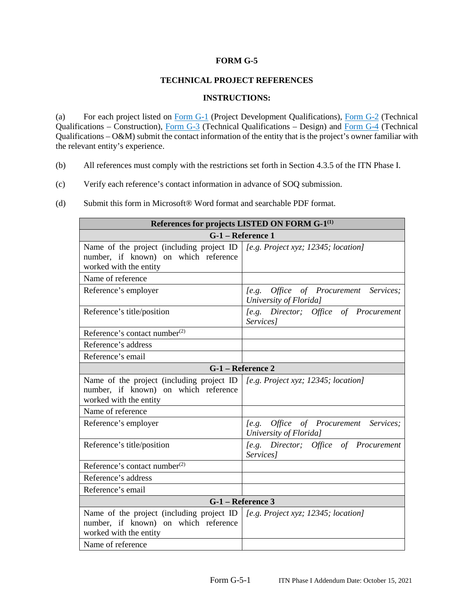### **FORM G-5**

## **TECHNICAL PROJECT REFERENCES**

### **INSTRUCTIONS:**

(a) For each project listed on  $\underline{Form G-1}$  (Project Development Qualifications),  $\underline{Form G-2}$  (Technical Qualifications – Construction), Form G-3 (Technical Qualifications – Design) and Form G-4 (Technical Qualifications – O&M) submit the contact information of the entity that is the project's owner familiar with the relevant entity's experience.

- (b) All references must comply with the restrictions set forth in Section 4.3.5 of the ITN Phase I.
- (c) Verify each reference's contact information in advance of SOQ submission.

| (d) | Submit this form in Microsoft <sup>®</sup> Word format and searchable PDF format. |
|-----|-----------------------------------------------------------------------------------|
|-----|-----------------------------------------------------------------------------------|

| References for projects LISTED ON FORM G-1 <sup>(1)</sup>                                                                                           |                                                                          |  |  |  |  |
|-----------------------------------------------------------------------------------------------------------------------------------------------------|--------------------------------------------------------------------------|--|--|--|--|
| G-1 - Reference 1                                                                                                                                   |                                                                          |  |  |  |  |
| Name of the project (including project ID $ $ [e.g. Project xyz; 12345; location]<br>number, if known) on which reference<br>worked with the entity |                                                                          |  |  |  |  |
| Name of reference                                                                                                                                   |                                                                          |  |  |  |  |
| Reference's employer                                                                                                                                | Office of Procurement<br>Services;<br>$[$ e.g.<br>University of Florida] |  |  |  |  |
| Reference's title/position                                                                                                                          | [e.g. Director; Office of Procurement<br>Services]                       |  |  |  |  |
| Reference's contact number <sup>(2)</sup>                                                                                                           |                                                                          |  |  |  |  |
| Reference's address                                                                                                                                 |                                                                          |  |  |  |  |
| Reference's email                                                                                                                                   |                                                                          |  |  |  |  |
| G-1 – Reference 2                                                                                                                                   |                                                                          |  |  |  |  |
| Name of the project (including project ID<br>number, if known) on which reference<br>worked with the entity                                         | [e.g. Project xyz; $12345$ ; location]                                   |  |  |  |  |
| Name of reference                                                                                                                                   |                                                                          |  |  |  |  |
| Reference's employer                                                                                                                                | Office of Procurement<br>Services;<br>$[$ e.g.<br>University of Florida] |  |  |  |  |
| Reference's title/position                                                                                                                          | [e.g. Director; Office of Procurement<br>Services]                       |  |  |  |  |
| Reference's contact number <sup>(2)</sup>                                                                                                           |                                                                          |  |  |  |  |
| Reference's address                                                                                                                                 |                                                                          |  |  |  |  |
| Reference's email                                                                                                                                   |                                                                          |  |  |  |  |
| G-1 - Reference 3                                                                                                                                   |                                                                          |  |  |  |  |
| Name of the project (including project ID<br>number, if known) on which reference<br>worked with the entity<br>Name of reference                    | [e.g. Project xyz; $12345$ ; location]                                   |  |  |  |  |
|                                                                                                                                                     |                                                                          |  |  |  |  |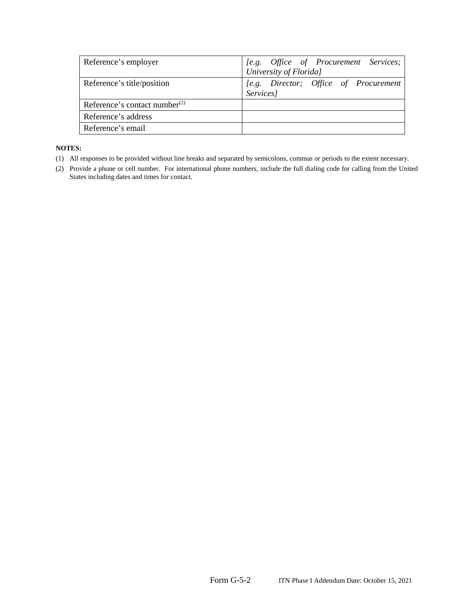| Reference's employer                | [e.g. Office of Procurement Services;<br>University of Florida] |
|-------------------------------------|-----------------------------------------------------------------|
| Reference's title/position          | [e.g. Director; Office of Procurement<br>Services]              |
| Reference's contact number $^{(2)}$ |                                                                 |
| Reference's address                 |                                                                 |
| Reference's email                   |                                                                 |

#### **NOTES:**

- (1) All responses to be provided without line breaks and separated by semicolons, commas or periods to the extent necessary.
- (2) Provide a phone or cell number. For international phone numbers, include the full dialing code for calling from the United States including dates and times for contact.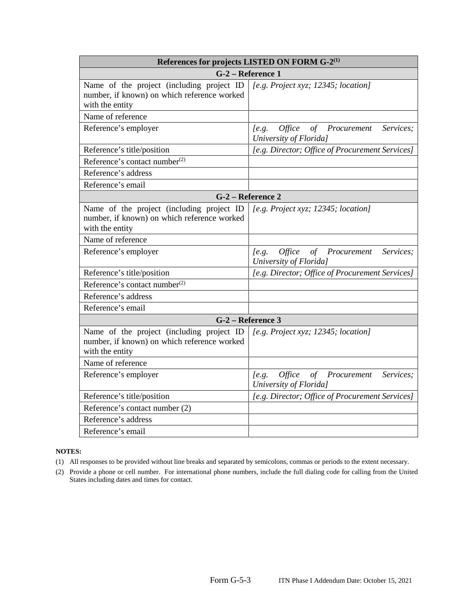| References for projects LISTED ON FORM G-2 <sup>(1)</sup>                                                   |                                                                                               |  |  |
|-------------------------------------------------------------------------------------------------------------|-----------------------------------------------------------------------------------------------|--|--|
|                                                                                                             | G-2 - Reference 1                                                                             |  |  |
| Name of the project (including project ID<br>number, if known) on which reference worked<br>with the entity | [e.g. Project xyz; $12345$ ; location]                                                        |  |  |
| Name of reference                                                                                           |                                                                                               |  |  |
| Reference's employer                                                                                        | Services;<br><i>Office</i><br>$\sigma f$<br>Procurement<br>$[$ e.g.<br>University of Florida] |  |  |
| Reference's title/position                                                                                  | [e.g. Director; Office of Procurement Services]                                               |  |  |
| Reference's contact number $(2)$                                                                            |                                                                                               |  |  |
| Reference's address                                                                                         |                                                                                               |  |  |
| Reference's email                                                                                           |                                                                                               |  |  |
|                                                                                                             | G-2 – Reference 2                                                                             |  |  |
| Name of the project (including project ID<br>number, if known) on which reference worked<br>with the entity | [e.g. Project xyz; 12345; location]                                                           |  |  |
| Name of reference                                                                                           |                                                                                               |  |  |
| Reference's employer                                                                                        | $[$ e.g.<br>Office<br>of Procurement<br>Services;<br>University of Florida]                   |  |  |
| Reference's title/position                                                                                  | [e.g. Director; Office of Procurement Services]                                               |  |  |
| Reference's contact number <sup>(2)</sup>                                                                   |                                                                                               |  |  |
| Reference's address                                                                                         |                                                                                               |  |  |
| Reference's email                                                                                           |                                                                                               |  |  |
|                                                                                                             | G-2 - Reference 3                                                                             |  |  |
| Name of the project (including project ID<br>number, if known) on which reference worked<br>with the entity | [e.g. Project xyz; $12345$ ; location]                                                        |  |  |
| Name of reference                                                                                           |                                                                                               |  |  |
| Reference's employer                                                                                        | Office<br>of Procurement<br>Services;<br>$[$ e.g.<br>University of Florida]                   |  |  |
| Reference's title/position                                                                                  | [e.g. Director; Office of Procurement Services]                                               |  |  |
| Reference's contact number (2)                                                                              |                                                                                               |  |  |
| Reference's address                                                                                         |                                                                                               |  |  |
| Reference's email                                                                                           |                                                                                               |  |  |

- (1) All responses to be provided without line breaks and separated by semicolons, commas or periods to the extent necessary.
- (2) Provide a phone or cell number. For international phone numbers, include the full dialing code for calling from the United States including dates and times for contact.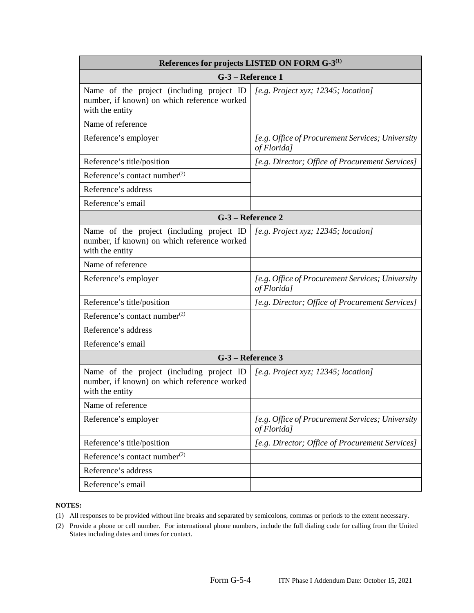| References for projects LISTED ON FORM G-3 <sup>(1)</sup>                                                   |                                                                 |  |  |
|-------------------------------------------------------------------------------------------------------------|-----------------------------------------------------------------|--|--|
|                                                                                                             | G-3 – Reference 1                                               |  |  |
| Name of the project (including project ID<br>number, if known) on which reference worked<br>with the entity | [e.g. Project xyz; $12345$ ; location]                          |  |  |
| Name of reference                                                                                           |                                                                 |  |  |
| Reference's employer                                                                                        | [e.g. Office of Procurement Services; University<br>of Florida] |  |  |
| Reference's title/position                                                                                  | [e.g. Director; Office of Procurement Services]                 |  |  |
| Reference's contact number <sup>(2)</sup>                                                                   |                                                                 |  |  |
| Reference's address                                                                                         |                                                                 |  |  |
| Reference's email                                                                                           |                                                                 |  |  |
|                                                                                                             | G-3 – Reference 2                                               |  |  |
| Name of the project (including project ID<br>number, if known) on which reference worked<br>with the entity | [e.g. Project xyz; $12345$ ; location]                          |  |  |
| Name of reference                                                                                           |                                                                 |  |  |
| Reference's employer                                                                                        | [e.g. Office of Procurement Services; University<br>of Florida] |  |  |
| Reference's title/position                                                                                  | [e.g. Director; Office of Procurement Services]                 |  |  |
| Reference's contact number <sup>(2)</sup>                                                                   |                                                                 |  |  |
| Reference's address                                                                                         |                                                                 |  |  |
| Reference's email                                                                                           |                                                                 |  |  |
|                                                                                                             | G-3 – Reference 3                                               |  |  |
| Name of the project (including project ID<br>number, if known) on which reference worked<br>with the entity | [e.g. Project xyz; $12345$ ; location]                          |  |  |
| Name of reference                                                                                           |                                                                 |  |  |
| Reference's employer                                                                                        | [e.g. Office of Procurement Services; University<br>of Florida] |  |  |
| Reference's title/position                                                                                  | [e.g. Director; Office of Procurement Services]                 |  |  |
| Reference's contact number <sup>(2)</sup>                                                                   |                                                                 |  |  |
| Reference's address                                                                                         |                                                                 |  |  |
| Reference's email                                                                                           |                                                                 |  |  |

- (1) All responses to be provided without line breaks and separated by semicolons, commas or periods to the extent necessary.
- (2) Provide a phone or cell number. For international phone numbers, include the full dialing code for calling from the United States including dates and times for contact.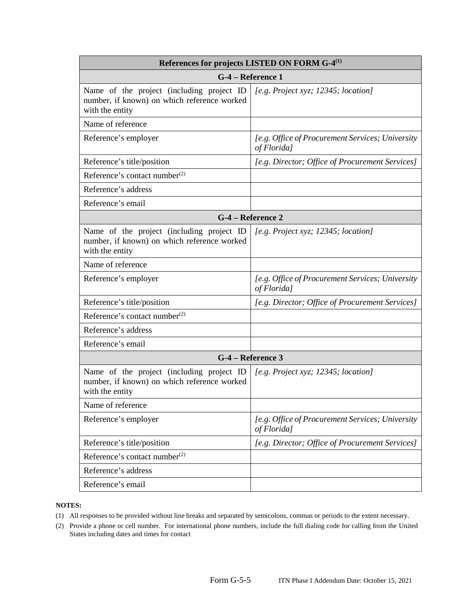| References for projects LISTED ON FORM G-4 <sup>(1)</sup>                                                   |                                                                 |  |  |  |
|-------------------------------------------------------------------------------------------------------------|-----------------------------------------------------------------|--|--|--|
|                                                                                                             | G-4 – Reference 1                                               |  |  |  |
| Name of the project (including project ID<br>number, if known) on which reference worked<br>with the entity | [e.g. Project xyz; $12345$ ; location]                          |  |  |  |
| Name of reference                                                                                           |                                                                 |  |  |  |
| Reference's employer                                                                                        | [e.g. Office of Procurement Services; University<br>of Florida] |  |  |  |
| Reference's title/position                                                                                  | [e.g. Director; Office of Procurement Services]                 |  |  |  |
| Reference's contact number <sup>(2)</sup>                                                                   |                                                                 |  |  |  |
| Reference's address                                                                                         |                                                                 |  |  |  |
| Reference's email                                                                                           |                                                                 |  |  |  |
|                                                                                                             | G-4 – Reference 2                                               |  |  |  |
| Name of the project (including project ID<br>number, if known) on which reference worked<br>with the entity | [e.g. Project xyz; $12345$ ; location]                          |  |  |  |
| Name of reference                                                                                           |                                                                 |  |  |  |
| Reference's employer                                                                                        | [e.g. Office of Procurement Services; University<br>of Florida] |  |  |  |
| Reference's title/position                                                                                  | [e.g. Director; Office of Procurement Services]                 |  |  |  |
| Reference's contact number <sup>(2)</sup>                                                                   |                                                                 |  |  |  |
| Reference's address                                                                                         |                                                                 |  |  |  |
| Reference's email                                                                                           |                                                                 |  |  |  |
| G-4 – Reference 3                                                                                           |                                                                 |  |  |  |
| Name of the project (including project ID<br>number, if known) on which reference worked<br>with the entity | [e.g. Project xyz; $12345$ ; location]                          |  |  |  |
| Name of reference                                                                                           |                                                                 |  |  |  |
| Reference's employer                                                                                        | [e.g. Office of Procurement Services; University<br>of Florida] |  |  |  |
| Reference's title/position                                                                                  | [e.g. Director; Office of Procurement Services]                 |  |  |  |
| Reference's contact number <sup>(2)</sup>                                                                   |                                                                 |  |  |  |
| Reference's address                                                                                         |                                                                 |  |  |  |
| Reference's email                                                                                           |                                                                 |  |  |  |

- (1) All responses to be provided without line breaks and separated by semicolons, commas or periods to the extent necessary.
- (2) Provide a phone or cell number. For international phone numbers, include the full dialing code for calling from the United States including dates and times for contact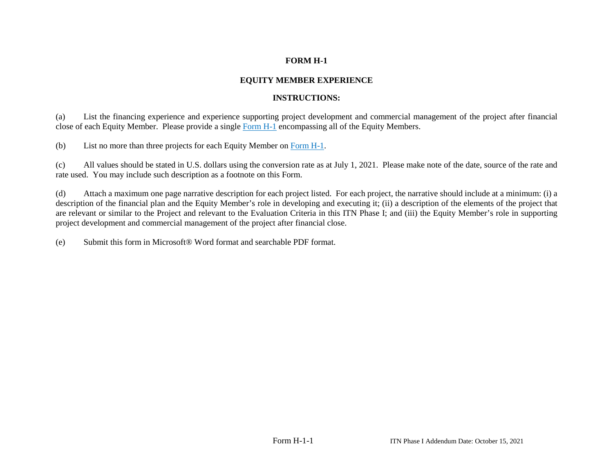# **EQUITY MEMBER EXPERIENCE**

# **INSTRUCTIONS:**

(a) List the financing experience and experience supporting project development and commercial management of the project after financial close of each Equity Member. Please provide a single Form H-1 encompassing all of the Equity Members.

(b) List no more than three projects for each Equity Member on Form H-1.

(c) All values should be stated in U.S. dollars using the conversion rate as at July 1, 2021. Please make note of the date, source of the rate and rate used. You may include such description as a footnote on this Form.

(d) Attach a maximum one page narrative description for each project listed. For each project, the narrative should include at a minimum: (i) a description of the financial plan and the Equity Member's role in developing and executing it; (ii) a description of the elements of the project that are relevant or similar to the Project and relevant to the Evaluation Criteria in this ITN Phase I; and (iii) the Equity Member's role in supporting project development and commercial management of the project after financial close.

(e) Submit this form in Microsoft® Word format and searchable PDF format.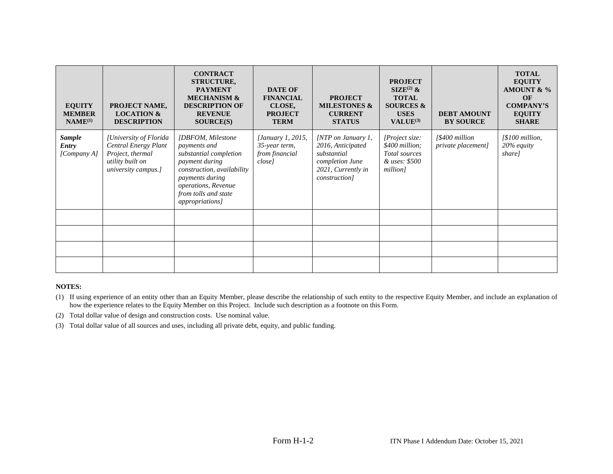| <b>EQUITY</b><br><b>MEMBER</b><br>$NAME^{(1)}$ | PROJECT NAME,<br><b>LOCATION &amp;</b><br><b>DESCRIPTION</b>                                                  | <b>CONTRACT</b><br><b>STRUCTURE,</b><br><b>PAYMENT</b><br><b>MECHANISM &amp;</b><br><b>DESCRIPTION OF</b><br><b>REVENUE</b><br>SOURCE(S)                                                                       | <b>DATE OF</b><br><b>FINANCIAL</b><br>CLOSE,<br><b>PROJECT</b><br><b>TERM</b> | <b>PROJECT</b><br><b>MILESTONES &amp;</b><br><b>CURRENT</b><br><b>STATUS</b>                                              | <b>PROJECT</b><br>$\text{SIZE}^{(2)}$ &<br><b>TOTAL</b><br><b>SOURCES &amp;</b><br><b>USES</b><br>VALUE <sup>(3)</sup> | <b>DEBT AMOUNT</b><br><b>BY SOURCE</b> | <b>TOTAL</b><br><b>EQUITY</b><br>AMOUNT & $\%$<br><b>OF</b><br><b>COMPANY'S</b><br><b>EQUITY</b><br><b>SHARE</b> |
|------------------------------------------------|---------------------------------------------------------------------------------------------------------------|----------------------------------------------------------------------------------------------------------------------------------------------------------------------------------------------------------------|-------------------------------------------------------------------------------|---------------------------------------------------------------------------------------------------------------------------|------------------------------------------------------------------------------------------------------------------------|----------------------------------------|------------------------------------------------------------------------------------------------------------------|
| <b>Sample</b><br><b>Entry</b><br>[Company A]   | [University of Florida<br>Central Energy Plant<br>Project, thermal<br>utility built on<br>university campus.] | [DBFOM, Milestone]<br>payments and<br>substantial completion<br>payment during<br>construction, availability<br><i>payments during</i><br>operations, Revenue<br>from tolls and state<br><i>appropriations</i> | [January 1, 2015,<br>35-year term,<br>from financial<br><i>closel</i>         | $\text{[NTP}$ on January 1,<br>2016, Anticipated<br>substantial<br>completion June<br>2021, Currently in<br>construction] | [Project size:<br>\$400 million;<br>Total sources<br>& uses: \$500<br>million]                                         | [\$400 million]<br>private placement]  | [\$100 million,<br>20% equity<br>share]                                                                          |
|                                                |                                                                                                               |                                                                                                                                                                                                                |                                                                               |                                                                                                                           |                                                                                                                        |                                        |                                                                                                                  |
|                                                |                                                                                                               |                                                                                                                                                                                                                |                                                                               |                                                                                                                           |                                                                                                                        |                                        |                                                                                                                  |
|                                                |                                                                                                               |                                                                                                                                                                                                                |                                                                               |                                                                                                                           |                                                                                                                        |                                        |                                                                                                                  |
|                                                |                                                                                                               |                                                                                                                                                                                                                |                                                                               |                                                                                                                           |                                                                                                                        |                                        |                                                                                                                  |

- (1) If using experience of an entity other than an Equity Member, please describe the relationship of such entity to the respective Equity Member, and include an explanation of how the experience relates to the Equity Member on this Project. Include such description as a footnote on this Form.
- (2) Total dollar value of design and construction costs. Use nominal value.
- (3) Total dollar value of all sources and uses, including all private debt, equity, and public funding.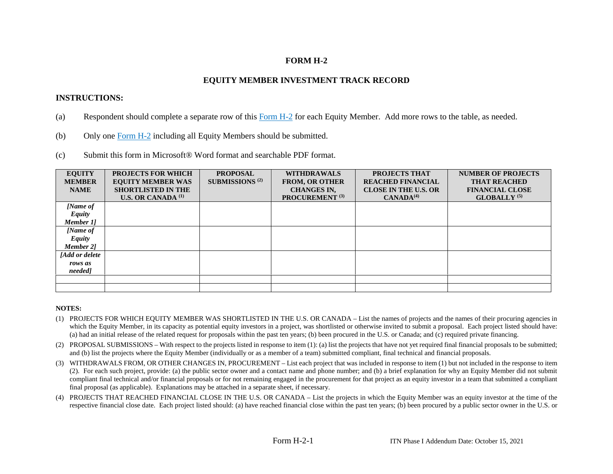## **EQUITY MEMBER INVESTMENT TRACK RECORD**

## **INSTRUCTIONS:**

- (a) Respondent should complete a separate row of this  $\overline{Form H-2}$  for each Equity Member. Add more rows to the table, as needed.
- (b) Only one Form H-2 including all Equity Members should be submitted.
- (c) Submit this form in Microsoft® Word format and searchable PDF format.

| <b>EQUITY</b>    | <b>PROJECTS FOR WHICH</b> | <b>PROPOSAL</b>                   | <b>WITHDRAWALS</b>         | <b>PROJECTS THAT</b>        | <b>NUMBER OF PROJECTS</b> |
|------------------|---------------------------|-----------------------------------|----------------------------|-----------------------------|---------------------------|
| <b>MEMBER</b>    | <b>EQUITY MEMBER WAS</b>  | <b>SUBMISSIONS</b> <sup>(2)</sup> | <b>FROM, OR OTHER</b>      | <b>REACHED FINANCIAL</b>    | <b>THAT REACHED</b>       |
| <b>NAME</b>      | <b>SHORTLISTED IN THE</b> |                                   | <b>CHANGES IN,</b>         | <b>CLOSE IN THE U.S. OR</b> | <b>FINANCIAL CLOSE</b>    |
|                  | <b>U.S. OR CANADA (1)</b> |                                   | PROCUREMENT <sup>(3)</sup> | CANADA <sup>(4)</sup>       | GLOBALLY <sup>(5)</sup>   |
| [Name of         |                           |                                   |                            |                             |                           |
| <b>Equity</b>    |                           |                                   |                            |                             |                           |
| Member 11        |                           |                                   |                            |                             |                           |
| [Name of         |                           |                                   |                            |                             |                           |
| <b>Equity</b>    |                           |                                   |                            |                             |                           |
| <b>Member 21</b> |                           |                                   |                            |                             |                           |
| [Add or delete   |                           |                                   |                            |                             |                           |
| rows as          |                           |                                   |                            |                             |                           |
| needed]          |                           |                                   |                            |                             |                           |
|                  |                           |                                   |                            |                             |                           |
|                  |                           |                                   |                            |                             |                           |

- (1) PROJECTS FOR WHICH EQUITY MEMBER WAS SHORTLISTED IN THE U.S. OR CANADA List the names of projects and the names of their procuring agencies in which the Equity Member, in its capacity as potential equity investors in a project, was shortlisted or otherwise invited to submit a proposal. Each project listed should have: (a) had an initial release of the related request for proposals within the past ten years; (b) been procured in the U.S. or Canada; and (c) required private financing.
- (2) PROPOSAL SUBMISSIONS With respect to the projects listed in response to item (1): (a) list the projects that have not yet required final financial proposals to be submitted; and (b) list the projects where the Equity Member (individually or as a member of a team) submitted compliant, final technical and financial proposals.
- (3) WITHDRAWALS FROM, OR OTHER CHANGES IN, PROCUREMENT List each project that was included in response to item (1) but not included in the response to item (2). For each such project, provide: (a) the public sector owner and a contact name and phone number; and (b) a brief explanation for why an Equity Member did not submit compliant final technical and/or financial proposals or for not remaining engaged in the procurement for that project as an equity investor in a team that submitted a compliant final proposal (as applicable). Explanations may be attached in a separate sheet, if necessary.
- (4) PROJECTS THAT REACHED FINANCIAL CLOSE IN THE U.S. OR CANADA List the projects in which the Equity Member was an equity investor at the time of the respective financial close date. Each project listed should: (a) have reached financial close within the past ten years; (b) been procured by a public sector owner in the U.S. or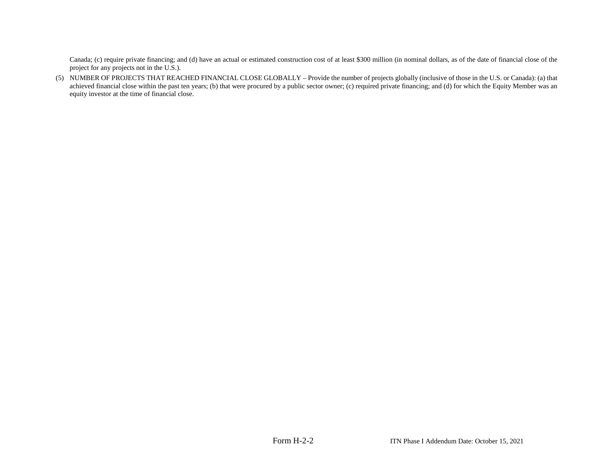Canada; (c) require private financing; and (d) have an actual or estimated construction cost of at least \$300 million (in nominal dollars, as of the date of financial close of the project for any projects not in the U.S.).

(5) NUMBER OF PROJECTS THAT REACHED FINANCIAL CLOSE GLOBALLY – Provide the number of projects globally (inclusive of those in the U.S. or Canada): (a) that achieved financial close within the past ten years; (b) that were procured by a public sector owner; (c) required private financing; and (d) for which the Equity Member was an equity investor at the time of financial close.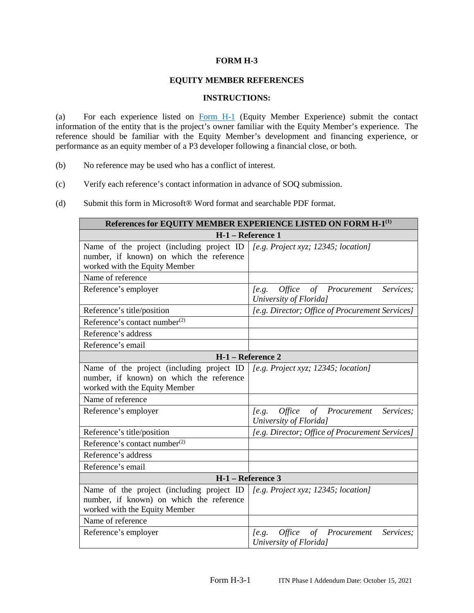## **EQUITY MEMBER REFERENCES**

### **INSTRUCTIONS:**

(a) For each experience listed on Form H-1 (Equity Member Experience) submit the contact information of the entity that is the project's owner familiar with the Equity Member's experience. The reference should be familiar with the Equity Member's development and financing experience, or performance as an equity member of a P3 developer following a financial close, or both.

- (b) No reference may be used who has a conflict of interest.
- (c) Verify each reference's contact information in advance of SOQ submission.
- (d) Submit this form in Microsoft® Word format and searchable PDF format.

| References for EQUITY MEMBER EXPERIENCE LISTED ON FORM H-1 <sup>(1)</sup>                                              |                                                                                    |  |  |
|------------------------------------------------------------------------------------------------------------------------|------------------------------------------------------------------------------------|--|--|
| H-1 - Reference 1                                                                                                      |                                                                                    |  |  |
| Name of the project (including project ID<br>number, if known) on which the reference<br>worked with the Equity Member | [e.g. Project xyz; 12345; location]                                                |  |  |
| Name of reference                                                                                                      |                                                                                    |  |  |
| Reference's employer                                                                                                   | <i>Office</i><br>Services;<br>of Procurement<br>$[$ e.g.<br>University of Florida] |  |  |
| Reference's title/position                                                                                             | [e.g. Director; Office of Procurement Services]                                    |  |  |
| Reference's contact number <sup>(2)</sup>                                                                              |                                                                                    |  |  |
| Reference's address                                                                                                    |                                                                                    |  |  |
| Reference's email                                                                                                      |                                                                                    |  |  |
|                                                                                                                        | H-1 - Reference 2                                                                  |  |  |
| Name of the project (including project ID<br>number, if known) on which the reference<br>worked with the Equity Member | [e.g. Project xyz; $12345$ ; location]                                             |  |  |
| Name of reference                                                                                                      |                                                                                    |  |  |
| Reference's employer                                                                                                   | Services;<br>Office of Procurement<br>$[$ e.g.<br>University of Florida]           |  |  |
| Reference's title/position                                                                                             | [e.g. Director; Office of Procurement Services]                                    |  |  |
| Reference's contact number $^{(2)}$                                                                                    |                                                                                    |  |  |
| Reference's address                                                                                                    |                                                                                    |  |  |
| Reference's email                                                                                                      |                                                                                    |  |  |
| H-1 - Reference 3                                                                                                      |                                                                                    |  |  |
| Name of the project (including project ID<br>number, if known) on which the reference<br>worked with the Equity Member | [e.g. Project xyz; $12345$ ; location]                                             |  |  |
| Name of reference                                                                                                      |                                                                                    |  |  |
| Reference's employer                                                                                                   | <i>Office</i><br>of Procurement<br>Services;<br>$[$ e.g.<br>University of Florida] |  |  |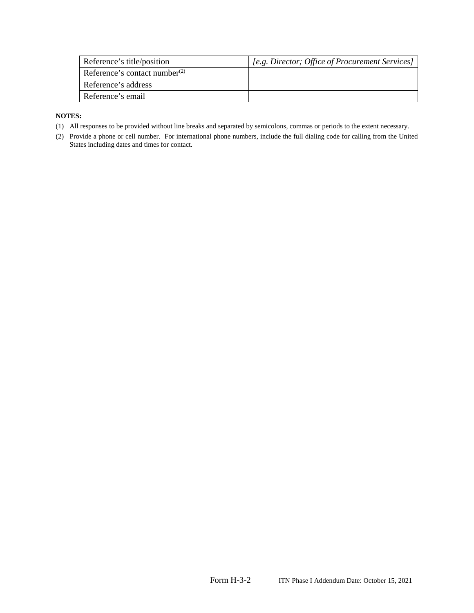| Reference's title/position          | [e.g. Director; Office of Procurement Services] |
|-------------------------------------|-------------------------------------------------|
| Reference's contact number $^{(2)}$ |                                                 |
| Reference's address                 |                                                 |
| Reference's email                   |                                                 |

- (1) All responses to be provided without line breaks and separated by semicolons, commas or periods to the extent necessary.
- (2) Provide a phone or cell number. For international phone numbers, include the full dialing code for calling from the United States including dates and times for contact.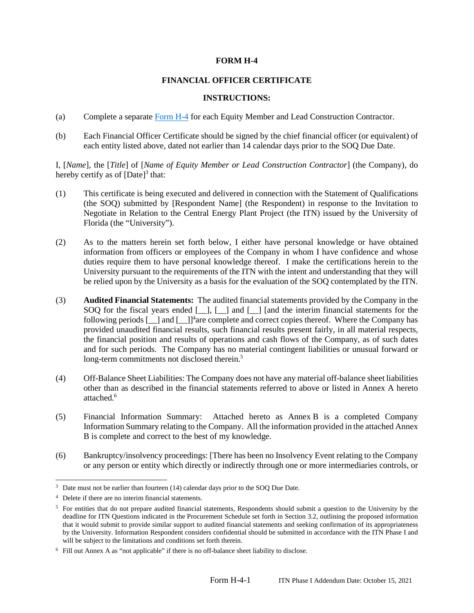## **FINANCIAL OFFICER CERTIFICATE**

## **INSTRUCTIONS:**

- (a) Complete a separate Form H-4 for each Equity Member and Lead Construction Contractor.
- (b) Each Financial Officer Certificate should be signed by the chief financial officer (or equivalent) of each entity listed above, dated not earlier than 14 calendar days prior to the SOQ Due Date.

I, [*Name*], the [*Title*] of [*Name of Equity Member or Lead Construction Contractor*] (the Company), do hereby certify as of  $[Date]^3$  that:

- (1) This certificate is being executed and delivered in connection with the Statement of Qualifications (the SOQ) submitted by [Respondent Name] (the Respondent) in response to the Invitation to Negotiate in Relation to the Central Energy Plant Project (the ITN) issued by the University of Florida (the "University").
- (2) As to the matters herein set forth below, I either have personal knowledge or have obtained information from officers or employees of the Company in whom I have confidence and whose duties require them to have personal knowledge thereof. I make the certifications herein to the University pursuant to the requirements of the ITN with the intent and understanding that they will be relied upon by the University as a basis for the evaluation of the SOQ contemplated by the ITN.
- (3) **Audited Financial Statements:** The audited financial statements provided by the Company in the SOQ for the fiscal years ended [\_], [\_] and [\_] [and the interim financial statements for the following periods  $[\ ]$  and  $[\ ]$ <sup>4</sup>are complete and correct copies thereof. Where the Company has provided unaudited financial results, such financial results present fairly, in all material respects, the financial position and results of operations and cash flows of the Company, as of such dates and for such periods. The Company has no material contingent liabilities or unusual forward or long-term commitments not disclosed therein.<sup>5</sup>
- (4) Off-Balance Sheet Liabilities: The Company does not have any material off-balance sheet liabilities other than as described in the financial statements referred to above or listed in Annex A hereto attached.<sup>6</sup>
- (5) Financial Information Summary: Attached hereto as Annex B is a completed Company Information Summary relating to the Company. All the information provided in the attached Annex B is complete and correct to the best of my knowledge.
- (6) Bankruptcy/insolvency proceedings: [There has been no Insolvency Event relating to the Company or any person or entity which directly or indirectly through one or more intermediaries controls, or

 $3$  Date must not be earlier than fourteen (14) calendar days prior to the SOQ Due Date.

<sup>4</sup> Delete if there are no interim financial statements.

<sup>&</sup>lt;sup>5</sup> For entities that do not prepare audited financial statements, Respondents should submit a question to the University by the deadline for ITN Questions indicated in the Procurement Schedule set forth in Section 3.2, outlining the proposed information that it would submit to provide similar support to audited financial statements and seeking confirmation of its appropriateness by the University. Information Respondent considers confidential should be submitted in accordance with the ITN Phase I and will be subject to the limitations and conditions set forth therein.

<sup>&</sup>lt;sup>6</sup> Fill out Annex A as "not applicable" if there is no off-balance sheet liability to disclose.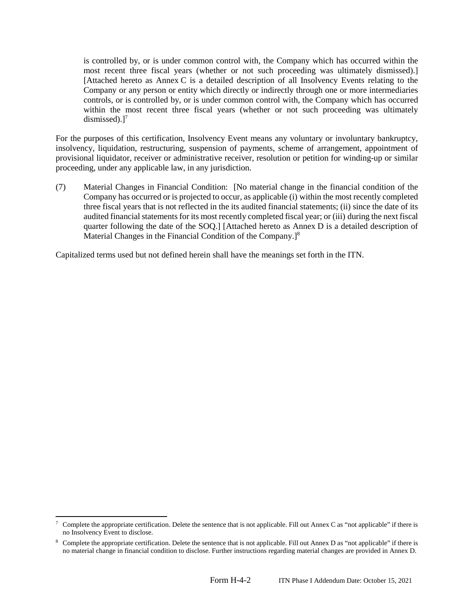is controlled by, or is under common control with, the Company which has occurred within the most recent three fiscal years (whether or not such proceeding was ultimately dismissed).] [Attached hereto as Annex C is a detailed description of all Insolvency Events relating to the Company or any person or entity which directly or indirectly through one or more intermediaries controls, or is controlled by, or is under common control with, the Company which has occurred within the most recent three fiscal years (whether or not such proceeding was ultimately dismissed). $]^{7}$ 

For the purposes of this certification, Insolvency Event means any voluntary or involuntary bankruptcy, insolvency, liquidation, restructuring, suspension of payments, scheme of arrangement, appointment of provisional liquidator, receiver or administrative receiver, resolution or petition for winding-up or similar proceeding, under any applicable law, in any jurisdiction.

(7) Material Changes in Financial Condition: [No material change in the financial condition of the Company has occurred or is projected to occur, as applicable (i) within the most recently completed three fiscal years that is not reflected in the its audited financial statements; (ii) since the date of its audited financial statements for its most recently completed fiscal year; or (iii) during the next fiscal quarter following the date of the SOQ.] [Attached hereto as Annex D is a detailed description of Material Changes in the Financial Condition of the Company.]<sup>8</sup>

Capitalized terms used but not defined herein shall have the meanings set forth in the ITN.

<sup>7</sup> Complete the appropriate certification. Delete the sentence that is not applicable. Fill out Annex C as "not applicable" if there is no Insolvency Event to disclose.

<sup>&</sup>lt;sup>8</sup> Complete the appropriate certification. Delete the sentence that is not applicable. Fill out Annex D as "not applicable" if there is no material change in financial condition to disclose. Further instructions regarding material changes are provided in Annex D.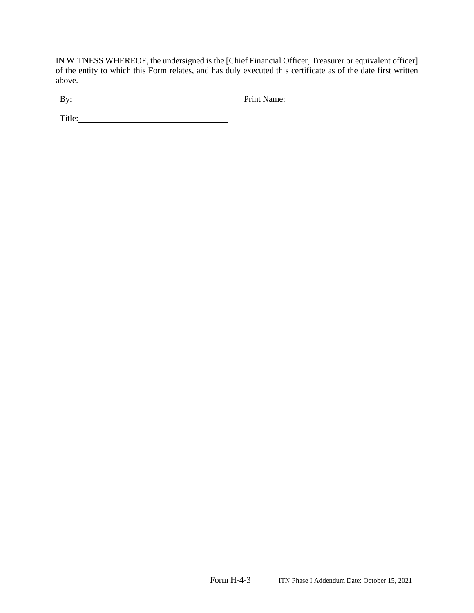IN WITNESS WHEREOF, the undersigned is the [Chief Financial Officer, Treasurer or equivalent officer] of the entity to which this Form relates, and has duly executed this certificate as of the date first written above.

| D<br><b>.</b> | ------ |
|---------------|--------|
|               |        |

Title: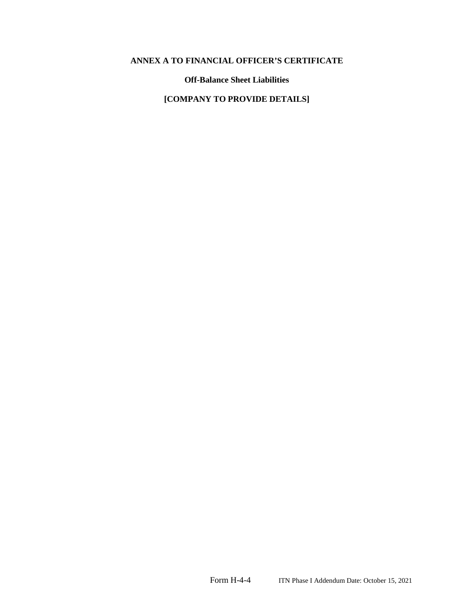# **ANNEX A TO FINANCIAL OFFICER'S CERTIFICATE**

**Off-Balance Sheet Liabilities** 

**[COMPANY TO PROVIDE DETAILS]**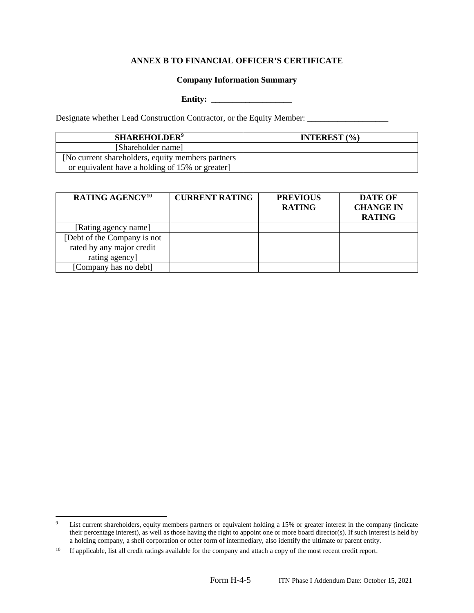## **ANNEX B TO FINANCIAL OFFICER'S CERTIFICATE**

### **Company Information Summary**

### **Entity: \_\_\_\_\_\_\_\_\_\_\_\_\_\_\_\_\_\_\_**

Designate whether Lead Construction Contractor, or the Equity Member: \_\_\_\_\_\_\_\_\_\_\_\_\_\_\_\_\_

| <b>SHAREHOLDER<sup>9</sup></b>                    | <b>INTEREST</b> $(\% )$ |
|---------------------------------------------------|-------------------------|
| [Shareholder name]                                |                         |
| [No current shareholders, equity members partners |                         |
| or equivalent have a holding of 15% or greater    |                         |

| <b>RATING AGENCY<sup>10</sup></b> | <b>CURRENT RATING</b> | <b>PREVIOUS</b><br><b>RATING</b> | <b>DATE OF</b><br><b>CHANGE IN</b><br><b>RATING</b> |
|-----------------------------------|-----------------------|----------------------------------|-----------------------------------------------------|
| [Rating agency name]              |                       |                                  |                                                     |
| [Debt of the Company is not       |                       |                                  |                                                     |
| rated by any major credit         |                       |                                  |                                                     |
| rating agency]                    |                       |                                  |                                                     |
| [Company has no debt]             |                       |                                  |                                                     |

<sup>9</sup> List current shareholders, equity members partners or equivalent holding a 15% or greater interest in the company (indicate their percentage interest), as well as those having the right to appoint one or more board director(s). If such interest is held by a holding company, a shell corporation or other form of intermediary, also identify the ultimate or parent entity.

<sup>&</sup>lt;sup>10</sup> If applicable, list all credit ratings available for the company and attach a copy of the most recent credit report.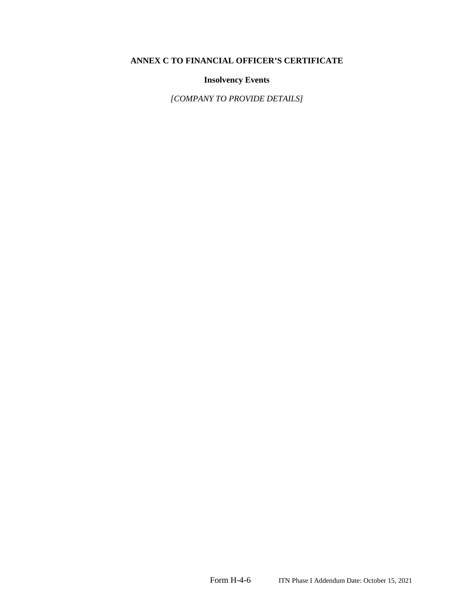# **ANNEX C TO FINANCIAL OFFICER'S CERTIFICATE**

# **Insolvency Events**

*[COMPANY TO PROVIDE DETAILS]*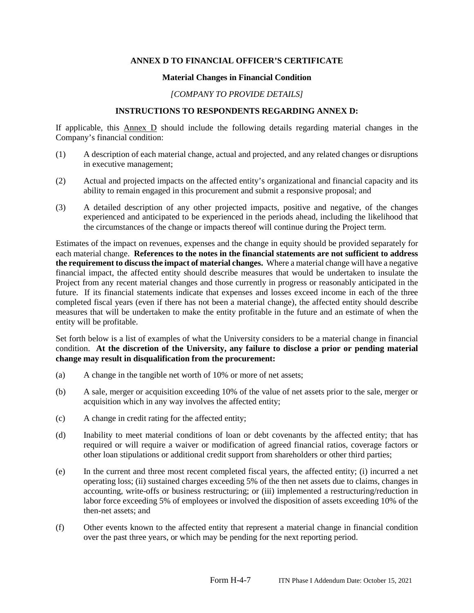## **ANNEX D TO FINANCIAL OFFICER'S CERTIFICATE**

### **Material Changes in Financial Condition**

## *[COMPANY TO PROVIDE DETAILS]*

## **INSTRUCTIONS TO RESPONDENTS REGARDING ANNEX D:**

If applicable, this Annex D should include the following details regarding material changes in the Company's financial condition:

- (1) A description of each material change, actual and projected, and any related changes or disruptions in executive management;
- (2) Actual and projected impacts on the affected entity's organizational and financial capacity and its ability to remain engaged in this procurement and submit a responsive proposal; and
- (3) A detailed description of any other projected impacts, positive and negative, of the changes experienced and anticipated to be experienced in the periods ahead, including the likelihood that the circumstances of the change or impacts thereof will continue during the Project term.

Estimates of the impact on revenues, expenses and the change in equity should be provided separately for each material change. **References to the notes in the financial statements are not sufficient to address the requirement to discuss the impact of material changes.** Where a material change will have a negative financial impact, the affected entity should describe measures that would be undertaken to insulate the Project from any recent material changes and those currently in progress or reasonably anticipated in the future. If its financial statements indicate that expenses and losses exceed income in each of the three completed fiscal years (even if there has not been a material change), the affected entity should describe measures that will be undertaken to make the entity profitable in the future and an estimate of when the entity will be profitable.

Set forth below is a list of examples of what the University considers to be a material change in financial condition. **At the discretion of the University, any failure to disclose a prior or pending material change may result in disqualification from the procurement:**

- (a) A change in the tangible net worth of 10% or more of net assets;
- (b) A sale, merger or acquisition exceeding 10% of the value of net assets prior to the sale, merger or acquisition which in any way involves the affected entity;
- (c) A change in credit rating for the affected entity;
- (d) Inability to meet material conditions of loan or debt covenants by the affected entity; that has required or will require a waiver or modification of agreed financial ratios, coverage factors or other loan stipulations or additional credit support from shareholders or other third parties;
- (e) In the current and three most recent completed fiscal years, the affected entity; (i) incurred a net operating loss; (ii) sustained charges exceeding 5% of the then net assets due to claims, changes in accounting, write-offs or business restructuring; or (iii) implemented a restructuring/reduction in labor force exceeding 5% of employees or involved the disposition of assets exceeding 10% of the then-net assets; and
- (f) Other events known to the affected entity that represent a material change in financial condition over the past three years, or which may be pending for the next reporting period.